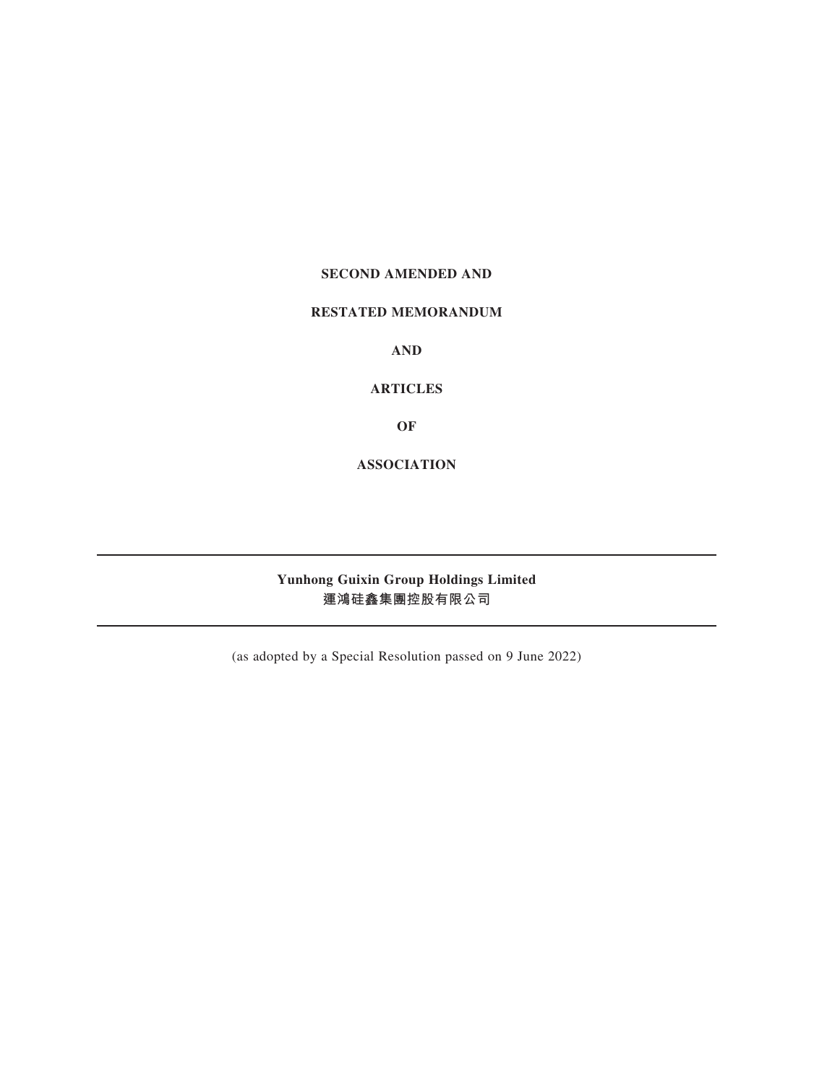## **SECOND AMENDED AND**

## **RESTATED MEMORANDUM**

**AND**

**ARTICLES**

**OF**

**ASSOCIATION**

# **Yunhong Guixin Group Holdings Limited 運鴻硅鑫集團控股有限公司**

(as adopted by a Special Resolution passed on 9 June 2022)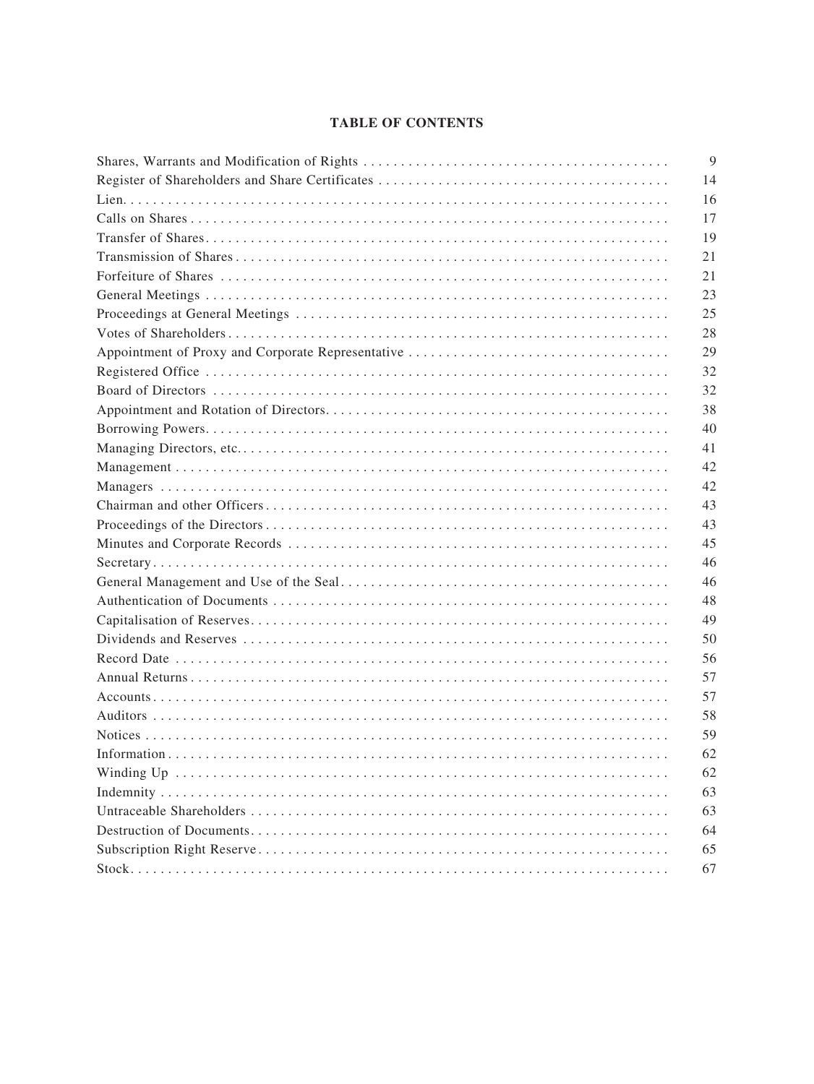## **TABLE OF CONTENTS**

| 9  |
|----|
| 14 |
| 16 |
| 17 |
| 19 |
| 21 |
| 21 |
| 23 |
| 25 |
| 28 |
| 29 |
| 32 |
| 32 |
| 38 |
| 40 |
| 41 |
| 42 |
| 42 |
| 43 |
| 43 |
| 45 |
| 46 |
| 46 |
| 48 |
| 49 |
| 50 |
| 56 |
| 57 |
| 57 |
| 58 |
| 59 |
| 62 |
| 62 |
| 63 |
| 63 |
| 64 |
| 65 |
| 67 |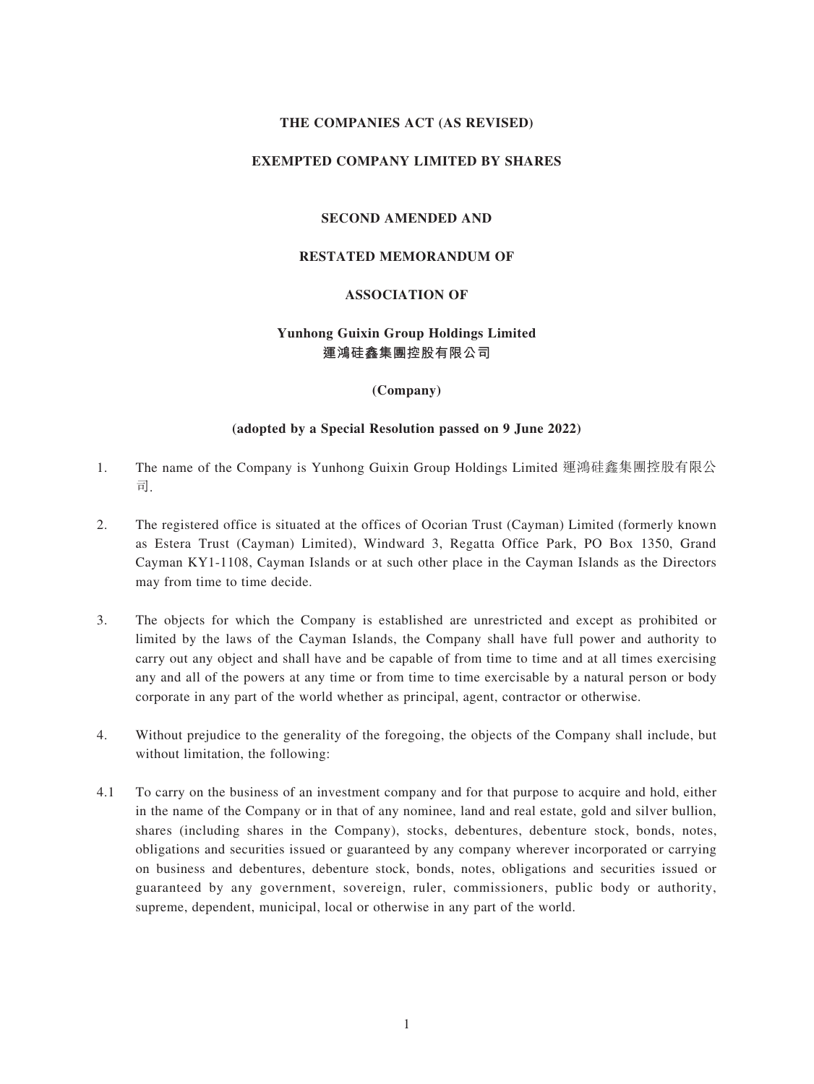## **THE COMPANIES ACT (AS REVISED)**

## **EXEMPTED COMPANY LIMITED BY SHARES**

## **SECOND AMENDED AND**

#### **RESTATED MEMORANDUM OF**

## **ASSOCIATION OF**

## **Yunhong Guixin Group Holdings Limited 運鴻硅鑫集團控股有限公司**

#### **(Company)**

#### **(adopted by a Special Resolution passed on 9 June 2022)**

- 1. The name of the Company is Yunhong Guixin Group Holdings Limited 運鴻硅鑫集團控股有限公 司.
- 2. The registered office is situated at the offices of Ocorian Trust (Cayman) Limited (formerly known as Estera Trust (Cayman) Limited), Windward 3, Regatta Office Park, PO Box 1350, Grand Cayman KY1-1108, Cayman Islands or at such other place in the Cayman Islands as the Directors may from time to time decide.
- 3. The objects for which the Company is established are unrestricted and except as prohibited or limited by the laws of the Cayman Islands, the Company shall have full power and authority to carry out any object and shall have and be capable of from time to time and at all times exercising any and all of the powers at any time or from time to time exercisable by a natural person or body corporate in any part of the world whether as principal, agent, contractor or otherwise.
- 4. Without prejudice to the generality of the foregoing, the objects of the Company shall include, but without limitation, the following:
- 4.1 To carry on the business of an investment company and for that purpose to acquire and hold, either in the name of the Company or in that of any nominee, land and real estate, gold and silver bullion, shares (including shares in the Company), stocks, debentures, debenture stock, bonds, notes, obligations and securities issued or guaranteed by any company wherever incorporated or carrying on business and debentures, debenture stock, bonds, notes, obligations and securities issued or guaranteed by any government, sovereign, ruler, commissioners, public body or authority, supreme, dependent, municipal, local or otherwise in any part of the world.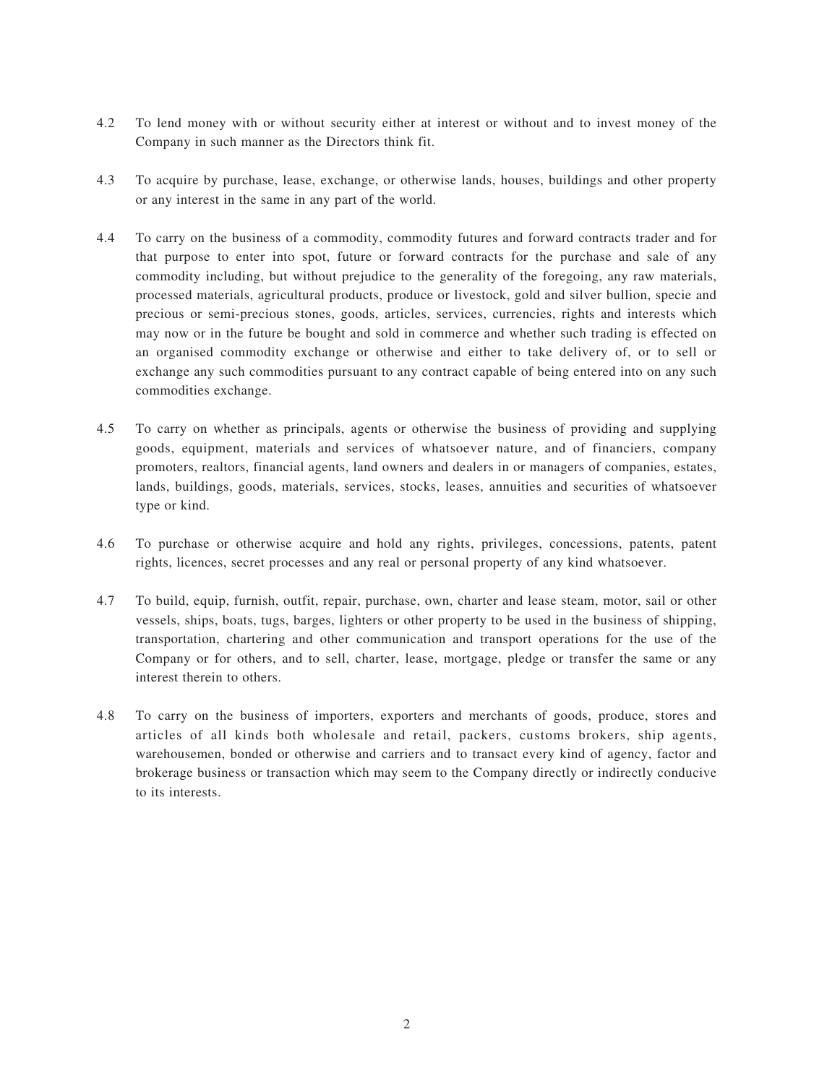- 4.2 To lend money with or without security either at interest or without and to invest money of the Company in such manner as the Directors think fit.
- 4.3 To acquire by purchase, lease, exchange, or otherwise lands, houses, buildings and other property or any interest in the same in any part of the world.
- 4.4 To carry on the business of a commodity, commodity futures and forward contracts trader and for that purpose to enter into spot, future or forward contracts for the purchase and sale of any commodity including, but without prejudice to the generality of the foregoing, any raw materials, processed materials, agricultural products, produce or livestock, gold and silver bullion, specie and precious or semi-precious stones, goods, articles, services, currencies, rights and interests which may now or in the future be bought and sold in commerce and whether such trading is effected on an organised commodity exchange or otherwise and either to take delivery of, or to sell or exchange any such commodities pursuant to any contract capable of being entered into on any such commodities exchange.
- 4.5 To carry on whether as principals, agents or otherwise the business of providing and supplying goods, equipment, materials and services of whatsoever nature, and of financiers, company promoters, realtors, financial agents, land owners and dealers in or managers of companies, estates, lands, buildings, goods, materials, services, stocks, leases, annuities and securities of whatsoever type or kind.
- 4.6 To purchase or otherwise acquire and hold any rights, privileges, concessions, patents, patent rights, licences, secret processes and any real or personal property of any kind whatsoever.
- 4.7 To build, equip, furnish, outfit, repair, purchase, own, charter and lease steam, motor, sail or other vessels, ships, boats, tugs, barges, lighters or other property to be used in the business of shipping, transportation, chartering and other communication and transport operations for the use of the Company or for others, and to sell, charter, lease, mortgage, pledge or transfer the same or any interest therein to others.
- 4.8 To carry on the business of importers, exporters and merchants of goods, produce, stores and articles of all kinds both wholesale and retail, packers, customs brokers, ship agents, warehousemen, bonded or otherwise and carriers and to transact every kind of agency, factor and brokerage business or transaction which may seem to the Company directly or indirectly conducive to its interests.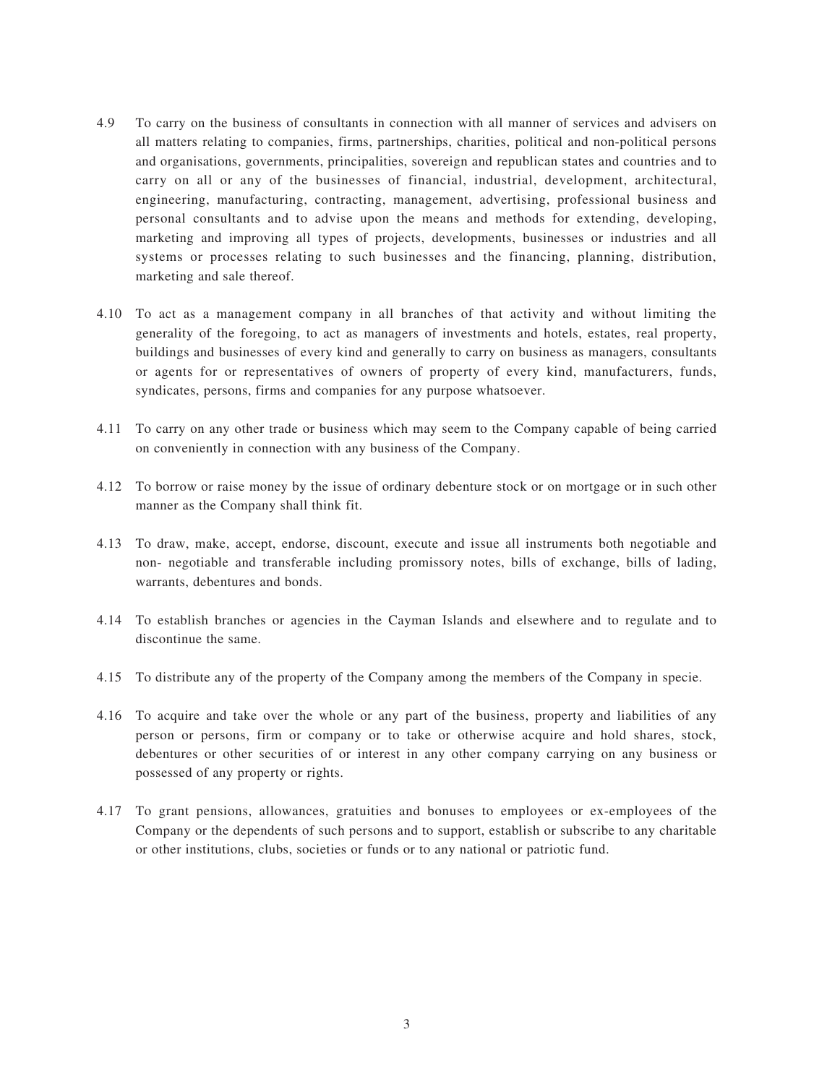- 4.9 To carry on the business of consultants in connection with all manner of services and advisers on all matters relating to companies, firms, partnerships, charities, political and non-political persons and organisations, governments, principalities, sovereign and republican states and countries and to carry on all or any of the businesses of financial, industrial, development, architectural, engineering, manufacturing, contracting, management, advertising, professional business and personal consultants and to advise upon the means and methods for extending, developing, marketing and improving all types of projects, developments, businesses or industries and all systems or processes relating to such businesses and the financing, planning, distribution, marketing and sale thereof.
- 4.10 To act as a management company in all branches of that activity and without limiting the generality of the foregoing, to act as managers of investments and hotels, estates, real property, buildings and businesses of every kind and generally to carry on business as managers, consultants or agents for or representatives of owners of property of every kind, manufacturers, funds, syndicates, persons, firms and companies for any purpose whatsoever.
- 4.11 To carry on any other trade or business which may seem to the Company capable of being carried on conveniently in connection with any business of the Company.
- 4.12 To borrow or raise money by the issue of ordinary debenture stock or on mortgage or in such other manner as the Company shall think fit.
- 4.13 To draw, make, accept, endorse, discount, execute and issue all instruments both negotiable and non- negotiable and transferable including promissory notes, bills of exchange, bills of lading, warrants, debentures and bonds.
- 4.14 To establish branches or agencies in the Cayman Islands and elsewhere and to regulate and to discontinue the same.
- 4.15 To distribute any of the property of the Company among the members of the Company in specie.
- 4.16 To acquire and take over the whole or any part of the business, property and liabilities of any person or persons, firm or company or to take or otherwise acquire and hold shares, stock, debentures or other securities of or interest in any other company carrying on any business or possessed of any property or rights.
- 4.17 To grant pensions, allowances, gratuities and bonuses to employees or ex-employees of the Company or the dependents of such persons and to support, establish or subscribe to any charitable or other institutions, clubs, societies or funds or to any national or patriotic fund.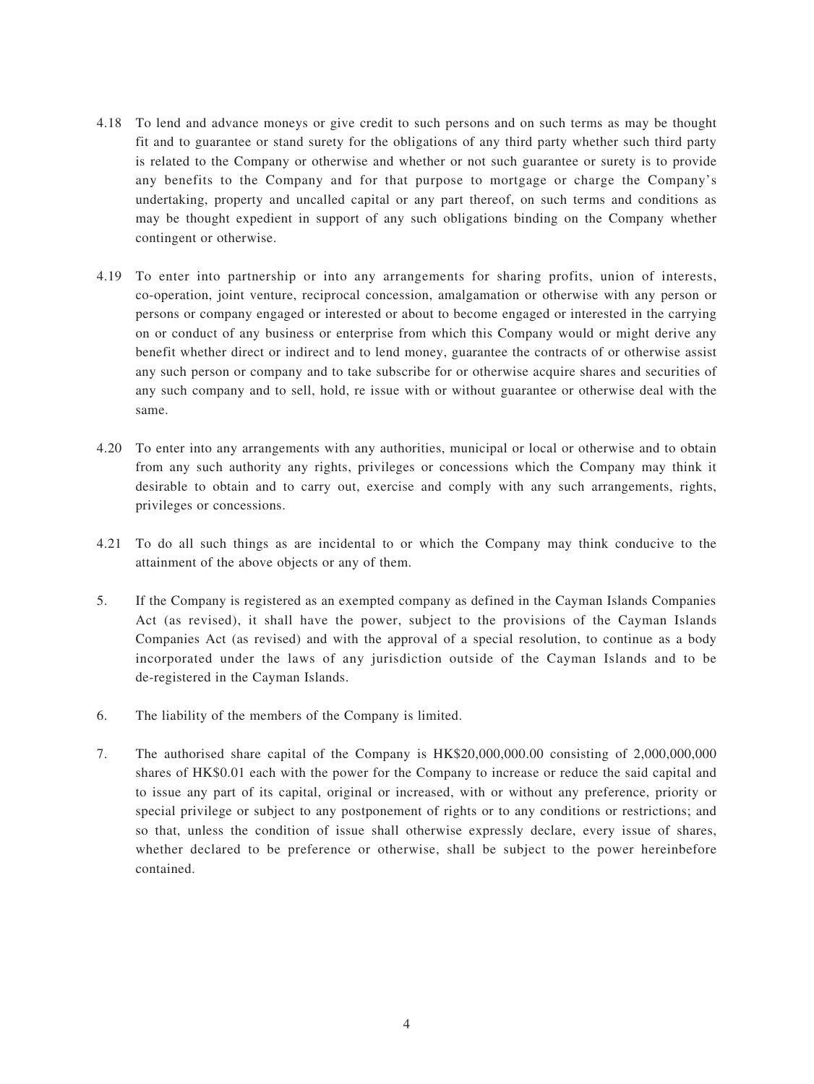- 4.18 To lend and advance moneys or give credit to such persons and on such terms as may be thought fit and to guarantee or stand surety for the obligations of any third party whether such third party is related to the Company or otherwise and whether or not such guarantee or surety is to provide any benefits to the Company and for that purpose to mortgage or charge the Company's undertaking, property and uncalled capital or any part thereof, on such terms and conditions as may be thought expedient in support of any such obligations binding on the Company whether contingent or otherwise.
- 4.19 To enter into partnership or into any arrangements for sharing profits, union of interests, co-operation, joint venture, reciprocal concession, amalgamation or otherwise with any person or persons or company engaged or interested or about to become engaged or interested in the carrying on or conduct of any business or enterprise from which this Company would or might derive any benefit whether direct or indirect and to lend money, guarantee the contracts of or otherwise assist any such person or company and to take subscribe for or otherwise acquire shares and securities of any such company and to sell, hold, re issue with or without guarantee or otherwise deal with the same.
- 4.20 To enter into any arrangements with any authorities, municipal or local or otherwise and to obtain from any such authority any rights, privileges or concessions which the Company may think it desirable to obtain and to carry out, exercise and comply with any such arrangements, rights, privileges or concessions.
- 4.21 To do all such things as are incidental to or which the Company may think conducive to the attainment of the above objects or any of them.
- 5. If the Company is registered as an exempted company as defined in the Cayman Islands Companies Act (as revised), it shall have the power, subject to the provisions of the Cayman Islands Companies Act (as revised) and with the approval of a special resolution, to continue as a body incorporated under the laws of any jurisdiction outside of the Cayman Islands and to be de-registered in the Cayman Islands.
- 6. The liability of the members of the Company is limited.
- 7. The authorised share capital of the Company is HK\$20,000,000.00 consisting of 2,000,000,000 shares of HK\$0.01 each with the power for the Company to increase or reduce the said capital and to issue any part of its capital, original or increased, with or without any preference, priority or special privilege or subject to any postponement of rights or to any conditions or restrictions; and so that, unless the condition of issue shall otherwise expressly declare, every issue of shares, whether declared to be preference or otherwise, shall be subject to the power hereinbefore contained.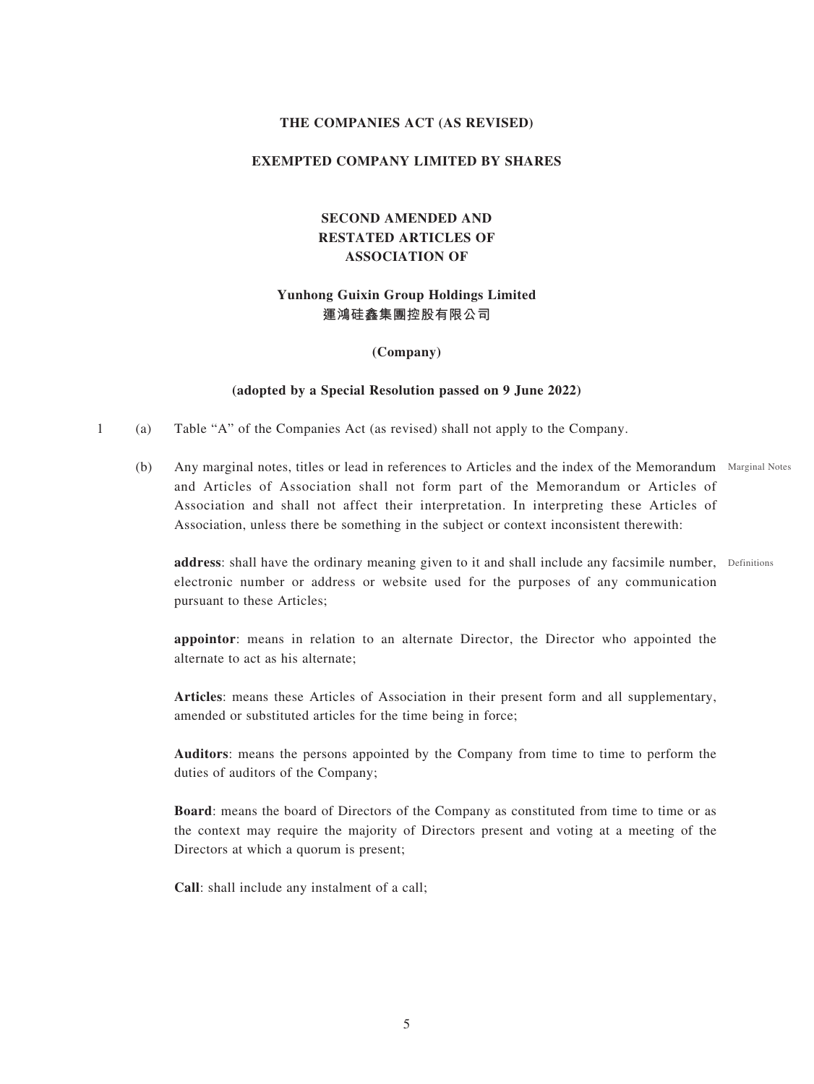## **THE COMPANIES ACT (AS REVISED)**

## **EXEMPTED COMPANY LIMITED BY SHARES**

## **SECOND AMENDED AND RESTATED ARTICLES OF ASSOCIATION OF**

## **Yunhong Guixin Group Holdings Limited 運鴻硅鑫集團控股有限公司**

**(Company)**

#### **(adopted by a Special Resolution passed on 9 June 2022)**

- 1 (a) Table "A" of the Companies Act (as revised) shall not apply to the Company.
	- (b) Any marginal notes, titles or lead in references to Articles and the index of the Memorandum Marginal Notes and Articles of Association shall not form part of the Memorandum or Articles of Association and shall not affect their interpretation. In interpreting these Articles of Association, unless there be something in the subject or context inconsistent therewith:

address: shall have the ordinary meaning given to it and shall include any facsimile number, Definitions electronic number or address or website used for the purposes of any communication pursuant to these Articles;

**appointor**: means in relation to an alternate Director, the Director who appointed the alternate to act as his alternate;

**Articles**: means these Articles of Association in their present form and all supplementary, amended or substituted articles for the time being in force;

**Auditors**: means the persons appointed by the Company from time to time to perform the duties of auditors of the Company;

**Board**: means the board of Directors of the Company as constituted from time to time or as the context may require the majority of Directors present and voting at a meeting of the Directors at which a quorum is present;

**Call**: shall include any instalment of a call;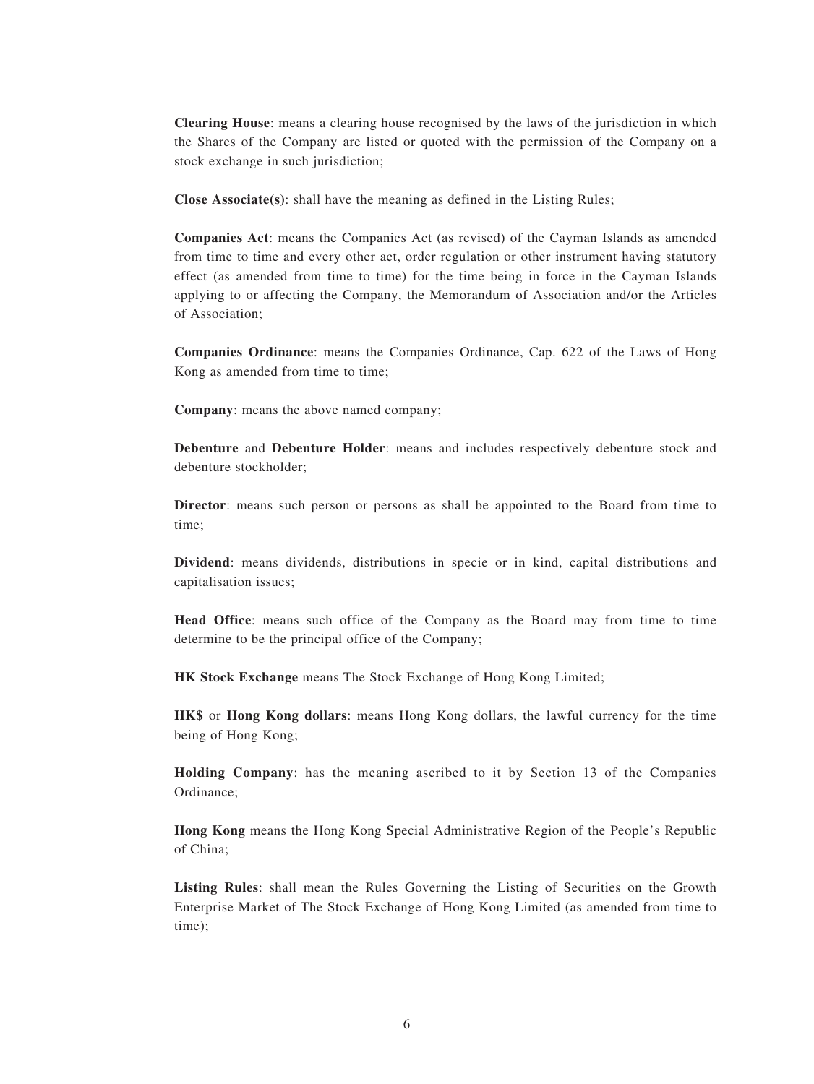**Clearing House**: means a clearing house recognised by the laws of the jurisdiction in which the Shares of the Company are listed or quoted with the permission of the Company on a stock exchange in such jurisdiction;

**Close Associate(s)**: shall have the meaning as defined in the Listing Rules;

**Companies Act**: means the Companies Act (as revised) of the Cayman Islands as amended from time to time and every other act, order regulation or other instrument having statutory effect (as amended from time to time) for the time being in force in the Cayman Islands applying to or affecting the Company, the Memorandum of Association and/or the Articles of Association;

**Companies Ordinance**: means the Companies Ordinance, Cap. 622 of the Laws of Hong Kong as amended from time to time;

**Company**: means the above named company;

**Debenture** and **Debenture Holder**: means and includes respectively debenture stock and debenture stockholder;

**Director**: means such person or persons as shall be appointed to the Board from time to time;

**Dividend**: means dividends, distributions in specie or in kind, capital distributions and capitalisation issues;

**Head Office**: means such office of the Company as the Board may from time to time determine to be the principal office of the Company;

**HK Stock Exchange** means The Stock Exchange of Hong Kong Limited;

**HK\$** or **Hong Kong dollars**: means Hong Kong dollars, the lawful currency for the time being of Hong Kong;

**Holding Company**: has the meaning ascribed to it by Section 13 of the Companies Ordinance;

**Hong Kong** means the Hong Kong Special Administrative Region of the People's Republic of China;

**Listing Rules**: shall mean the Rules Governing the Listing of Securities on the Growth Enterprise Market of The Stock Exchange of Hong Kong Limited (as amended from time to time);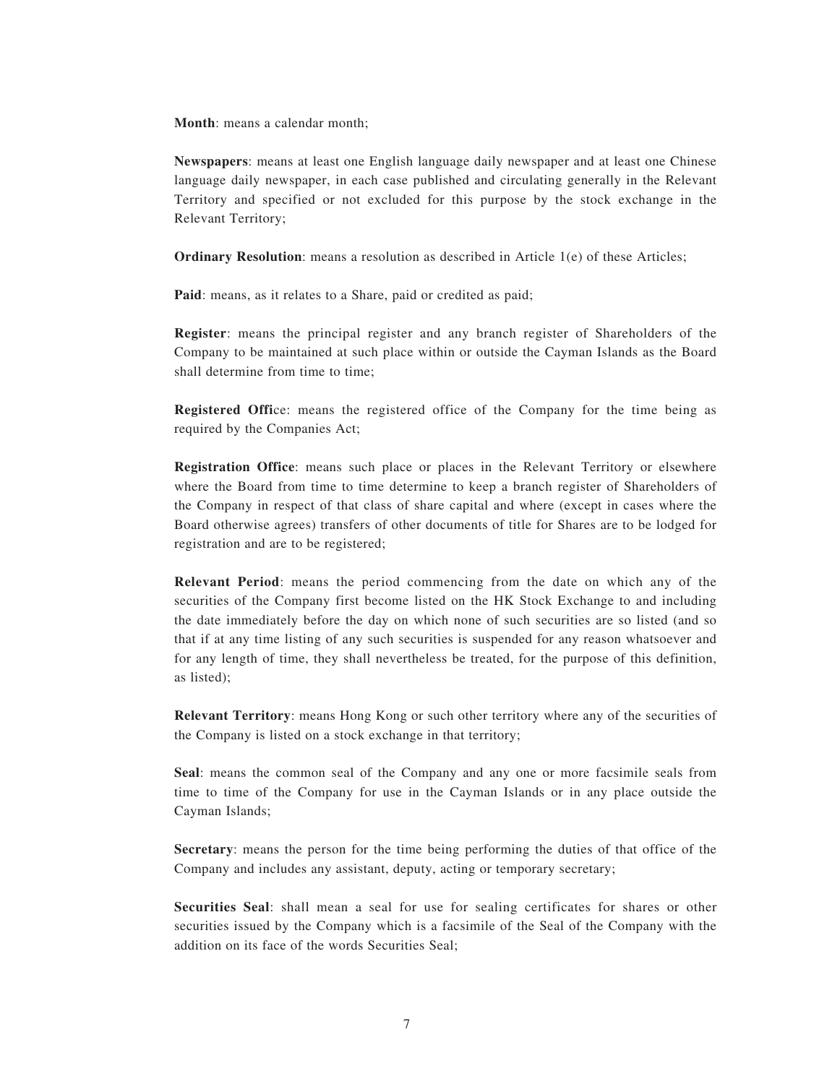**Month**: means a calendar month;

**Newspapers**: means at least one English language daily newspaper and at least one Chinese language daily newspaper, in each case published and circulating generally in the Relevant Territory and specified or not excluded for this purpose by the stock exchange in the Relevant Territory;

**Ordinary Resolution**: means a resolution as described in Article 1(e) of these Articles;

Paid: means, as it relates to a Share, paid or credited as paid;

**Register**: means the principal register and any branch register of Shareholders of the Company to be maintained at such place within or outside the Cayman Islands as the Board shall determine from time to time;

**Registered Office:** means the registered office of the Company for the time being as required by the Companies Act;

**Registration Office**: means such place or places in the Relevant Territory or elsewhere where the Board from time to time determine to keep a branch register of Shareholders of the Company in respect of that class of share capital and where (except in cases where the Board otherwise agrees) transfers of other documents of title for Shares are to be lodged for registration and are to be registered;

**Relevant Period**: means the period commencing from the date on which any of the securities of the Company first become listed on the HK Stock Exchange to and including the date immediately before the day on which none of such securities are so listed (and so that if at any time listing of any such securities is suspended for any reason whatsoever and for any length of time, they shall nevertheless be treated, for the purpose of this definition, as listed);

**Relevant Territory**: means Hong Kong or such other territory where any of the securities of the Company is listed on a stock exchange in that territory;

**Seal**: means the common seal of the Company and any one or more facsimile seals from time to time of the Company for use in the Cayman Islands or in any place outside the Cayman Islands;

**Secretary**: means the person for the time being performing the duties of that office of the Company and includes any assistant, deputy, acting or temporary secretary;

**Securities Seal**: shall mean a seal for use for sealing certificates for shares or other securities issued by the Company which is a facsimile of the Seal of the Company with the addition on its face of the words Securities Seal;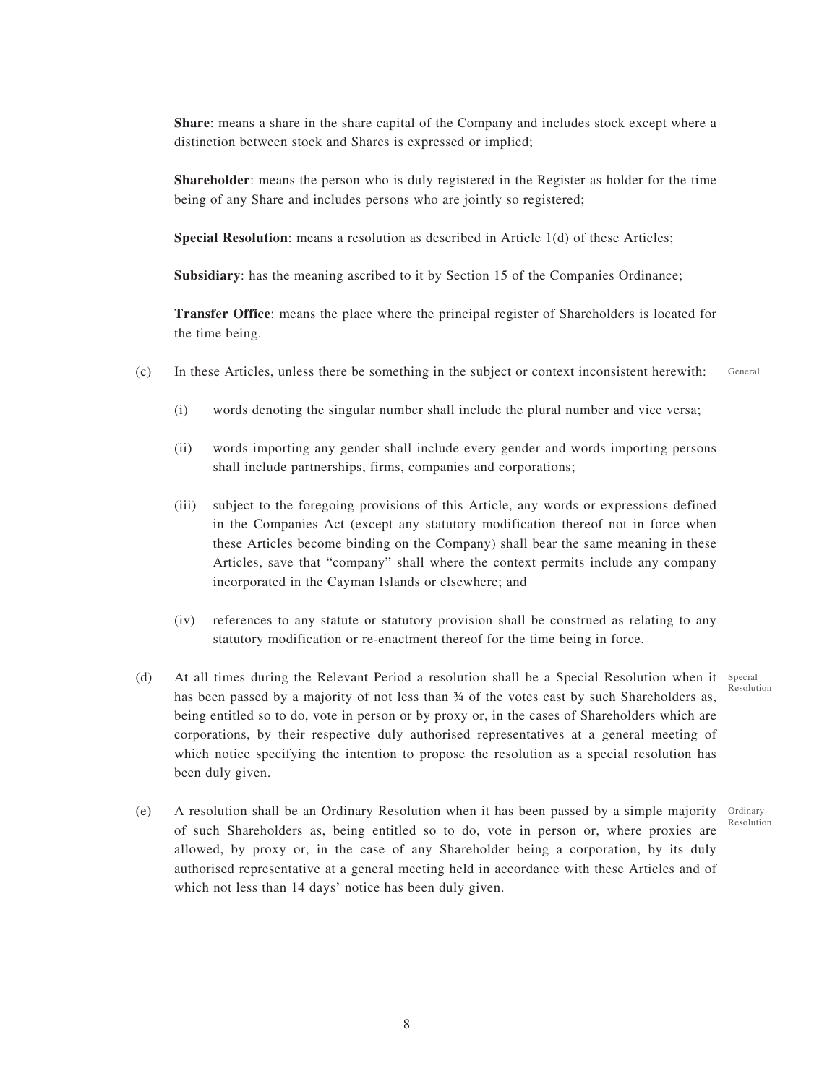**Share**: means a share in the share capital of the Company and includes stock except where a distinction between stock and Shares is expressed or implied;

**Shareholder**: means the person who is duly registered in the Register as holder for the time being of any Share and includes persons who are jointly so registered;

**Special Resolution**: means a resolution as described in Article 1(d) of these Articles;

**Subsidiary**: has the meaning ascribed to it by Section 15 of the Companies Ordinance;

**Transfer Office**: means the place where the principal register of Shareholders is located for the time being.

- (c) In these Articles, unless there be something in the subject or context inconsistent herewith: General
	- (i) words denoting the singular number shall include the plural number and vice versa;
	- (ii) words importing any gender shall include every gender and words importing persons shall include partnerships, firms, companies and corporations;
	- (iii) subject to the foregoing provisions of this Article, any words or expressions defined in the Companies Act (except any statutory modification thereof not in force when these Articles become binding on the Company) shall bear the same meaning in these Articles, save that "company" shall where the context permits include any company incorporated in the Cayman Islands or elsewhere; and
	- (iv) references to any statute or statutory provision shall be construed as relating to any statutory modification or re-enactment thereof for the time being in force.
- (d) At all times during the Relevant Period a resolution shall be a Special Resolution when it Special has been passed by a majority of not less than  $\frac{3}{4}$  of the votes cast by such Shareholders as, being entitled so to do, vote in person or by proxy or, in the cases of Shareholders which are corporations, by their respective duly authorised representatives at a general meeting of which notice specifying the intention to propose the resolution as a special resolution has been duly given.
- (e) A resolution shall be an Ordinary Resolution when it has been passed by a simple majority Ordinary of such Shareholders as, being entitled so to do, vote in person or, where proxies are allowed, by proxy or, in the case of any Shareholder being a corporation, by its duly authorised representative at a general meeting held in accordance with these Articles and of which not less than 14 days' notice has been duly given.

Resolution

Resolution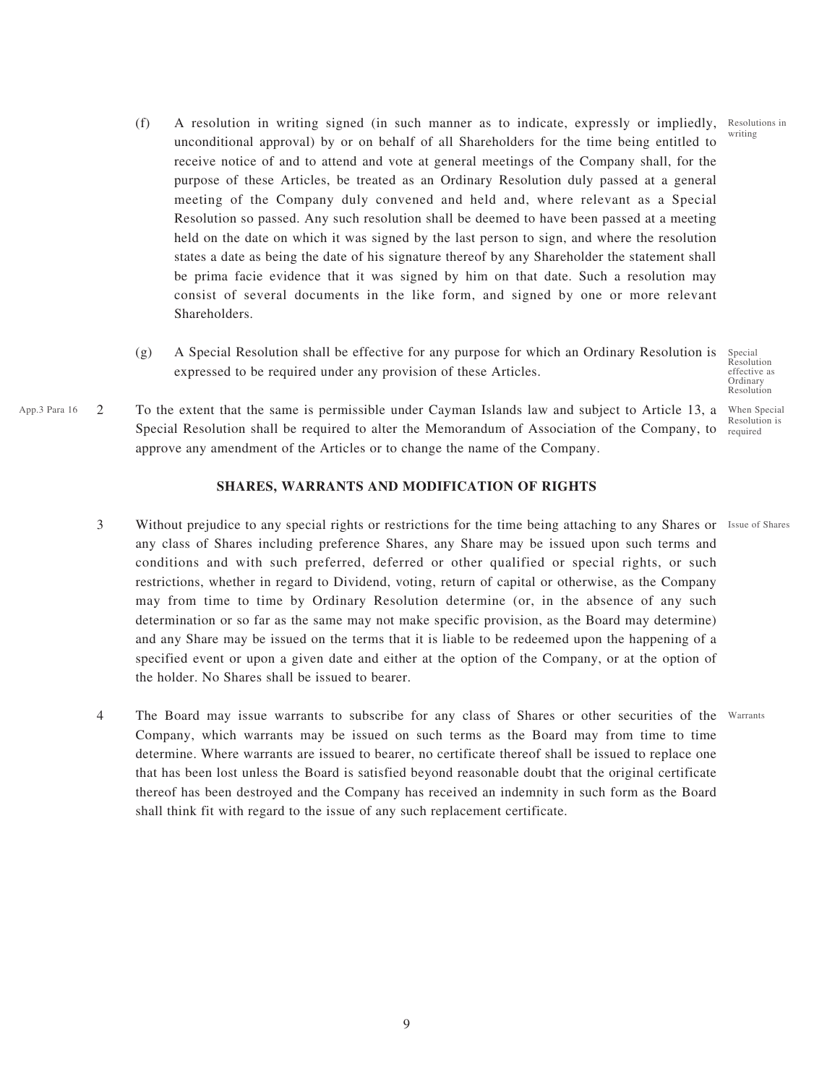writing

Special Resolution effective as Ordinary Resolution

Resolution is required

- (f) A resolution in writing signed (in such manner as to indicate, expressly or impliedly, Resolutions in unconditional approval) by or on behalf of all Shareholders for the time being entitled to receive notice of and to attend and vote at general meetings of the Company shall, for the purpose of these Articles, be treated as an Ordinary Resolution duly passed at a general meeting of the Company duly convened and held and, where relevant as a Special Resolution so passed. Any such resolution shall be deemed to have been passed at a meeting held on the date on which it was signed by the last person to sign, and where the resolution states a date as being the date of his signature thereof by any Shareholder the statement shall be prima facie evidence that it was signed by him on that date. Such a resolution may consist of several documents in the like form, and signed by one or more relevant Shareholders.
- (g) A Special Resolution shall be effective for any purpose for which an Ordinary Resolution is expressed to be required under any provision of these Articles.
- App.3 Para 16  $2$  To the extent that the same is permissible under Cayman Islands law and subject to Article 13, a When Special Special Resolution shall be required to alter the Memorandum of Association of the Company, to approve any amendment of the Articles or to change the name of the Company.

## **SHARES, WARRANTS AND MODIFICATION OF RIGHTS**

- 3 Without prejudice to any special rights or restrictions for the time being attaching to any Shares or Issue of Shares any class of Shares including preference Shares, any Share may be issued upon such terms and conditions and with such preferred, deferred or other qualified or special rights, or such restrictions, whether in regard to Dividend, voting, return of capital or otherwise, as the Company may from time to time by Ordinary Resolution determine (or, in the absence of any such determination or so far as the same may not make specific provision, as the Board may determine) and any Share may be issued on the terms that it is liable to be redeemed upon the happening of a specified event or upon a given date and either at the option of the Company, or at the option of the holder. No Shares shall be issued to bearer.
- 4 The Board may issue warrants to subscribe for any class of Shares or other securities of the Warrants Company, which warrants may be issued on such terms as the Board may from time to time determine. Where warrants are issued to bearer, no certificate thereof shall be issued to replace one that has been lost unless the Board is satisfied beyond reasonable doubt that the original certificate thereof has been destroyed and the Company has received an indemnity in such form as the Board shall think fit with regard to the issue of any such replacement certificate.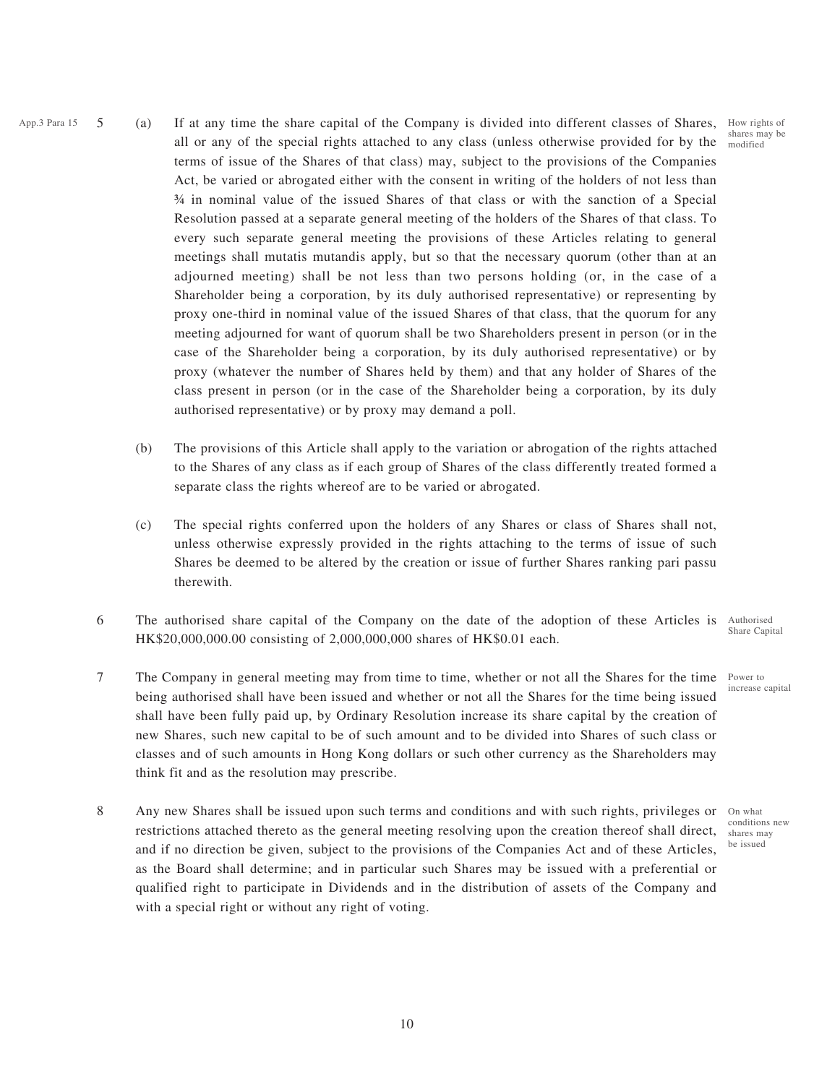shares may be modified

- App.3 Para 15  $\,$  5  $\,$  (a) If at any time the share capital of the Company is divided into different classes of Shares, How rights of all or any of the special rights attached to any class (unless otherwise provided for by the terms of issue of the Shares of that class) may, subject to the provisions of the Companies Act, be varied or abrogated either with the consent in writing of the holders of not less than ¾ in nominal value of the issued Shares of that class or with the sanction of a Special Resolution passed at a separate general meeting of the holders of the Shares of that class. To every such separate general meeting the provisions of these Articles relating to general meetings shall mutatis mutandis apply, but so that the necessary quorum (other than at an adjourned meeting) shall be not less than two persons holding (or, in the case of a Shareholder being a corporation, by its duly authorised representative) or representing by proxy one-third in nominal value of the issued Shares of that class, that the quorum for any meeting adjourned for want of quorum shall be two Shareholders present in person (or in the case of the Shareholder being a corporation, by its duly authorised representative) or by proxy (whatever the number of Shares held by them) and that any holder of Shares of the class present in person (or in the case of the Shareholder being a corporation, by its duly authorised representative) or by proxy may demand a poll.
	- (b) The provisions of this Article shall apply to the variation or abrogation of the rights attached to the Shares of any class as if each group of Shares of the class differently treated formed a separate class the rights whereof are to be varied or abrogated.
	- (c) The special rights conferred upon the holders of any Shares or class of Shares shall not, unless otherwise expressly provided in the rights attaching to the terms of issue of such Shares be deemed to be altered by the creation or issue of further Shares ranking pari passu therewith.
	- 6 The authorised share capital of the Company on the date of the adoption of these Articles is Authorised HK\$20,000,000.00 consisting of 2,000,000,000 shares of HK\$0.01 each. Share Capital
	- 7 The Company in general meeting may from time to time, whether or not all the Shares for the time Power to being authorised shall have been issued and whether or not all the Shares for the time being issued shall have been fully paid up, by Ordinary Resolution increase its share capital by the creation of new Shares, such new capital to be of such amount and to be divided into Shares of such class or classes and of such amounts in Hong Kong dollars or such other currency as the Shareholders may think fit and as the resolution may prescribe.
	- 8 Any new Shares shall be issued upon such terms and conditions and with such rights, privileges or restrictions attached thereto as the general meeting resolving upon the creation thereof shall direct, and if no direction be given, subject to the provisions of the Companies Act and of these Articles, as the Board shall determine; and in particular such Shares may be issued with a preferential or qualified right to participate in Dividends and in the distribution of assets of the Company and with a special right or without any right of voting.

increase capital

On what conditions new shares may be issued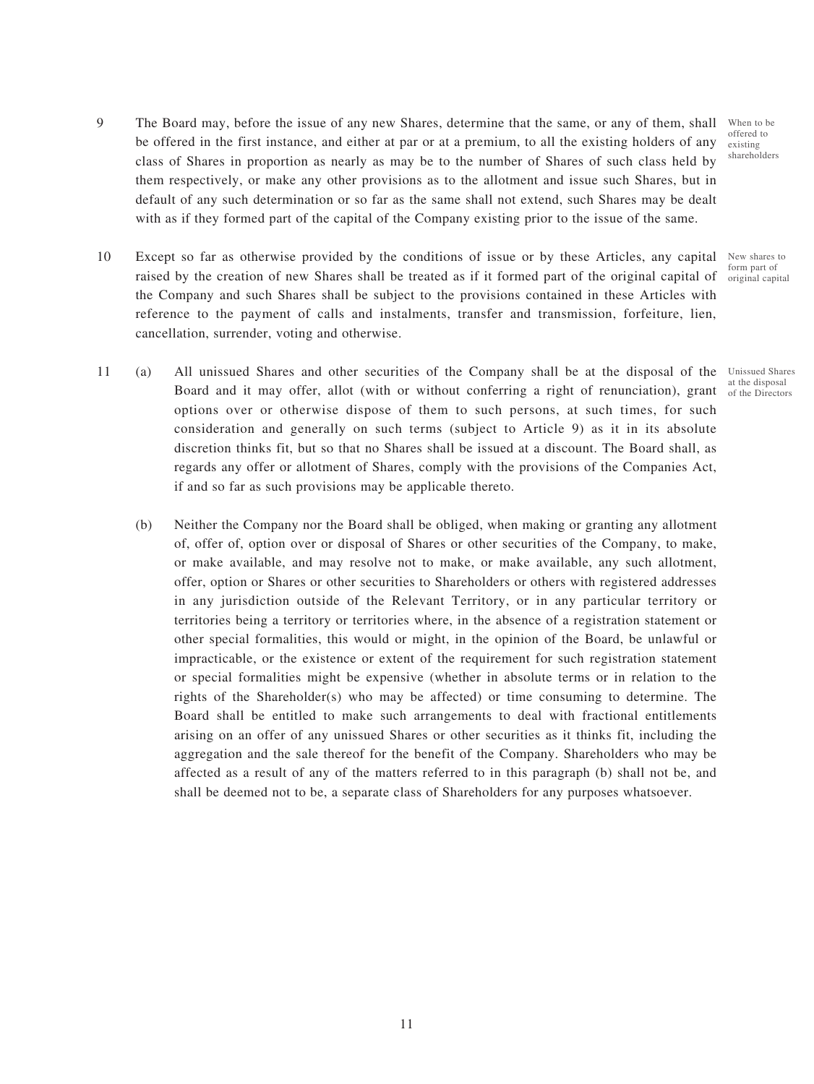- 9 The Board may, before the issue of any new Shares, determine that the same, or any of them, shall be offered in the first instance, and either at par or at a premium, to all the existing holders of any class of Shares in proportion as nearly as may be to the number of Shares of such class held by them respectively, or make any other provisions as to the allotment and issue such Shares, but in default of any such determination or so far as the same shall not extend, such Shares may be dealt with as if they formed part of the capital of the Company existing prior to the issue of the same. When to be
- 10 Except so far as otherwise provided by the conditions of issue or by these Articles, any capital raised by the creation of new Shares shall be treated as if it formed part of the original capital of the Company and such Shares shall be subject to the provisions contained in these Articles with reference to the payment of calls and instalments, transfer and transmission, forfeiture, lien, cancellation, surrender, voting and otherwise.
- 11 (a) All unissued Shares and other securities of the Company shall be at the disposal of the Unissued Shares Board and it may offer, allot (with or without conferring a right of renunciation), grant  $\frac{d}{dt}$  the Directors options over or otherwise dispose of them to such persons, at such times, for such consideration and generally on such terms (subject to Article 9) as it in its absolute discretion thinks fit, but so that no Shares shall be issued at a discount. The Board shall, as regards any offer or allotment of Shares, comply with the provisions of the Companies Act, if and so far as such provisions may be applicable thereto.
	- (b) Neither the Company nor the Board shall be obliged, when making or granting any allotment of, offer of, option over or disposal of Shares or other securities of the Company, to make, or make available, and may resolve not to make, or make available, any such allotment, offer, option or Shares or other securities to Shareholders or others with registered addresses in any jurisdiction outside of the Relevant Territory, or in any particular territory or territories being a territory or territories where, in the absence of a registration statement or other special formalities, this would or might, in the opinion of the Board, be unlawful or impracticable, or the existence or extent of the requirement for such registration statement or special formalities might be expensive (whether in absolute terms or in relation to the rights of the Shareholder(s) who may be affected) or time consuming to determine. The Board shall be entitled to make such arrangements to deal with fractional entitlements arising on an offer of any unissued Shares or other securities as it thinks fit, including the aggregation and the sale thereof for the benefit of the Company. Shareholders who may be affected as a result of any of the matters referred to in this paragraph (b) shall not be, and shall be deemed not to be, a separate class of Shareholders for any purposes whatsoever.

offered to existing shareholders

New shares to form part of original capital

at the disposal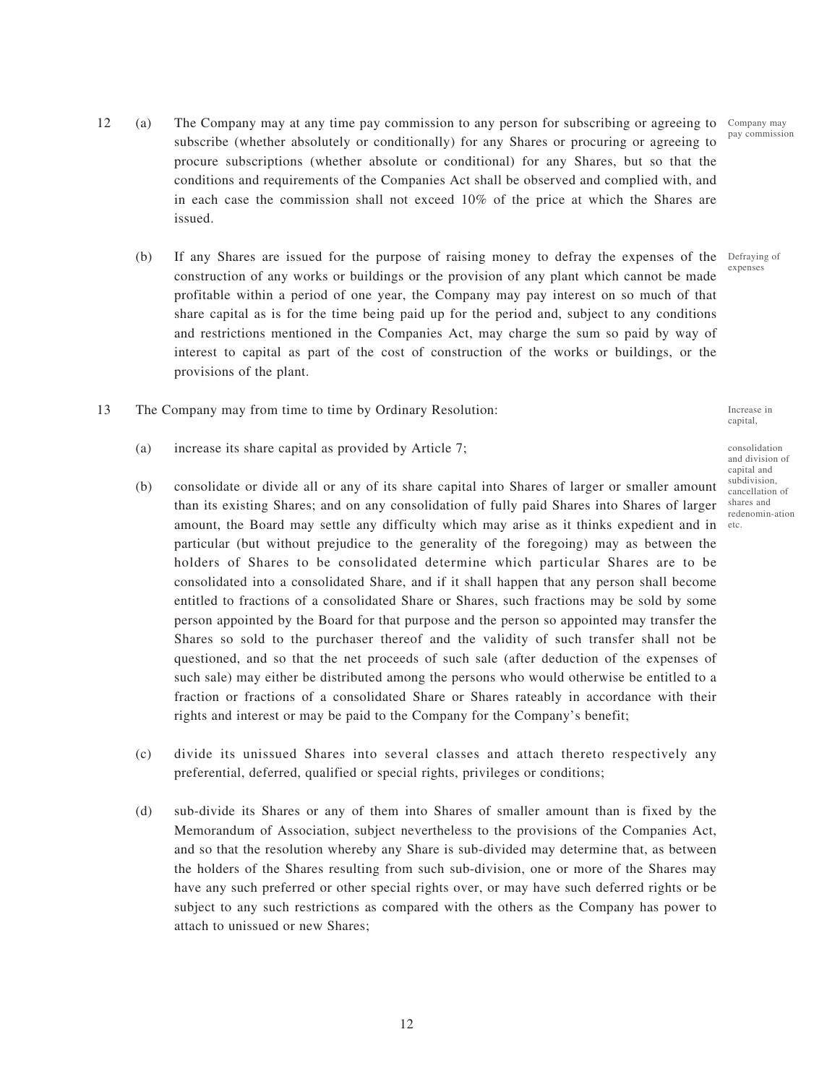- 12 (a) The Company may at any time pay commission to any person for subscribing or agreeing to Company may subscribe (whether absolutely or conditionally) for any Shares or procuring or agreeing to procure subscriptions (whether absolute or conditional) for any Shares, but so that the conditions and requirements of the Companies Act shall be observed and complied with, and in each case the commission shall not exceed 10% of the price at which the Shares are issued.
	- (b) If any Shares are issued for the purpose of raising money to defray the expenses of the Defraying of construction of any works or buildings or the provision of any plant which cannot be made profitable within a period of one year, the Company may pay interest on so much of that share capital as is for the time being paid up for the period and, subject to any conditions and restrictions mentioned in the Companies Act, may charge the sum so paid by way of interest to capital as part of the cost of construction of the works or buildings, or the provisions of the plant.
- 13 The Company may from time to time by Ordinary Resolution:
	- (a) increase its share capital as provided by Article 7;
	- (b) consolidate or divide all or any of its share capital into Shares of larger or smaller amount than its existing Shares; and on any consolidation of fully paid Shares into Shares of larger amount, the Board may settle any difficulty which may arise as it thinks expedient and in etc.particular (but without prejudice to the generality of the foregoing) may as between the holders of Shares to be consolidated determine which particular Shares are to be consolidated into a consolidated Share, and if it shall happen that any person shall become entitled to fractions of a consolidated Share or Shares, such fractions may be sold by some person appointed by the Board for that purpose and the person so appointed may transfer the Shares so sold to the purchaser thereof and the validity of such transfer shall not be questioned, and so that the net proceeds of such sale (after deduction of the expenses of such sale) may either be distributed among the persons who would otherwise be entitled to a fraction or fractions of a consolidated Share or Shares rateably in accordance with their rights and interest or may be paid to the Company for the Company's benefit;
	- (c) divide its unissued Shares into several classes and attach thereto respectively any preferential, deferred, qualified or special rights, privileges or conditions;
	- (d) sub-divide its Shares or any of them into Shares of smaller amount than is fixed by the Memorandum of Association, subject nevertheless to the provisions of the Companies Act, and so that the resolution whereby any Share is sub-divided may determine that, as between the holders of the Shares resulting from such sub-division, one or more of the Shares may have any such preferred or other special rights over, or may have such deferred rights or be subject to any such restrictions as compared with the others as the Company has power to attach to unissued or new Shares;

consolidation and division of capital and subdivision, cancellation of shares and

redenomin-ation

Increase in capital,

pay commission

expenses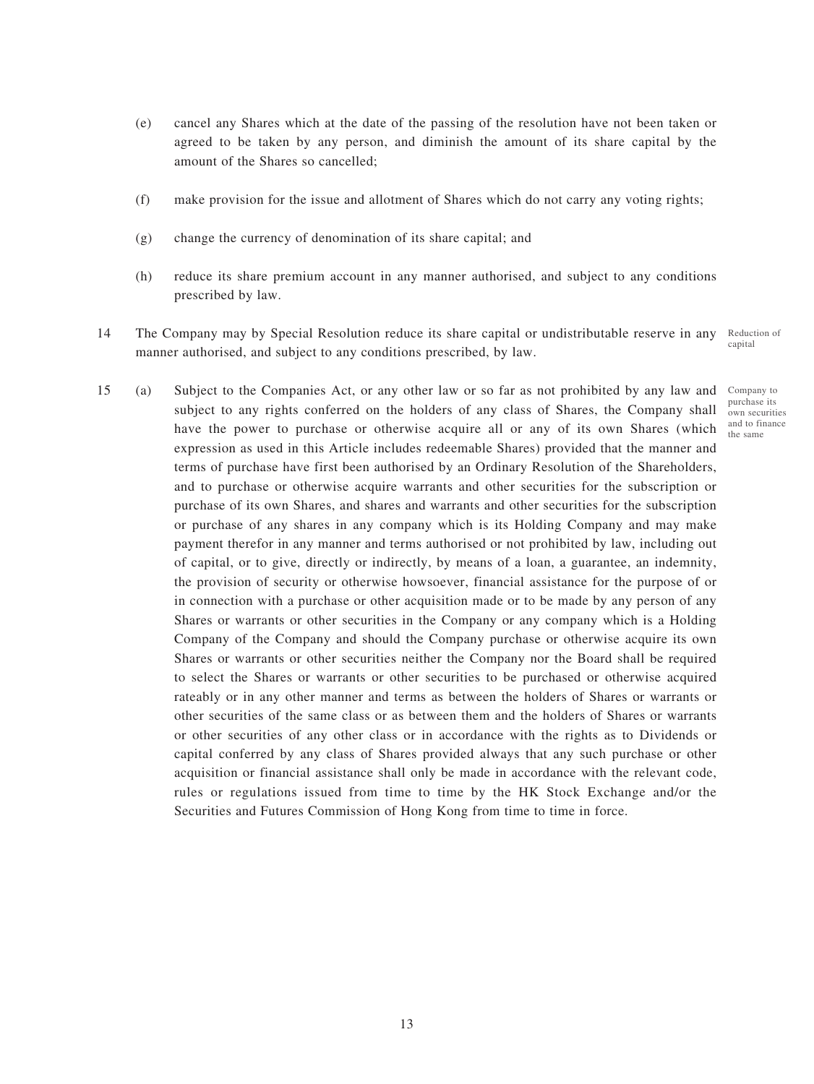- (e) cancel any Shares which at the date of the passing of the resolution have not been taken or agreed to be taken by any person, and diminish the amount of its share capital by the amount of the Shares so cancelled;
- (f) make provision for the issue and allotment of Shares which do not carry any voting rights;
- (g) change the currency of denomination of its share capital; and
- (h) reduce its share premium account in any manner authorised, and subject to any conditions prescribed by law.
- 14 The Company may by Special Resolution reduce its share capital or undistributable reserve in any manner authorised, and subject to any conditions prescribed, by law. Reduction of capital
- 15 (a) Subject to the Companies Act, or any other law or so far as not prohibited by any law and subject to any rights conferred on the holders of any class of Shares, the Company shall have the power to purchase or otherwise acquire all or any of its own Shares (which expression as used in this Article includes redeemable Shares) provided that the manner and terms of purchase have first been authorised by an Ordinary Resolution of the Shareholders, and to purchase or otherwise acquire warrants and other securities for the subscription or purchase of its own Shares, and shares and warrants and other securities for the subscription or purchase of any shares in any company which is its Holding Company and may make payment therefor in any manner and terms authorised or not prohibited by law, including out of capital, or to give, directly or indirectly, by means of a loan, a guarantee, an indemnity, the provision of security or otherwise howsoever, financial assistance for the purpose of or in connection with a purchase or other acquisition made or to be made by any person of any Shares or warrants or other securities in the Company or any company which is a Holding Company of the Company and should the Company purchase or otherwise acquire its own Shares or warrants or other securities neither the Company nor the Board shall be required to select the Shares or warrants or other securities to be purchased or otherwise acquired rateably or in any other manner and terms as between the holders of Shares or warrants or other securities of the same class or as between them and the holders of Shares or warrants or other securities of any other class or in accordance with the rights as to Dividends or capital conferred by any class of Shares provided always that any such purchase or other acquisition or financial assistance shall only be made in accordance with the relevant code, rules or regulations issued from time to time by the HK Stock Exchange and/or the Securities and Futures Commission of Hong Kong from time to time in force.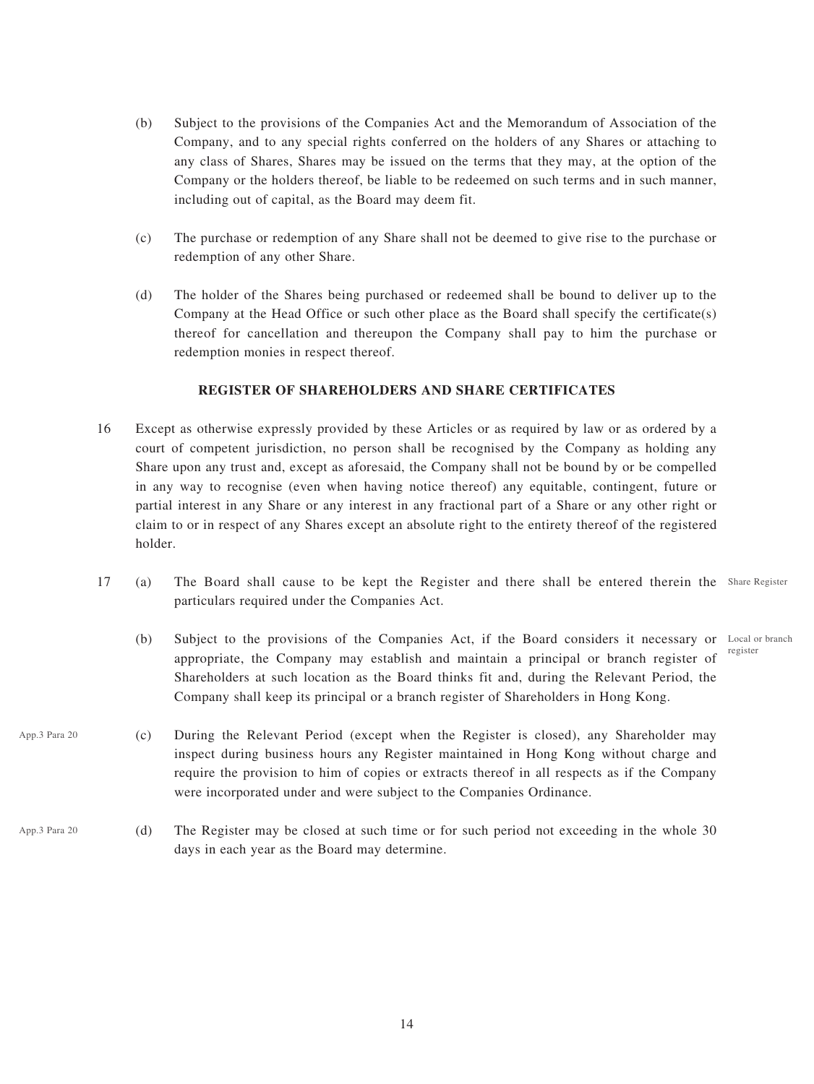- (b) Subject to the provisions of the Companies Act and the Memorandum of Association of the Company, and to any special rights conferred on the holders of any Shares or attaching to any class of Shares, Shares may be issued on the terms that they may, at the option of the Company or the holders thereof, be liable to be redeemed on such terms and in such manner, including out of capital, as the Board may deem fit.
- (c) The purchase or redemption of any Share shall not be deemed to give rise to the purchase or redemption of any other Share.
- (d) The holder of the Shares being purchased or redeemed shall be bound to deliver up to the Company at the Head Office or such other place as the Board shall specify the certificate(s) thereof for cancellation and thereupon the Company shall pay to him the purchase or redemption monies in respect thereof.

## **REGISTER OF SHAREHOLDERS AND SHARE CERTIFICATES**

- 16 Except as otherwise expressly provided by these Articles or as required by law or as ordered by a court of competent jurisdiction, no person shall be recognised by the Company as holding any Share upon any trust and, except as aforesaid, the Company shall not be bound by or be compelled in any way to recognise (even when having notice thereof) any equitable, contingent, future or partial interest in any Share or any interest in any fractional part of a Share or any other right or claim to or in respect of any Shares except an absolute right to the entirety thereof of the registered holder.
- 17 (a) The Board shall cause to be kept the Register and there shall be entered therein the Share Register particulars required under the Companies Act.
	- (b) Subject to the provisions of the Companies Act, if the Board considers it necessary or Local or branch appropriate, the Company may establish and maintain a principal or branch register of Shareholders at such location as the Board thinks fit and, during the Relevant Period, the Company shall keep its principal or a branch register of Shareholders in Hong Kong. register
- (c) During the Relevant Period (except when the Register is closed), any Shareholder may inspect during business hours any Register maintained in Hong Kong without charge and require the provision to him of copies or extracts thereof in all respects as if the Company were incorporated under and were subject to the Companies Ordinance. App.3 Para 20
- (d) The Register may be closed at such time or for such period not exceeding in the whole 30 days in each year as the Board may determine. App.3 Para 20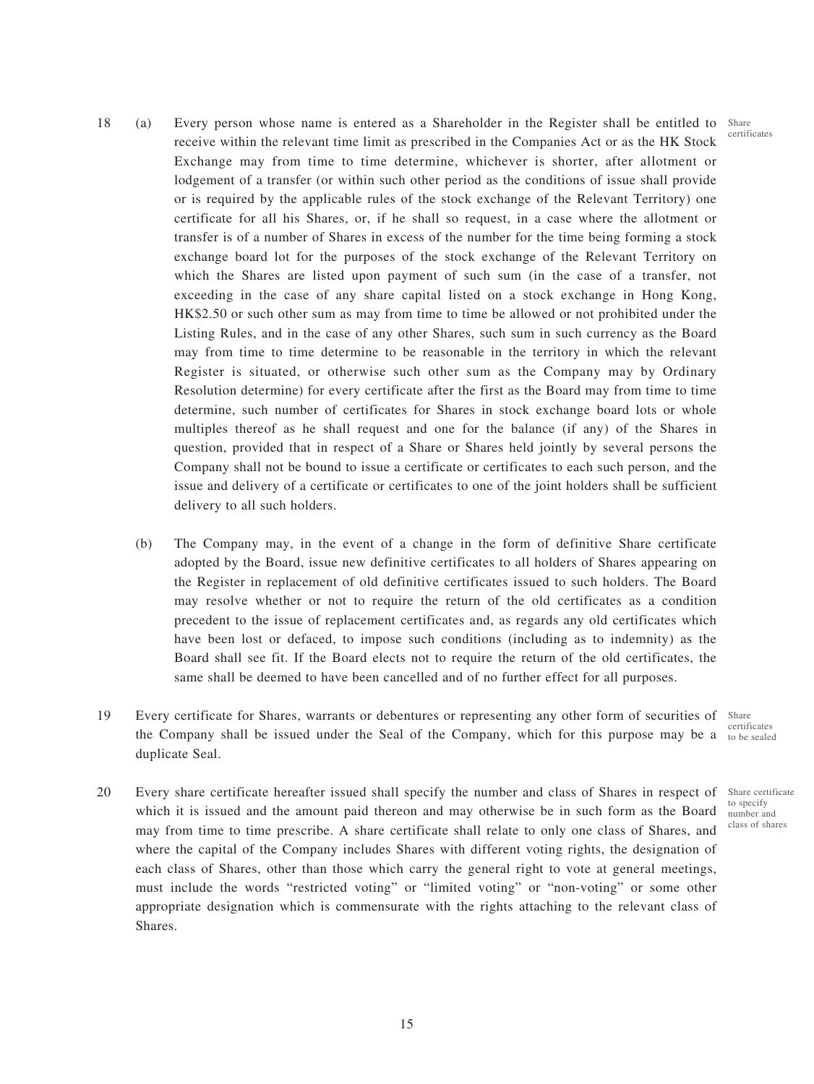certificates

- 18 (a) Every person whose name is entered as a Shareholder in the Register shall be entitled to Share receive within the relevant time limit as prescribed in the Companies Act or as the HK Stock Exchange may from time to time determine, whichever is shorter, after allotment or lodgement of a transfer (or within such other period as the conditions of issue shall provide or is required by the applicable rules of the stock exchange of the Relevant Territory) one certificate for all his Shares, or, if he shall so request, in a case where the allotment or transfer is of a number of Shares in excess of the number for the time being forming a stock exchange board lot for the purposes of the stock exchange of the Relevant Territory on which the Shares are listed upon payment of such sum (in the case of a transfer, not exceeding in the case of any share capital listed on a stock exchange in Hong Kong, HK\$2.50 or such other sum as may from time to time be allowed or not prohibited under the Listing Rules, and in the case of any other Shares, such sum in such currency as the Board may from time to time determine to be reasonable in the territory in which the relevant Register is situated, or otherwise such other sum as the Company may by Ordinary Resolution determine) for every certificate after the first as the Board may from time to time determine, such number of certificates for Shares in stock exchange board lots or whole multiples thereof as he shall request and one for the balance (if any) of the Shares in question, provided that in respect of a Share or Shares held jointly by several persons the Company shall not be bound to issue a certificate or certificates to each such person, and the issue and delivery of a certificate or certificates to one of the joint holders shall be sufficient delivery to all such holders.
	- (b) The Company may, in the event of a change in the form of definitive Share certificate adopted by the Board, issue new definitive certificates to all holders of Shares appearing on the Register in replacement of old definitive certificates issued to such holders. The Board may resolve whether or not to require the return of the old certificates as a condition precedent to the issue of replacement certificates and, as regards any old certificates which have been lost or defaced, to impose such conditions (including as to indemnity) as the Board shall see fit. If the Board elects not to require the return of the old certificates, the same shall be deemed to have been cancelled and of no further effect for all purposes.
- 19 Every certificate for Shares, warrants or debentures or representing any other form of securities of Share the Company shall be issued under the Seal of the Company, which for this purpose may be a to be sealed duplicate Seal. certificates
- 20 Every share certificate hereafter issued shall specify the number and class of Shares in respect of Share certificate which it is issued and the amount paid thereon and may otherwise be in such form as the Board may from time to time prescribe. A share certificate shall relate to only one class of Shares, and where the capital of the Company includes Shares with different voting rights, the designation of each class of Shares, other than those which carry the general right to vote at general meetings, must include the words "restricted voting" or "limited voting" or "non-voting" or some other appropriate designation which is commensurate with the rights attaching to the relevant class of Shares.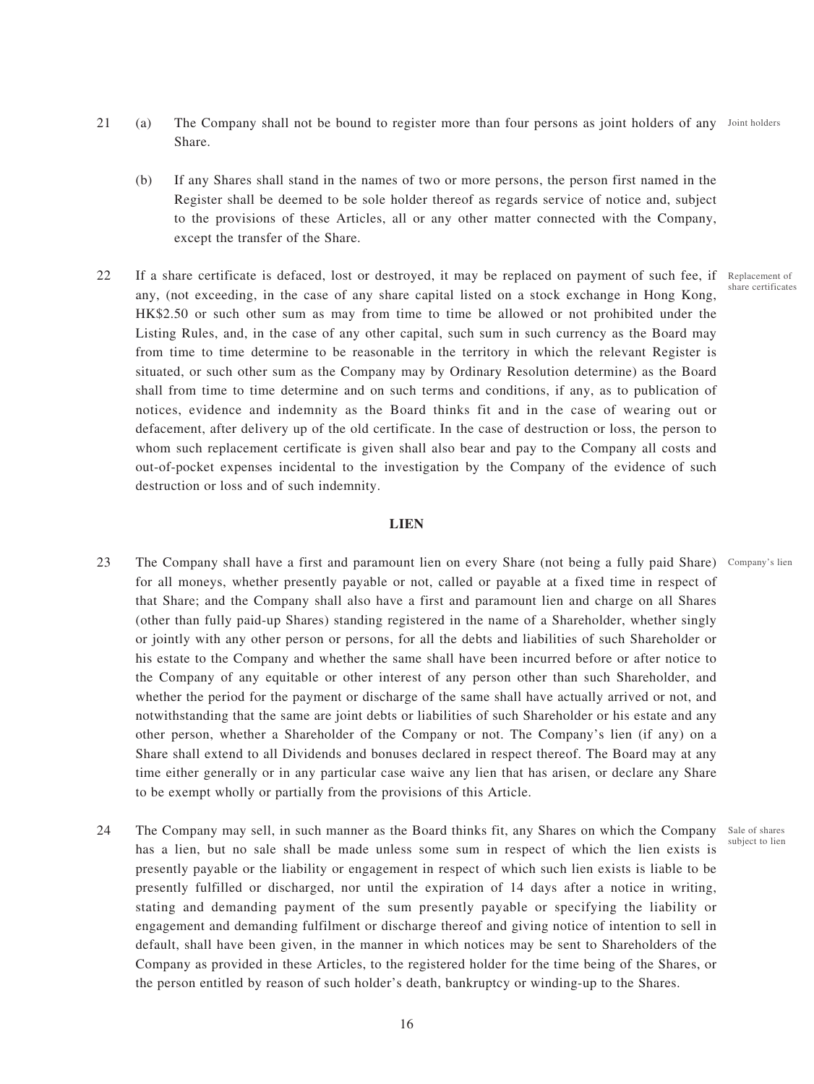- 21 (a) The Company shall not be bound to register more than four persons as joint holders of any Joint holders Share.
	- (b) If any Shares shall stand in the names of two or more persons, the person first named in the Register shall be deemed to be sole holder thereof as regards service of notice and, subject to the provisions of these Articles, all or any other matter connected with the Company, except the transfer of the Share.
- 22 If a share certificate is defaced, lost or destroyed, it may be replaced on payment of such fee, if Replacement of any, (not exceeding, in the case of any share capital listed on a stock exchange in Hong Kong, HK\$2.50 or such other sum as may from time to time be allowed or not prohibited under the Listing Rules, and, in the case of any other capital, such sum in such currency as the Board may from time to time determine to be reasonable in the territory in which the relevant Register is situated, or such other sum as the Company may by Ordinary Resolution determine) as the Board shall from time to time determine and on such terms and conditions, if any, as to publication of notices, evidence and indemnity as the Board thinks fit and in the case of wearing out or defacement, after delivery up of the old certificate. In the case of destruction or loss, the person to whom such replacement certificate is given shall also bear and pay to the Company all costs and out-of-pocket expenses incidental to the investigation by the Company of the evidence of such destruction or loss and of such indemnity.

## **LIEN**

- 23 The Company shall have a first and paramount lien on every Share (not being a fully paid Share) Company's lien for all moneys, whether presently payable or not, called or payable at a fixed time in respect of that Share; and the Company shall also have a first and paramount lien and charge on all Shares (other than fully paid-up Shares) standing registered in the name of a Shareholder, whether singly or jointly with any other person or persons, for all the debts and liabilities of such Shareholder or his estate to the Company and whether the same shall have been incurred before or after notice to the Company of any equitable or other interest of any person other than such Shareholder, and whether the period for the payment or discharge of the same shall have actually arrived or not, and notwithstanding that the same are joint debts or liabilities of such Shareholder or his estate and any other person, whether a Shareholder of the Company or not. The Company's lien (if any) on a Share shall extend to all Dividends and bonuses declared in respect thereof. The Board may at any time either generally or in any particular case waive any lien that has arisen, or declare any Share to be exempt wholly or partially from the provisions of this Article.
- 24 The Company may sell, in such manner as the Board thinks fit, any Shares on which the Company Sale of shares has a lien, but no sale shall be made unless some sum in respect of which the lien exists is presently payable or the liability or engagement in respect of which such lien exists is liable to be presently fulfilled or discharged, nor until the expiration of 14 days after a notice in writing, stating and demanding payment of the sum presently payable or specifying the liability or engagement and demanding fulfilment or discharge thereof and giving notice of intention to sell in default, shall have been given, in the manner in which notices may be sent to Shareholders of the Company as provided in these Articles, to the registered holder for the time being of the Shares, or the person entitled by reason of such holder's death, bankruptcy or winding-up to the Shares.

share certificates

subject to lien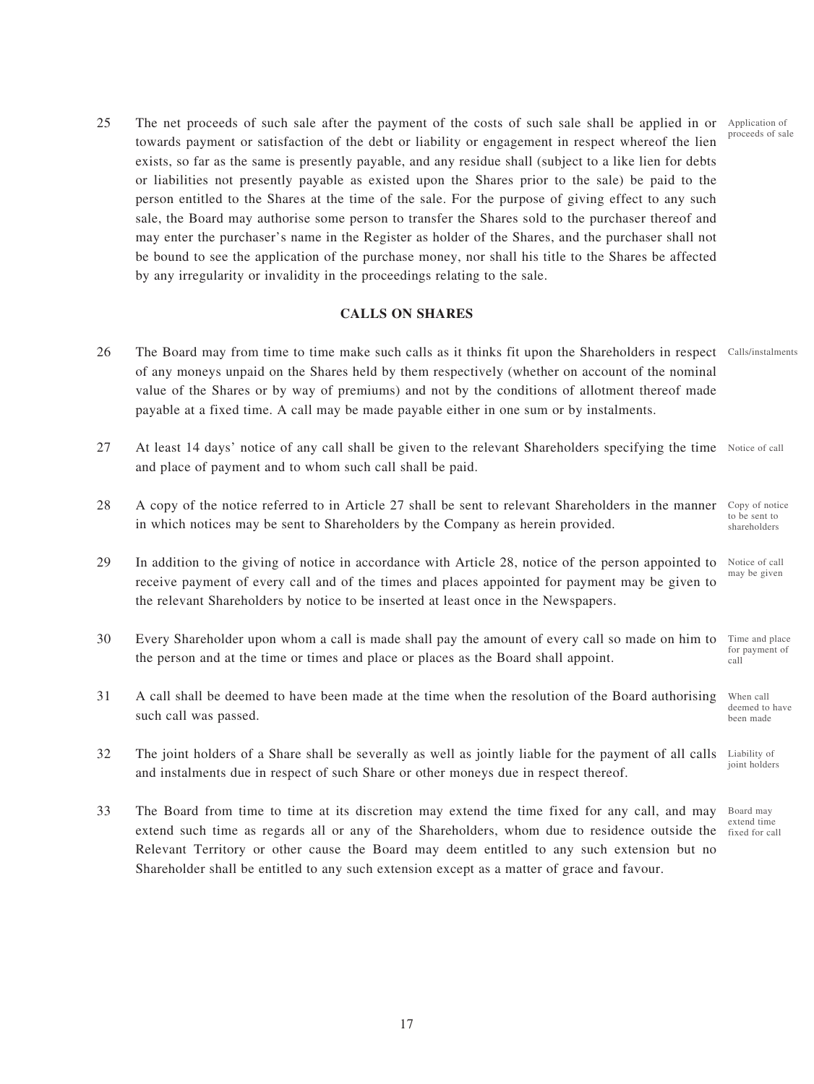25 The net proceeds of such sale after the payment of the costs of such sale shall be applied in or Application of towards payment or satisfaction of the debt or liability or engagement in respect whereof the lien exists, so far as the same is presently payable, and any residue shall (subject to a like lien for debts or liabilities not presently payable as existed upon the Shares prior to the sale) be paid to the person entitled to the Shares at the time of the sale. For the purpose of giving effect to any such sale, the Board may authorise some person to transfer the Shares sold to the purchaser thereof and may enter the purchaser's name in the Register as holder of the Shares, and the purchaser shall not be bound to see the application of the purchase money, nor shall his title to the Shares be affected by any irregularity or invalidity in the proceedings relating to the sale.

## **CALLS ON SHARES**

- 26 The Board may from time to time make such calls as it thinks fit upon the Shareholders in respect Calls/instalments of any moneys unpaid on the Shares held by them respectively (whether on account of the nominal value of the Shares or by way of premiums) and not by the conditions of allotment thereof made payable at a fixed time. A call may be made payable either in one sum or by instalments.
- 27 At least 14 days' notice of any call shall be given to the relevant Shareholders specifying the time Notice of call and place of payment and to whom such call shall be paid.
- 28 A copy of the notice referred to in Article 27 shall be sent to relevant Shareholders in the manner in which notices may be sent to Shareholders by the Company as herein provided. Copy of notice to be sent to shareholders
- 29 In addition to the giving of notice in accordance with Article 28, notice of the person appointed to receive payment of every call and of the times and places appointed for payment may be given to the relevant Shareholders by notice to be inserted at least once in the Newspapers. Notice of call may be given
- 30 Every Shareholder upon whom a call is made shall pay the amount of every call so made on him to the person and at the time or times and place or places as the Board shall appoint. Time and place for payment of call
- 31 A call shall be deemed to have been made at the time when the resolution of the Board authorising such call was passed. When call deemed to have been made
- 32 The joint holders of a Share shall be severally as well as jointly liable for the payment of all calls and instalments due in respect of such Share or other moneys due in respect thereof. Liability of joint holders
- 33 The Board from time to time at its discretion may extend the time fixed for any call, and may extend such time as regards all or any of the Shareholders, whom due to residence outside the Relevant Territory or other cause the Board may deem entitled to any such extension but no Shareholder shall be entitled to any such extension except as a matter of grace and favour.

proceeds of sale

Board may extend time fixed for call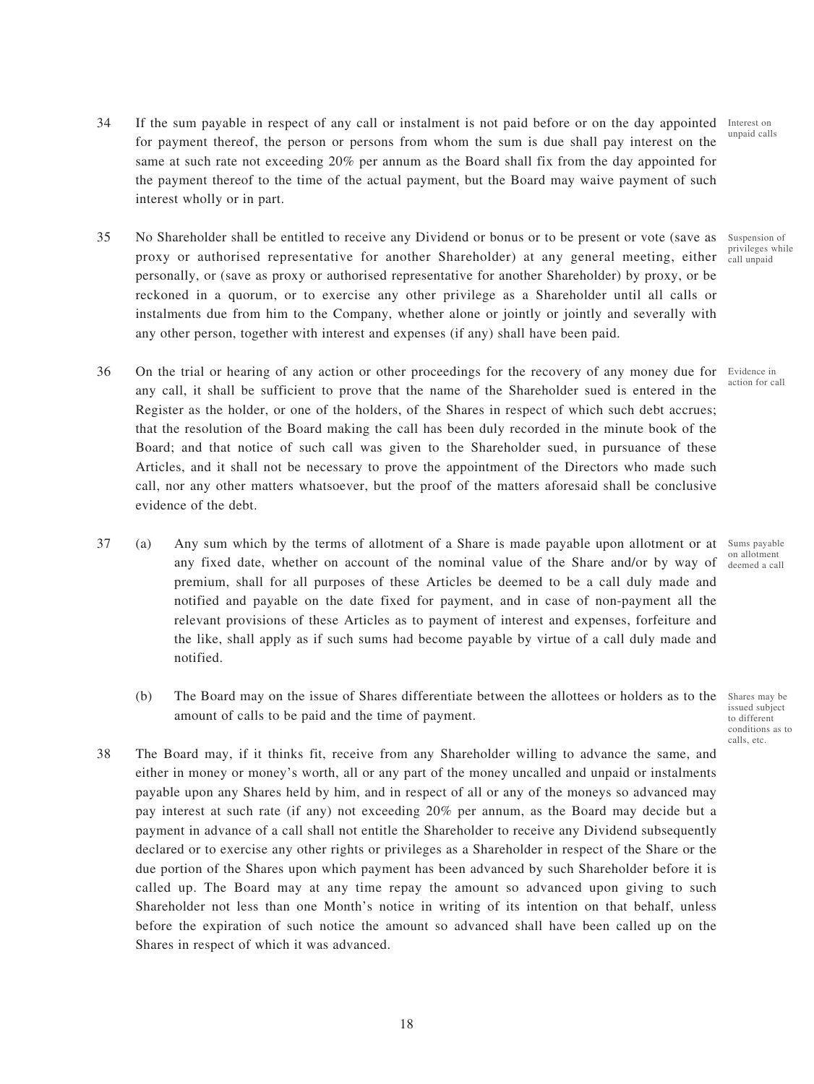35 No Shareholder shall be entitled to receive any Dividend or bonus or to be present or vote (save as proxy or authorised representative for another Shareholder) at any general meeting, either personally, or (save as proxy or authorised representative for another Shareholder) by proxy, or be reckoned in a quorum, or to exercise any other privilege as a Shareholder until all calls or instalments due from him to the Company, whether alone or jointly or jointly and severally with any other person, together with interest and expenses (if any) shall have been paid.

interest wholly or in part.

- 36 On the trial or hearing of any action or other proceedings for the recovery of any money due for Evidence in any call, it shall be sufficient to prove that the name of the Shareholder sued is entered in the Register as the holder, or one of the holders, of the Shares in respect of which such debt accrues; that the resolution of the Board making the call has been duly recorded in the minute book of the Board; and that notice of such call was given to the Shareholder sued, in pursuance of these Articles, and it shall not be necessary to prove the appointment of the Directors who made such call, nor any other matters whatsoever, but the proof of the matters aforesaid shall be conclusive evidence of the debt.
- 37 (a) Any sum which by the terms of allotment of a Share is made payable upon allotment or at Sums payable any fixed date, whether on account of the nominal value of the Share and/or by way of premium, shall for all purposes of these Articles be deemed to be a call duly made and notified and payable on the date fixed for payment, and in case of non-payment all the relevant provisions of these Articles as to payment of interest and expenses, forfeiture and the like, shall apply as if such sums had become payable by virtue of a call duly made and notified.
	- (b) The Board may on the issue of Shares differentiate between the allottees or holders as to the Shares may be amount of calls to be paid and the time of payment.
- 38 The Board may, if it thinks fit, receive from any Shareholder willing to advance the same, and either in money or money's worth, all or any part of the money uncalled and unpaid or instalments payable upon any Shares held by him, and in respect of all or any of the moneys so advanced may pay interest at such rate (if any) not exceeding 20% per annum, as the Board may decide but a payment in advance of a call shall not entitle the Shareholder to receive any Dividend subsequently declared or to exercise any other rights or privileges as a Shareholder in respect of the Share or the due portion of the Shares upon which payment has been advanced by such Shareholder before it is called up. The Board may at any time repay the amount so advanced upon giving to such Shareholder not less than one Month's notice in writing of its intention on that behalf, unless before the expiration of such notice the amount so advanced shall have been called up on the Shares in respect of which it was advanced.

Suspension of privileges while call unpaid

action for call

on allotment deemed a call

issued subject to different conditions as to calls, etc.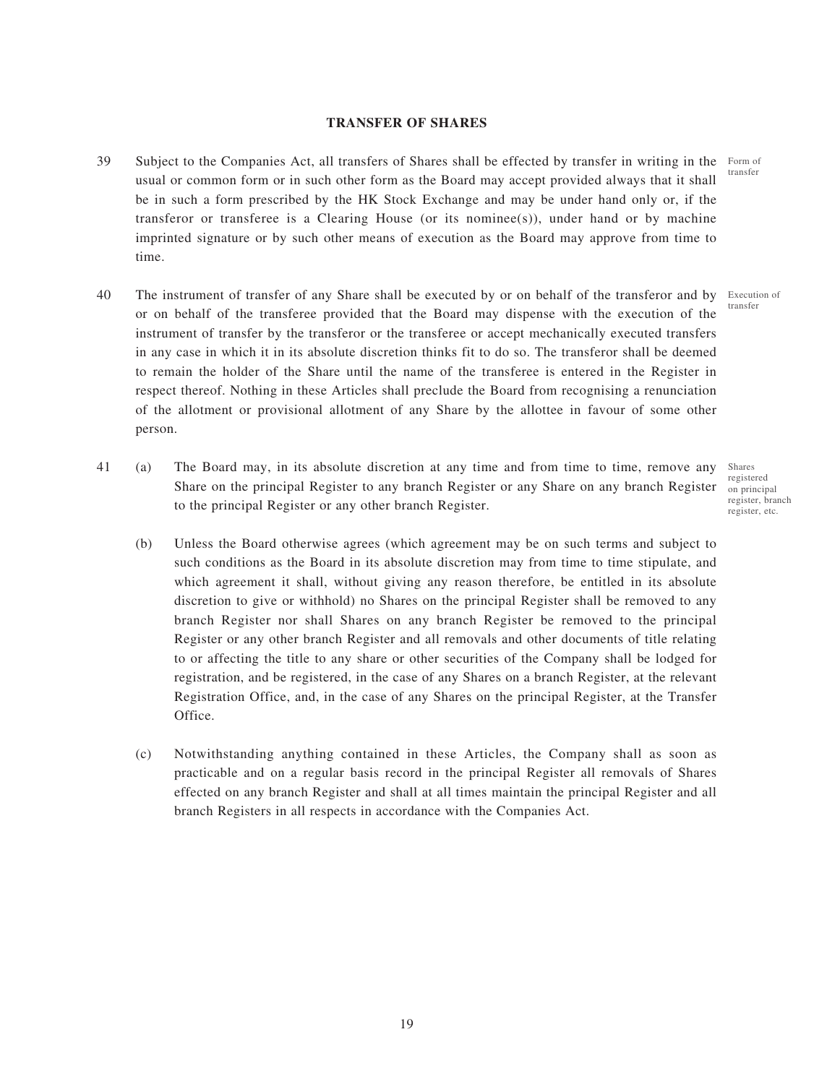## **TRANSFER OF SHARES**

- 39 Subject to the Companies Act, all transfers of Shares shall be effected by transfer in writing in the Form of usual or common form or in such other form as the Board may accept provided always that it shall be in such a form prescribed by the HK Stock Exchange and may be under hand only or, if the transferor or transferee is a Clearing House (or its nominee(s)), under hand or by machine imprinted signature or by such other means of execution as the Board may approve from time to time. transfer
- 40 The instrument of transfer of any Share shall be executed by or on behalf of the transferor and by Execution of or on behalf of the transferee provided that the Board may dispense with the execution of the instrument of transfer by the transferor or the transferee or accept mechanically executed transfers in any case in which it in its absolute discretion thinks fit to do so. The transferor shall be deemed to remain the holder of the Share until the name of the transferee is entered in the Register in respect thereof. Nothing in these Articles shall preclude the Board from recognising a renunciation of the allotment or provisional allotment of any Share by the allottee in favour of some other person.
- 41 (a) The Board may, in its absolute discretion at any time and from time to time, remove any Share on the principal Register to any branch Register or any Share on any branch Register to the principal Register or any other branch Register.
	- (b) Unless the Board otherwise agrees (which agreement may be on such terms and subject to such conditions as the Board in its absolute discretion may from time to time stipulate, and which agreement it shall, without giving any reason therefore, be entitled in its absolute discretion to give or withhold) no Shares on the principal Register shall be removed to any branch Register nor shall Shares on any branch Register be removed to the principal Register or any other branch Register and all removals and other documents of title relating to or affecting the title to any share or other securities of the Company shall be lodged for registration, and be registered, in the case of any Shares on a branch Register, at the relevant Registration Office, and, in the case of any Shares on the principal Register, at the Transfer Office.
	- (c) Notwithstanding anything contained in these Articles, the Company shall as soon as practicable and on a regular basis record in the principal Register all removals of Shares effected on any branch Register and shall at all times maintain the principal Register and all branch Registers in all respects in accordance with the Companies Act.

transfer

Shares registered on principal register, branch register, etc.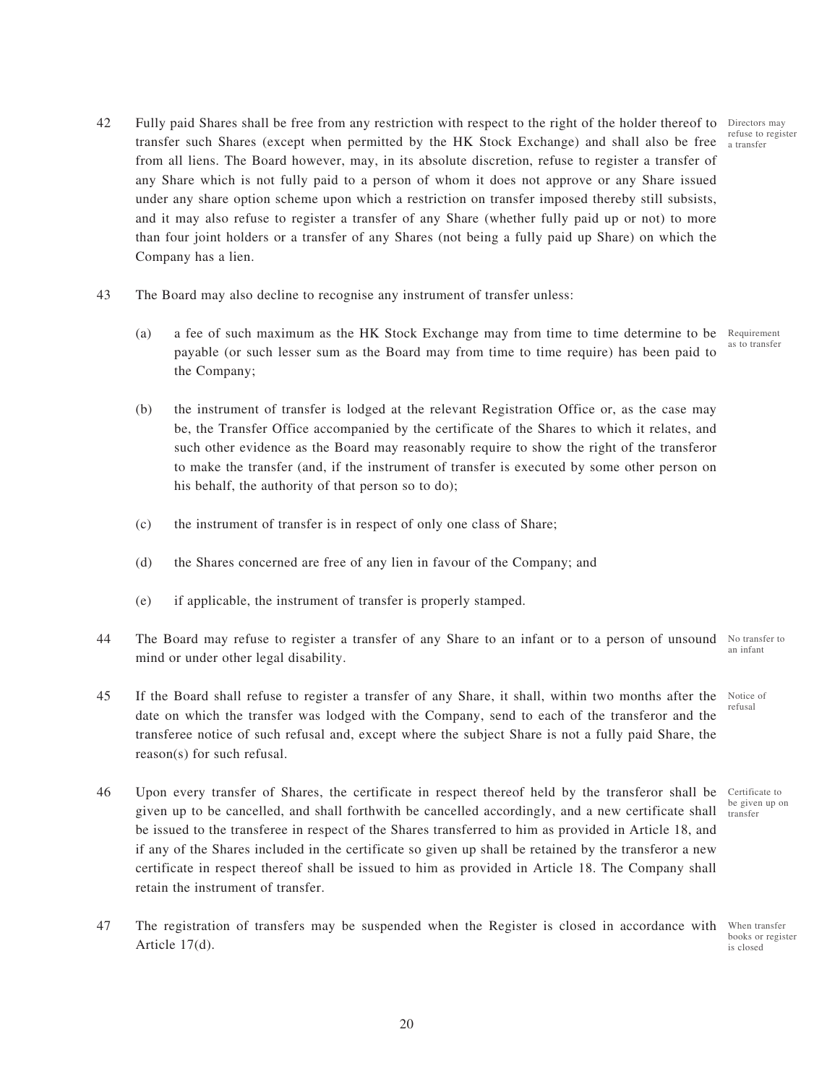- 42 Fully paid Shares shall be free from any restriction with respect to the right of the holder thereof to Directors may transfer such Shares (except when permitted by the HK Stock Exchange) and shall also be free from all liens. The Board however, may, in its absolute discretion, refuse to register a transfer of any Share which is not fully paid to a person of whom it does not approve or any Share issued under any share option scheme upon which a restriction on transfer imposed thereby still subsists, and it may also refuse to register a transfer of any Share (whether fully paid up or not) to more than four joint holders or a transfer of any Shares (not being a fully paid up Share) on which the Company has a lien.
- 43 The Board may also decline to recognise any instrument of transfer unless:
	- (a) a fee of such maximum as the HK Stock Exchange may from time to time determine to be payable (or such lesser sum as the Board may from time to time require) has been paid to the Company;
	- (b) the instrument of transfer is lodged at the relevant Registration Office or, as the case may be, the Transfer Office accompanied by the certificate of the Shares to which it relates, and such other evidence as the Board may reasonably require to show the right of the transferor to make the transfer (and, if the instrument of transfer is executed by some other person on his behalf, the authority of that person so to do);
	- (c) the instrument of transfer is in respect of only one class of Share;
	- (d) the Shares concerned are free of any lien in favour of the Company; and
	- (e) if applicable, the instrument of transfer is properly stamped.
- 44 The Board may refuse to register a transfer of any Share to an infant or to a person of unsound No transfer to mind or under other legal disability. an infant
- 45 If the Board shall refuse to register a transfer of any Share, it shall, within two months after the date on which the transfer was lodged with the Company, send to each of the transferor and the transferee notice of such refusal and, except where the subject Share is not a fully paid Share, the reason(s) for such refusal. Notice of refusal
- 46 Upon every transfer of Shares, the certificate in respect thereof held by the transferor shall be Certificate to given up to be cancelled, and shall forthwith be cancelled accordingly, and a new certificate shall be issued to the transferee in respect of the Shares transferred to him as provided in Article 18, and if any of the Shares included in the certificate so given up shall be retained by the transferor a new certificate in respect thereof shall be issued to him as provided in Article 18. The Company shall retain the instrument of transfer. be given up on transfer
- 47 The registration of transfers may be suspended when the Register is closed in accordance with Article 17(d).

When transfer books or register is closed

refuse to register a transfer

Requirement as to transfer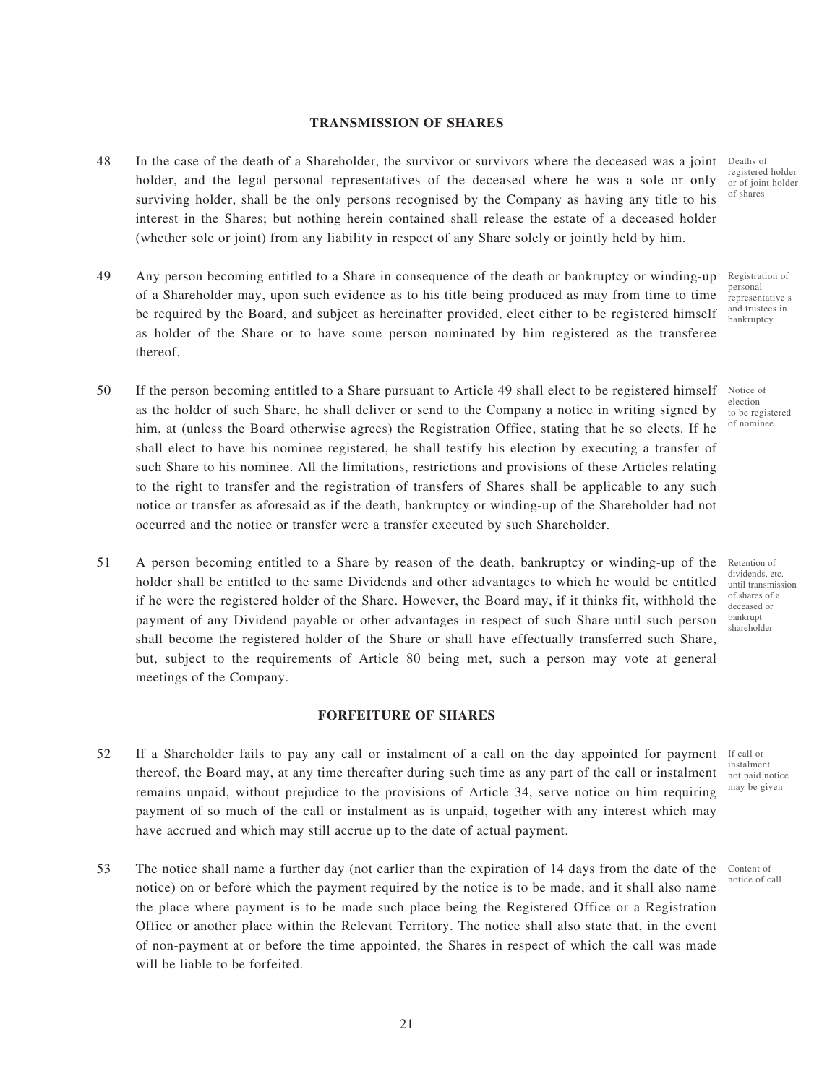## **TRANSMISSION OF SHARES**

- 48 In the case of the death of a Shareholder, the survivor or survivors where the deceased was a joint Deaths of holder, and the legal personal representatives of the deceased where he was a sole or only surviving holder, shall be the only persons recognised by the Company as having any title to his interest in the Shares; but nothing herein contained shall release the estate of a deceased holder (whether sole or joint) from any liability in respect of any Share solely or jointly held by him.
- 49 Any person becoming entitled to a Share in consequence of the death or bankruptcy or winding-up of a Shareholder may, upon such evidence as to his title being produced as may from time to time be required by the Board, and subject as hereinafter provided, elect either to be registered himself as holder of the Share or to have some person nominated by him registered as the transferee thereof.
- 50 If the person becoming entitled to a Share pursuant to Article 49 shall elect to be registered himself as the holder of such Share, he shall deliver or send to the Company a notice in writing signed by him, at (unless the Board otherwise agrees) the Registration Office, stating that he so elects. If he shall elect to have his nominee registered, he shall testify his election by executing a transfer of such Share to his nominee. All the limitations, restrictions and provisions of these Articles relating to the right to transfer and the registration of transfers of Shares shall be applicable to any such notice or transfer as aforesaid as if the death, bankruptcy or winding-up of the Shareholder had not occurred and the notice or transfer were a transfer executed by such Shareholder.
- 51 A person becoming entitled to a Share by reason of the death, bankruptcy or winding-up of the holder shall be entitled to the same Dividends and other advantages to which he would be entitled if he were the registered holder of the Share. However, the Board may, if it thinks fit, withhold the payment of any Dividend payable or other advantages in respect of such Share until such person shall become the registered holder of the Share or shall have effectually transferred such Share, but, subject to the requirements of Article 80 being met, such a person may vote at general meetings of the Company.

### **FORFEITURE OF SHARES**

- 52 If a Shareholder fails to pay any call or instalment of a call on the day appointed for payment thereof, the Board may, at any time thereafter during such time as any part of the call or instalment remains unpaid, without prejudice to the provisions of Article 34, serve notice on him requiring payment of so much of the call or instalment as is unpaid, together with any interest which may have accrued and which may still accrue up to the date of actual payment.
- 53 The notice shall name a further day (not earlier than the expiration of 14 days from the date of the notice) on or before which the payment required by the notice is to be made, and it shall also name the place where payment is to be made such place being the Registered Office or a Registration Office or another place within the Relevant Territory. The notice shall also state that, in the event of non-payment at or before the time appointed, the Shares in respect of which the call was made will be liable to be forfeited.

registered holder or of joint holder of shares

Registration of personal representative s and trustees in bankruptcy

Notice of election to be registered of nominee

Retention of dividends, etc. until transmission of shares of a deceased or bankrupt shareholder

If call or instalment not paid notice may be given

Content of notice of call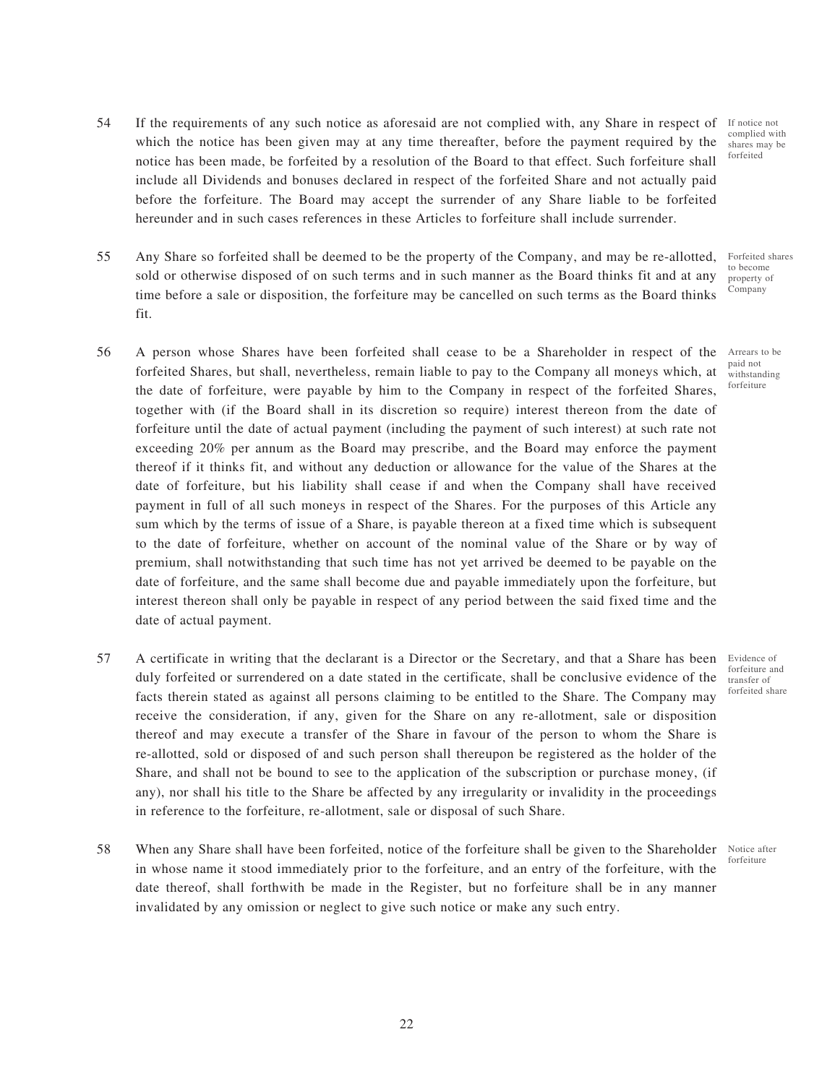- 54 If the requirements of any such notice as aforesaid are not complied with, any Share in respect of which the notice has been given may at any time thereafter, before the payment required by the notice has been made, be forfeited by a resolution of the Board to that effect. Such forfeiture shall include all Dividends and bonuses declared in respect of the forfeited Share and not actually paid before the forfeiture. The Board may accept the surrender of any Share liable to be forfeited hereunder and in such cases references in these Articles to forfeiture shall include surrender. If notice not complied with shares may be forfeited
- 55 Any Share so forfeited shall be deemed to be the property of the Company, and may be re-allotted, sold or otherwise disposed of on such terms and in such manner as the Board thinks fit and at any time before a sale or disposition, the forfeiture may be cancelled on such terms as the Board thinks fit.
- 56 A person whose Shares have been forfeited shall cease to be a Shareholder in respect of the forfeited Shares, but shall, nevertheless, remain liable to pay to the Company all moneys which, at the date of forfeiture, were payable by him to the Company in respect of the forfeited Shares, together with (if the Board shall in its discretion so require) interest thereon from the date of forfeiture until the date of actual payment (including the payment of such interest) at such rate not exceeding 20% per annum as the Board may prescribe, and the Board may enforce the payment thereof if it thinks fit, and without any deduction or allowance for the value of the Shares at the date of forfeiture, but his liability shall cease if and when the Company shall have received payment in full of all such moneys in respect of the Shares. For the purposes of this Article any sum which by the terms of issue of a Share, is payable thereon at a fixed time which is subsequent to the date of forfeiture, whether on account of the nominal value of the Share or by way of premium, shall notwithstanding that such time has not yet arrived be deemed to be payable on the date of forfeiture, and the same shall become due and payable immediately upon the forfeiture, but interest thereon shall only be payable in respect of any period between the said fixed time and the date of actual payment.
- 57 A certificate in writing that the declarant is a Director or the Secretary, and that a Share has been duly forfeited or surrendered on a date stated in the certificate, shall be conclusive evidence of the facts therein stated as against all persons claiming to be entitled to the Share. The Company may receive the consideration, if any, given for the Share on any re-allotment, sale or disposition thereof and may execute a transfer of the Share in favour of the person to whom the Share is re-allotted, sold or disposed of and such person shall thereupon be registered as the holder of the Share, and shall not be bound to see to the application of the subscription or purchase money, (if any), nor shall his title to the Share be affected by any irregularity or invalidity in the proceedings in reference to the forfeiture, re-allotment, sale or disposal of such Share.
- 58 When any Share shall have been forfeited, notice of the forfeiture shall be given to the Shareholder in whose name it stood immediately prior to the forfeiture, and an entry of the forfeiture, with the date thereof, shall forthwith be made in the Register, but no forfeiture shall be in any manner invalidated by any omission or neglect to give such notice or make any such entry.

Evidence of forfeiture and transfer of forfeited share

Forfeited shares to become property of Company

> Arrears to be paid not withstanding forfeiture

Notice after forfeiture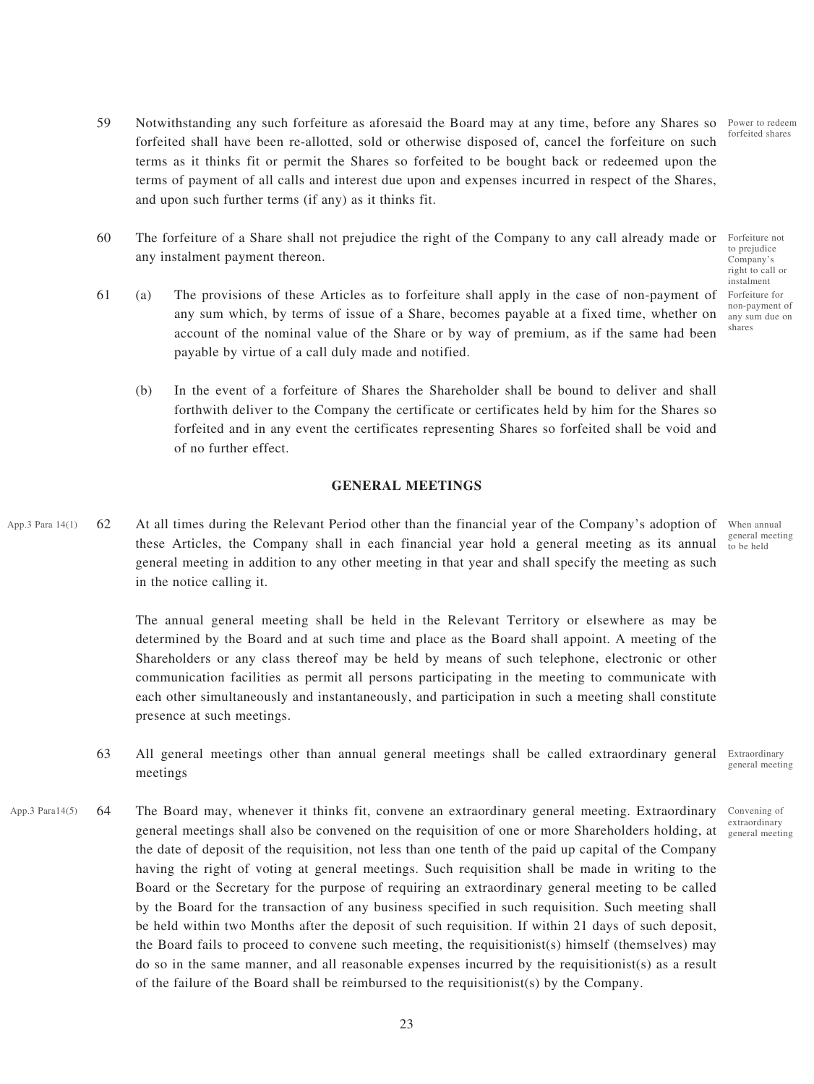Power to redeem forfeited shares

- 59 Notwithstanding any such forfeiture as aforesaid the Board may at any time, before any Shares so forfeited shall have been re-allotted, sold or otherwise disposed of, cancel the forfeiture on such terms as it thinks fit or permit the Shares so forfeited to be bought back or redeemed upon the terms of payment of all calls and interest due upon and expenses incurred in respect of the Shares, and upon such further terms (if any) as it thinks fit.
- 60 The forfeiture of a Share shall not prejudice the right of the Company to any call already made or any instalment payment thereon.
- 61 (a) The provisions of these Articles as to forfeiture shall apply in the case of non-payment of any sum which, by terms of issue of a Share, becomes payable at a fixed time, whether on account of the nominal value of the Share or by way of premium, as if the same had been payable by virtue of a call duly made and notified.
	- (b) In the event of a forfeiture of Shares the Shareholder shall be bound to deliver and shall forthwith deliver to the Company the certificate or certificates held by him for the Shares so forfeited and in any event the certificates representing Shares so forfeited shall be void and of no further effect.

#### **GENERAL MEETINGS**

App.3 Para  $14(1)$  62 At all times during the Relevant Period other than the financial year of the Company's adoption of When annual these Articles, the Company shall in each financial year hold a general meeting as its annual general meeting in addition to any other meeting in that year and shall specify the meeting as such in the notice calling it.

> The annual general meeting shall be held in the Relevant Territory or elsewhere as may be determined by the Board and at such time and place as the Board shall appoint. A meeting of the Shareholders or any class thereof may be held by means of such telephone, electronic or other communication facilities as permit all persons participating in the meeting to communicate with each other simultaneously and instantaneously, and participation in such a meeting shall constitute presence at such meetings.

- 63 All general meetings other than annual general meetings shall be called extraordinary general Extraordinary meetings general meeting
- App.3 Para14(5) 64 The Board may, whenever it thinks fit, convene an extraordinary general meeting. Extraordinary Convening of general meetings shall also be convened on the requisition of one or more Shareholders holding, at the date of deposit of the requisition, not less than one tenth of the paid up capital of the Company having the right of voting at general meetings. Such requisition shall be made in writing to the Board or the Secretary for the purpose of requiring an extraordinary general meeting to be called by the Board for the transaction of any business specified in such requisition. Such meeting shall be held within two Months after the deposit of such requisition. If within 21 days of such deposit, the Board fails to proceed to convene such meeting, the requisitionist(s) himself (themselves) may do so in the same manner, and all reasonable expenses incurred by the requisitionist(s) as a result of the failure of the Board shall be reimbursed to the requisitionist(s) by the Company.

Forfeiture not to prejudice Company's right to call or instalment Forfeiture for non-payment of any sum due on shares

general meeting to be held

extraordinary general meeting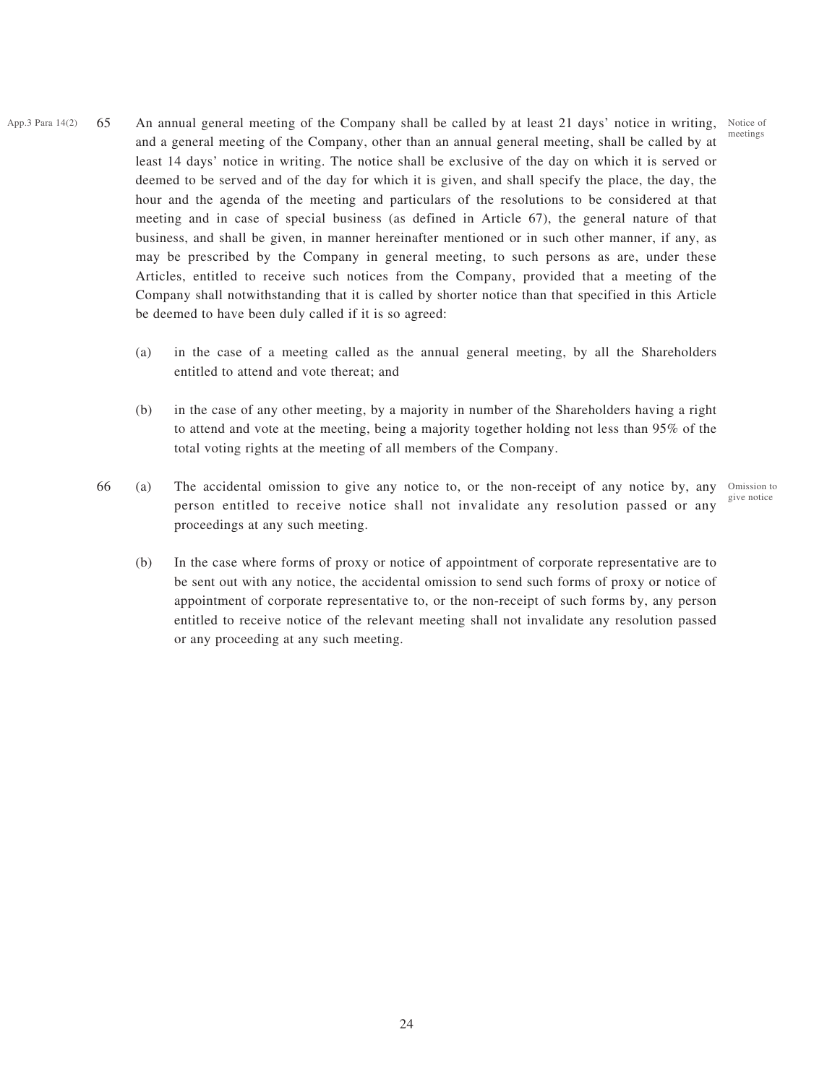meetings

- App.3 Para 14(2) 65 An annual general meeting of the Company shall be called by at least 21 days' notice in writing, Notice of and a general meeting of the Company, other than an annual general meeting, shall be called by at least 14 days' notice in writing. The notice shall be exclusive of the day on which it is served or deemed to be served and of the day for which it is given, and shall specify the place, the day, the hour and the agenda of the meeting and particulars of the resolutions to be considered at that meeting and in case of special business (as defined in Article 67), the general nature of that business, and shall be given, in manner hereinafter mentioned or in such other manner, if any, as may be prescribed by the Company in general meeting, to such persons as are, under these Articles, entitled to receive such notices from the Company, provided that a meeting of the Company shall notwithstanding that it is called by shorter notice than that specified in this Article be deemed to have been duly called if it is so agreed:
	- (a) in the case of a meeting called as the annual general meeting, by all the Shareholders entitled to attend and vote thereat; and
	- (b) in the case of any other meeting, by a majority in number of the Shareholders having a right to attend and vote at the meeting, being a majority together holding not less than 95% of the total voting rights at the meeting of all members of the Company.
	- 66 (a) The accidental omission to give any notice to, or the non-receipt of any notice by, any person entitled to receive notice shall not invalidate any resolution passed or any proceedings at any such meeting.

Omission to give notice

(b) In the case where forms of proxy or notice of appointment of corporate representative are to be sent out with any notice, the accidental omission to send such forms of proxy or notice of appointment of corporate representative to, or the non-receipt of such forms by, any person entitled to receive notice of the relevant meeting shall not invalidate any resolution passed or any proceeding at any such meeting.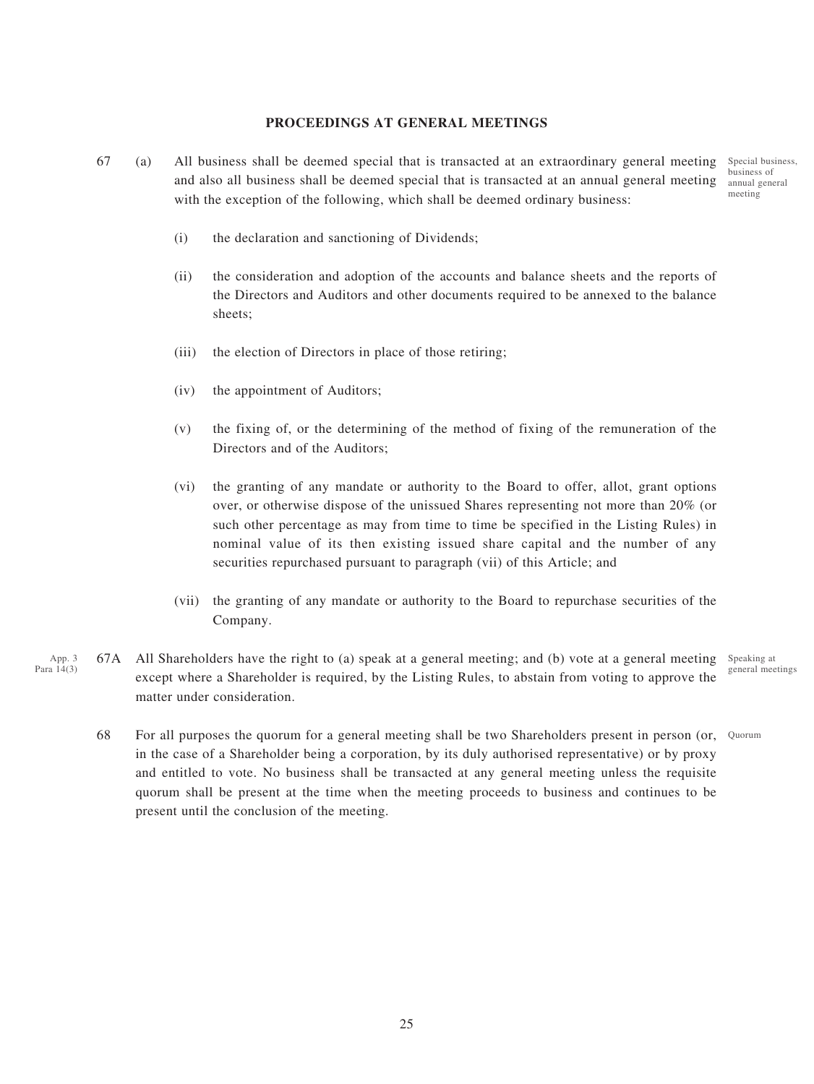## **PROCEEDINGS AT GENERAL MEETINGS**

- 67 (a) All business shall be deemed special that is transacted at an extraordinary general meeting Special business, and also all business shall be deemed special that is transacted at an annual general meeting with the exception of the following, which shall be deemed ordinary business:
	- business of annual general meeting

- (i) the declaration and sanctioning of Dividends;
- (ii) the consideration and adoption of the accounts and balance sheets and the reports of the Directors and Auditors and other documents required to be annexed to the balance sheets;
- (iii) the election of Directors in place of those retiring;
- (iv) the appointment of Auditors;
- (v) the fixing of, or the determining of the method of fixing of the remuneration of the Directors and of the Auditors;
- (vi) the granting of any mandate or authority to the Board to offer, allot, grant options over, or otherwise dispose of the unissued Shares representing not more than 20% (or such other percentage as may from time to time be specified in the Listing Rules) in nominal value of its then existing issued share capital and the number of any securities repurchased pursuant to paragraph (vii) of this Article; and
- (vii) the granting of any mandate or authority to the Board to repurchase securities of the Company.
- 67A All Shareholders have the right to (a) speak at a general meeting; and (b) vote at a general meeting except where a Shareholder is required, by the Listing Rules, to abstain from voting to approve the matter under consideration. App. 3 Para 14(3)
	- Speaking at general meetings
	-
	- 68 For all purposes the quorum for a general meeting shall be two Shareholders present in person (or, Quorum in the case of a Shareholder being a corporation, by its duly authorised representative) or by proxy and entitled to vote. No business shall be transacted at any general meeting unless the requisite quorum shall be present at the time when the meeting proceeds to business and continues to be present until the conclusion of the meeting.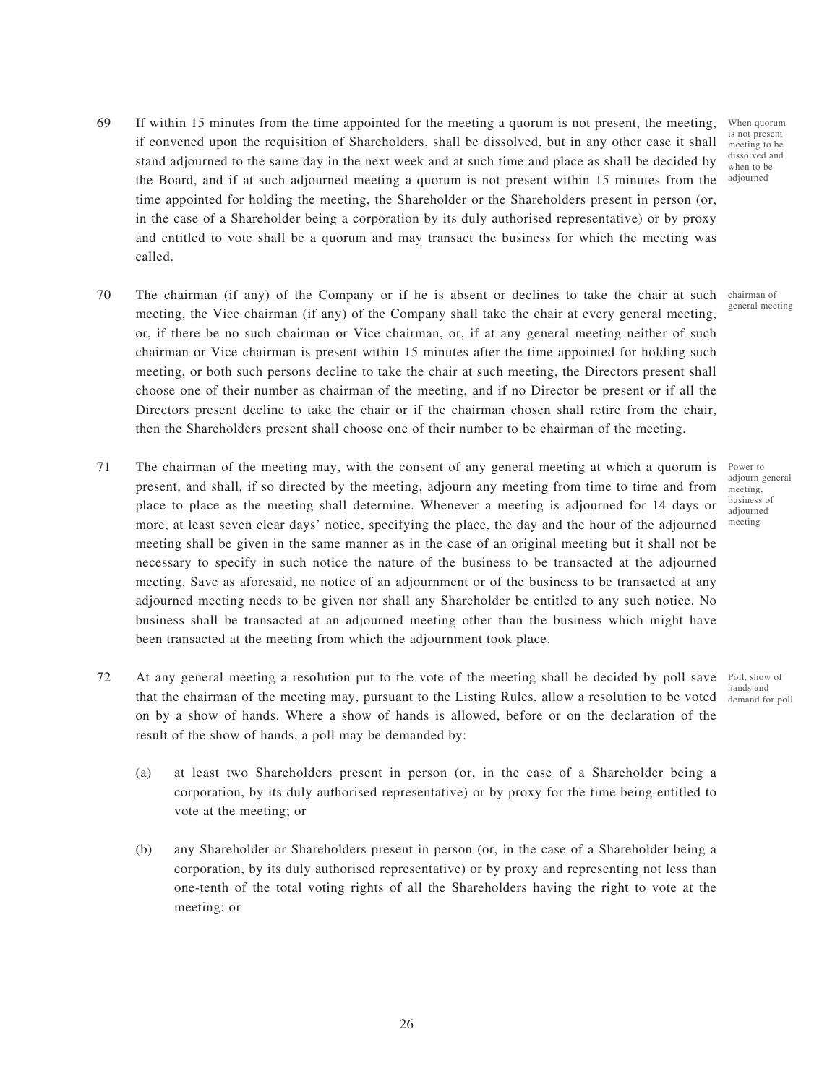- 69 If within 15 minutes from the time appointed for the meeting a quorum is not present, the meeting, if convened upon the requisition of Shareholders, shall be dissolved, but in any other case it shall stand adjourned to the same day in the next week and at such time and place as shall be decided by the Board, and if at such adjourned meeting a quorum is not present within 15 minutes from the time appointed for holding the meeting, the Shareholder or the Shareholders present in person (or, in the case of a Shareholder being a corporation by its duly authorised representative) or by proxy and entitled to vote shall be a quorum and may transact the business for which the meeting was called.
- 70 The chairman (if any) of the Company or if he is absent or declines to take the chair at such chairman of meeting, the Vice chairman (if any) of the Company shall take the chair at every general meeting, or, if there be no such chairman or Vice chairman, or, if at any general meeting neither of such chairman or Vice chairman is present within 15 minutes after the time appointed for holding such meeting, or both such persons decline to take the chair at such meeting, the Directors present shall choose one of their number as chairman of the meeting, and if no Director be present or if all the Directors present decline to take the chair or if the chairman chosen shall retire from the chair, then the Shareholders present shall choose one of their number to be chairman of the meeting.
- 71 The chairman of the meeting may, with the consent of any general meeting at which a quorum is present, and shall, if so directed by the meeting, adjourn any meeting from time to time and from place to place as the meeting shall determine. Whenever a meeting is adjourned for 14 days or more, at least seven clear days' notice, specifying the place, the day and the hour of the adjourned meeting shall be given in the same manner as in the case of an original meeting but it shall not be necessary to specify in such notice the nature of the business to be transacted at the adjourned meeting. Save as aforesaid, no notice of an adjournment or of the business to be transacted at any adjourned meeting needs to be given nor shall any Shareholder be entitled to any such notice. No business shall be transacted at an adjourned meeting other than the business which might have been transacted at the meeting from which the adjournment took place.
- 72 At any general meeting a resolution put to the vote of the meeting shall be decided by poll save Poll, show of that the chairman of the meeting may, pursuant to the Listing Rules, allow a resolution to be voted demand for poll on by a show of hands. Where a show of hands is allowed, before or on the declaration of the result of the show of hands, a poll may be demanded by:
	- (a) at least two Shareholders present in person (or, in the case of a Shareholder being a corporation, by its duly authorised representative) or by proxy for the time being entitled to vote at the meeting; or
	- (b) any Shareholder or Shareholders present in person (or, in the case of a Shareholder being a corporation, by its duly authorised representative) or by proxy and representing not less than one-tenth of the total voting rights of all the Shareholders having the right to vote at the meeting; or

When quorum is not present meeting to be dissolved and when to be adjourned

general meeting

Power to adiourn general meeting, business of adjourned meeting

hands and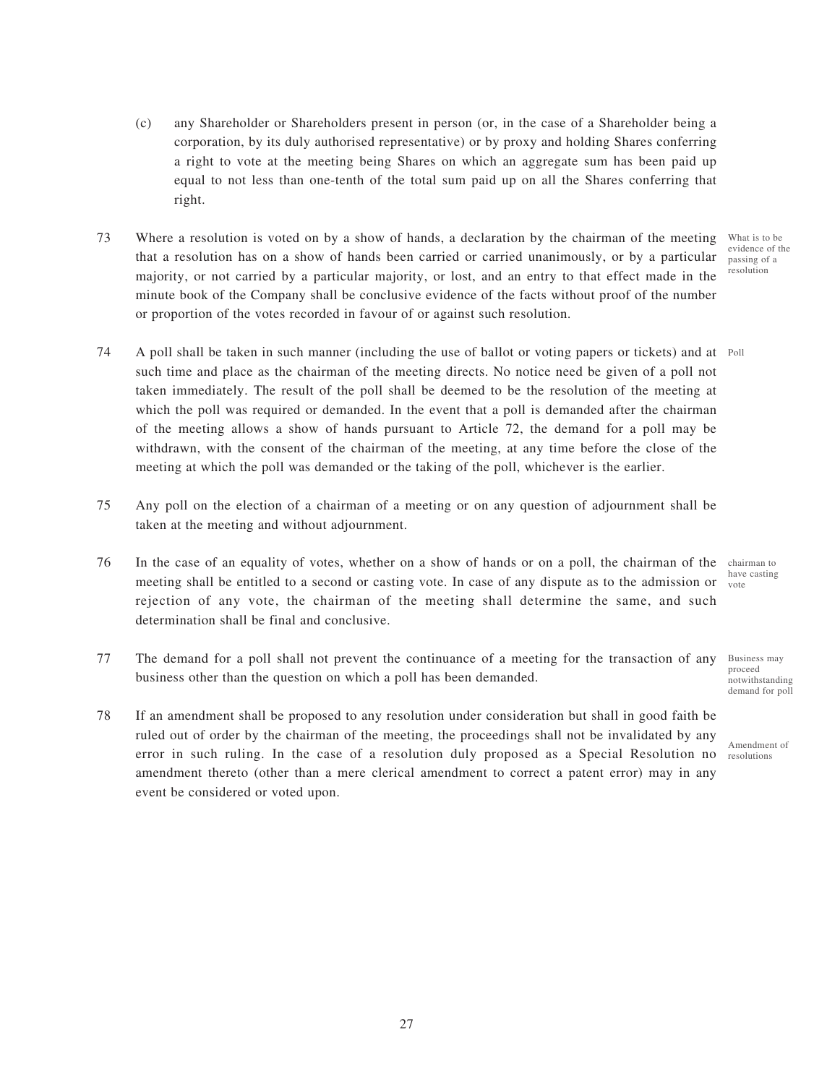- (c) any Shareholder or Shareholders present in person (or, in the case of a Shareholder being a corporation, by its duly authorised representative) or by proxy and holding Shares conferring a right to vote at the meeting being Shares on which an aggregate sum has been paid up equal to not less than one-tenth of the total sum paid up on all the Shares conferring that right.
- 73 Where a resolution is voted on by a show of hands, a declaration by the chairman of the meeting that a resolution has on a show of hands been carried or carried unanimously, or by a particular majority, or not carried by a particular majority, or lost, and an entry to that effect made in the minute book of the Company shall be conclusive evidence of the facts without proof of the number or proportion of the votes recorded in favour of or against such resolution. What is to be evidence of the passing of a resolution
- 74 A poll shall be taken in such manner (including the use of ballot or voting papers or tickets) and at Poll such time and place as the chairman of the meeting directs. No notice need be given of a poll not taken immediately. The result of the poll shall be deemed to be the resolution of the meeting at which the poll was required or demanded. In the event that a poll is demanded after the chairman of the meeting allows a show of hands pursuant to Article 72, the demand for a poll may be withdrawn, with the consent of the chairman of the meeting, at any time before the close of the meeting at which the poll was demanded or the taking of the poll, whichever is the earlier.
- 75 Any poll on the election of a chairman of a meeting or on any question of adjournment shall be taken at the meeting and without adjournment.
- 76 In the case of an equality of votes, whether on a show of hands or on a poll, the chairman of the chairman to meeting shall be entitled to a second or casting vote. In case of any dispute as to the admission or word rejection of any vote, the chairman of the meeting shall determine the same, and such determination shall be final and conclusive.
- 77 The demand for a poll shall not prevent the continuance of a meeting for the transaction of any business other than the question on which a poll has been demanded.
- 78 If an amendment shall be proposed to any resolution under consideration but shall in good faith be ruled out of order by the chairman of the meeting, the proceedings shall not be invalidated by any error in such ruling. In the case of a resolution duly proposed as a Special Resolution no resolutions amendment thereto (other than a mere clerical amendment to correct a patent error) may in any event be considered or voted upon.

have casting

Business may proceed notwithstanding demand for poll

Amendment of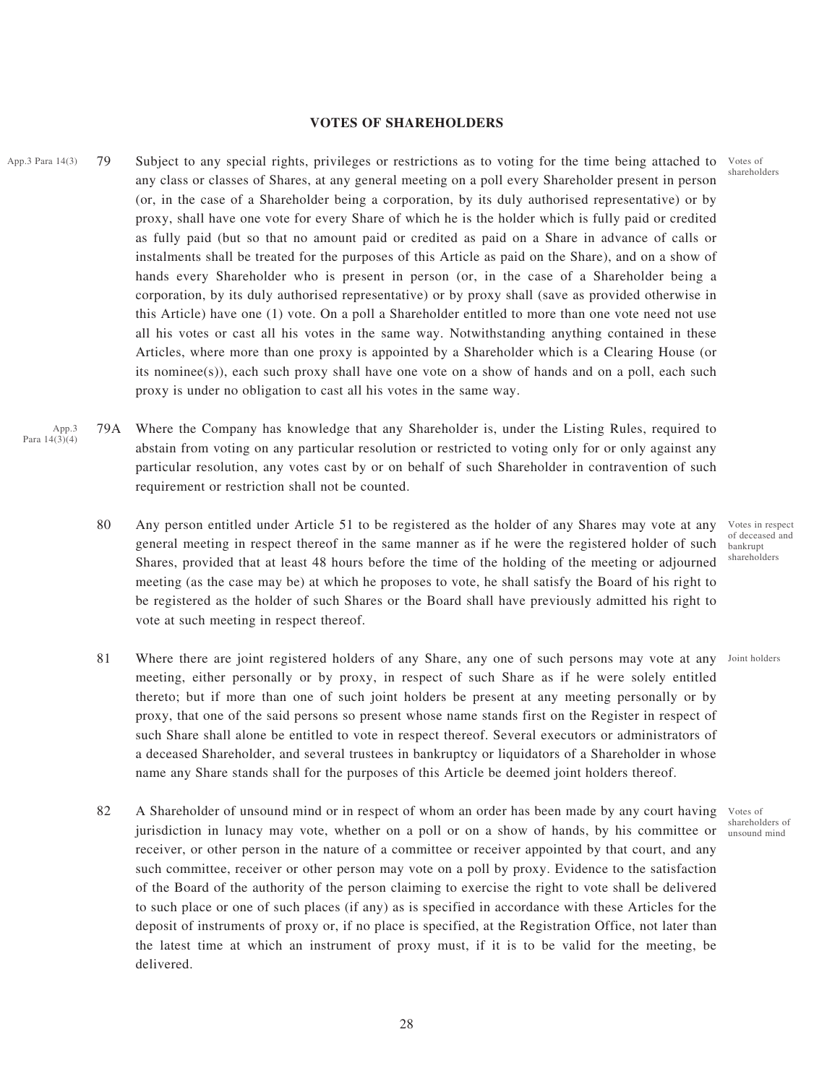### **VOTES OF SHAREHOLDERS**

- App.3 Para 14(3) 79 Subject to any special rights, privileges or restrictions as to voting for the time being attached to Votes of any class or classes of Shares, at any general meeting on a poll every Shareholder present in person (or, in the case of a Shareholder being a corporation, by its duly authorised representative) or by proxy, shall have one vote for every Share of which he is the holder which is fully paid or credited as fully paid (but so that no amount paid or credited as paid on a Share in advance of calls or instalments shall be treated for the purposes of this Article as paid on the Share), and on a show of hands every Shareholder who is present in person (or, in the case of a Shareholder being a corporation, by its duly authorised representative) or by proxy shall (save as provided otherwise in this Article) have one (1) vote. On a poll a Shareholder entitled to more than one vote need not use all his votes or cast all his votes in the same way. Notwithstanding anything contained in these Articles, where more than one proxy is appointed by a Shareholder which is a Clearing House (or its nominee(s)), each such proxy shall have one vote on a show of hands and on a poll, each such proxy is under no obligation to cast all his votes in the same way.
	- 79A Where the Company has knowledge that any Shareholder is, under the Listing Rules, required to abstain from voting on any particular resolution or restricted to voting only for or only against any particular resolution, any votes cast by or on behalf of such Shareholder in contravention of such requirement or restriction shall not be counted. App.3 Para 14(3)(4)
		- 80 Any person entitled under Article 51 to be registered as the holder of any Shares may vote at any general meeting in respect thereof in the same manner as if he were the registered holder of such Shares, provided that at least 48 hours before the time of the holding of the meeting or adjourned meeting (as the case may be) at which he proposes to vote, he shall satisfy the Board of his right to be registered as the holder of such Shares or the Board shall have previously admitted his right to vote at such meeting in respect thereof.
		- 81 Where there are joint registered holders of any Share, any one of such persons may vote at any Joint holders meeting, either personally or by proxy, in respect of such Share as if he were solely entitled thereto; but if more than one of such joint holders be present at any meeting personally or by proxy, that one of the said persons so present whose name stands first on the Register in respect of such Share shall alone be entitled to vote in respect thereof. Several executors or administrators of a deceased Shareholder, and several trustees in bankruptcy or liquidators of a Shareholder in whose name any Share stands shall for the purposes of this Article be deemed joint holders thereof.
		- 82 A Shareholder of unsound mind or in respect of whom an order has been made by any court having jurisdiction in lunacy may vote, whether on a poll or on a show of hands, by his committee or receiver, or other person in the nature of a committee or receiver appointed by that court, and any such committee, receiver or other person may vote on a poll by proxy. Evidence to the satisfaction of the Board of the authority of the person claiming to exercise the right to vote shall be delivered to such place or one of such places (if any) as is specified in accordance with these Articles for the deposit of instruments of proxy or, if no place is specified, at the Registration Office, not later than the latest time at which an instrument of proxy must, if it is to be valid for the meeting, be delivered.

shareholders

Votes in respect of deceased and bankrupt shareholders

Votes of shareholders of unsound mind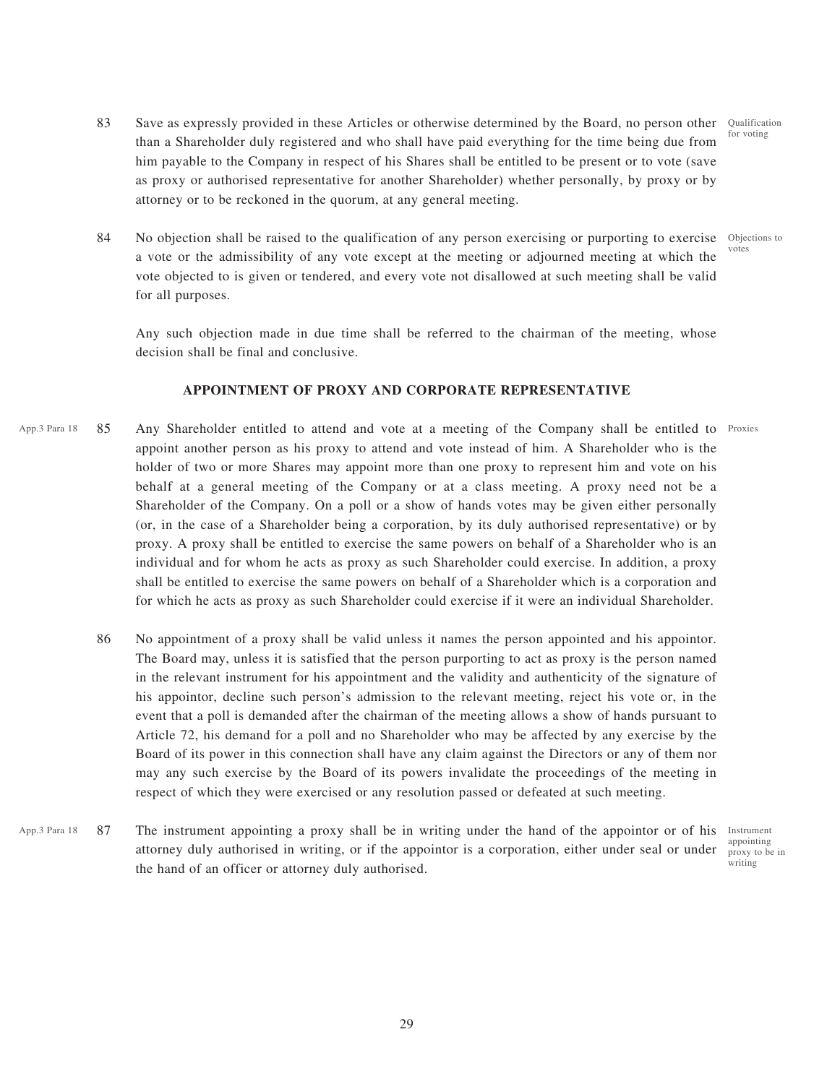- 83 Save as expressly provided in these Articles or otherwise determined by the Board, no person other than a Shareholder duly registered and who shall have paid everything for the time being due from him payable to the Company in respect of his Shares shall be entitled to be present or to vote (save as proxy or authorised representative for another Shareholder) whether personally, by proxy or by attorney or to be reckoned in the quorum, at any general meeting. Qualification for voting
- 84 No objection shall be raised to the qualification of any person exercising or purporting to exercise a vote or the admissibility of any vote except at the meeting or adjourned meeting at which the vote objected to is given or tendered, and every vote not disallowed at such meeting shall be valid for all purposes. Objections to votes

Any such objection made in due time shall be referred to the chairman of the meeting, whose decision shall be final and conclusive.

#### **APPOINTMENT OF PROXY AND CORPORATE REPRESENTATIVE**

- App.3 Para 18 85 Any Shareholder entitled to attend and vote at a meeting of the Company shall be entitled to Proxies appoint another person as his proxy to attend and vote instead of him. A Shareholder who is the holder of two or more Shares may appoint more than one proxy to represent him and vote on his behalf at a general meeting of the Company or at a class meeting. A proxy need not be a Shareholder of the Company. On a poll or a show of hands votes may be given either personally (or, in the case of a Shareholder being a corporation, by its duly authorised representative) or by proxy. A proxy shall be entitled to exercise the same powers on behalf of a Shareholder who is an individual and for whom he acts as proxy as such Shareholder could exercise. In addition, a proxy shall be entitled to exercise the same powers on behalf of a Shareholder which is a corporation and for which he acts as proxy as such Shareholder could exercise if it were an individual Shareholder.
	- 86 No appointment of a proxy shall be valid unless it names the person appointed and his appointor. The Board may, unless it is satisfied that the person purporting to act as proxy is the person named in the relevant instrument for his appointment and the validity and authenticity of the signature of his appointor, decline such person's admission to the relevant meeting, reject his vote or, in the event that a poll is demanded after the chairman of the meeting allows a show of hands pursuant to Article 72, his demand for a poll and no Shareholder who may be affected by any exercise by the Board of its power in this connection shall have any claim against the Directors or any of them nor may any such exercise by the Board of its powers invalidate the proceedings of the meeting in respect of which they were exercised or any resolution passed or defeated at such meeting.
- App.3 Para 18 87 The instrument appointing a proxy shall be in writing under the hand of the appointor or of his Instrument attorney duly authorised in writing, or if the appointor is a corporation, either under seal or under the hand of an officer or attorney duly authorised.

appointing proxy to be in writing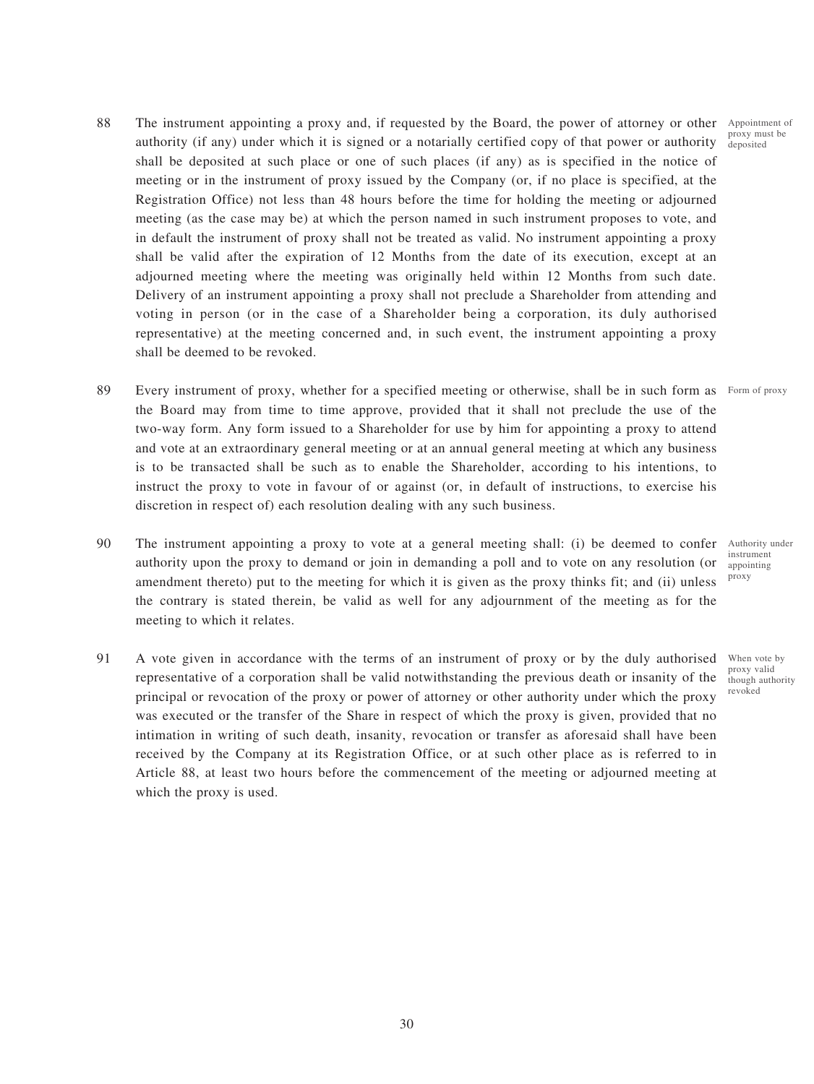- 88 The instrument appointing a proxy and, if requested by the Board, the power of attorney or other Appointment of authority (if any) under which it is signed or a notarially certified copy of that power or authority shall be deposited at such place or one of such places (if any) as is specified in the notice of meeting or in the instrument of proxy issued by the Company (or, if no place is specified, at the Registration Office) not less than 48 hours before the time for holding the meeting or adjourned meeting (as the case may be) at which the person named in such instrument proposes to vote, and in default the instrument of proxy shall not be treated as valid. No instrument appointing a proxy shall be valid after the expiration of 12 Months from the date of its execution, except at an adjourned meeting where the meeting was originally held within 12 Months from such date. Delivery of an instrument appointing a proxy shall not preclude a Shareholder from attending and voting in person (or in the case of a Shareholder being a corporation, its duly authorised representative) at the meeting concerned and, in such event, the instrument appointing a proxy shall be deemed to be revoked.
- 89 Every instrument of proxy, whether for a specified meeting or otherwise, shall be in such form as Form of proxy the Board may from time to time approve, provided that it shall not preclude the use of the two-way form. Any form issued to a Shareholder for use by him for appointing a proxy to attend and vote at an extraordinary general meeting or at an annual general meeting at which any business is to be transacted shall be such as to enable the Shareholder, according to his intentions, to instruct the proxy to vote in favour of or against (or, in default of instructions, to exercise his discretion in respect of) each resolution dealing with any such business.
- 90 The instrument appointing a proxy to vote at a general meeting shall: (i) be deemed to confer authority upon the proxy to demand or join in demanding a poll and to vote on any resolution (or amendment thereto) put to the meeting for which it is given as the proxy thinks fit; and (ii) unless the contrary is stated therein, be valid as well for any adjournment of the meeting as for the meeting to which it relates. proxy
- 91 A vote given in accordance with the terms of an instrument of proxy or by the duly authorised representative of a corporation shall be valid notwithstanding the previous death or insanity of the principal or revocation of the proxy or power of attorney or other authority under which the proxy was executed or the transfer of the Share in respect of which the proxy is given, provided that no intimation in writing of such death, insanity, revocation or transfer as aforesaid shall have been received by the Company at its Registration Office, or at such other place as is referred to in Article 88, at least two hours before the commencement of the meeting or adjourned meeting at which the proxy is used.

Authority under instrument appointing

When vote by proxy valid though authority revoked

proxy must be deposited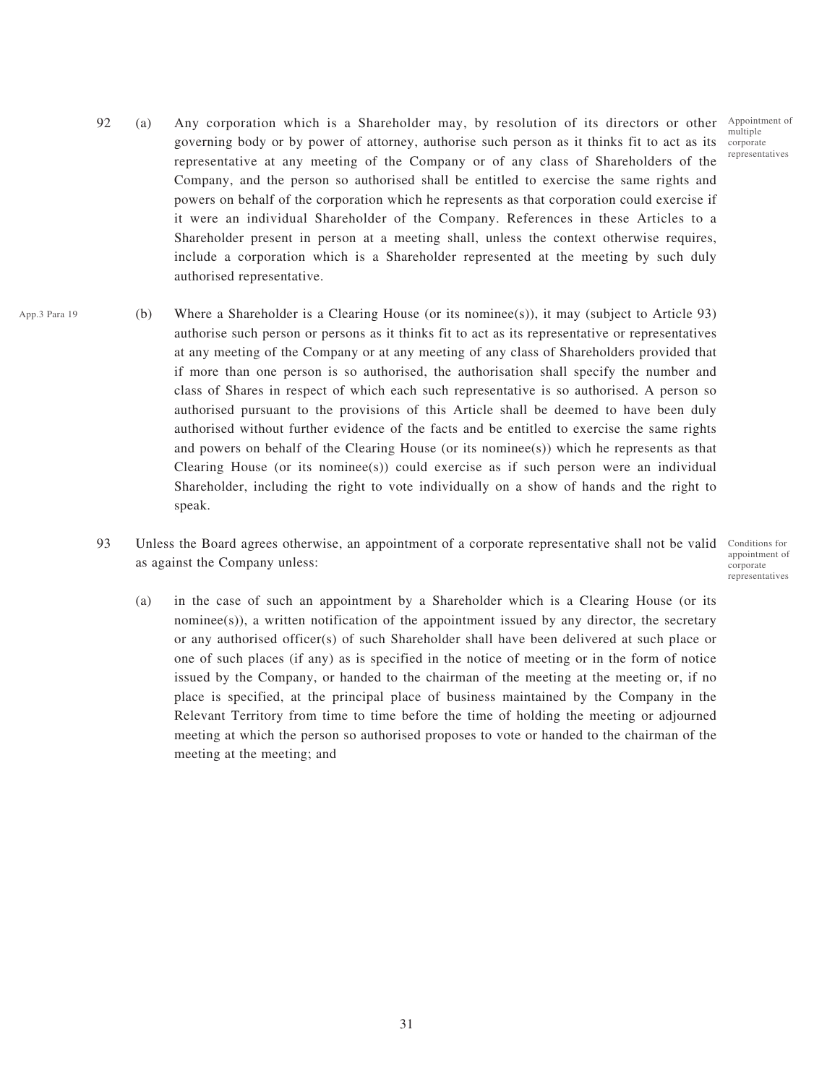Appointment of multiple representatives

- 92 (a) Any corporation which is a Shareholder may, by resolution of its directors or other governing body or by power of attorney, authorise such person as it thinks fit to act as its corporate representative at any meeting of the Company or of any class of Shareholders of the Company, and the person so authorised shall be entitled to exercise the same rights and powers on behalf of the corporation which he represents as that corporation could exercise if it were an individual Shareholder of the Company. References in these Articles to a Shareholder present in person at a meeting shall, unless the context otherwise requires, include a corporation which is a Shareholder represented at the meeting by such duly authorised representative.
- (b) Where a Shareholder is a Clearing House (or its nominee(s)), it may (subject to Article 93) authorise such person or persons as it thinks fit to act as its representative or representatives at any meeting of the Company or at any meeting of any class of Shareholders provided that if more than one person is so authorised, the authorisation shall specify the number and class of Shares in respect of which each such representative is so authorised. A person so authorised pursuant to the provisions of this Article shall be deemed to have been duly authorised without further evidence of the facts and be entitled to exercise the same rights and powers on behalf of the Clearing House (or its nominee(s)) which he represents as that Clearing House (or its nominee(s)) could exercise as if such person were an individual Shareholder, including the right to vote individually on a show of hands and the right to speak. App.3 Para 19
	- 93 Unless the Board agrees otherwise, an appointment of a corporate representative shall not be valid Conditions for as against the Company unless:

appointment of corporate representatives

(a) in the case of such an appointment by a Shareholder which is a Clearing House (or its nominee(s)), a written notification of the appointment issued by any director, the secretary or any authorised officer(s) of such Shareholder shall have been delivered at such place or one of such places (if any) as is specified in the notice of meeting or in the form of notice issued by the Company, or handed to the chairman of the meeting at the meeting or, if no place is specified, at the principal place of business maintained by the Company in the Relevant Territory from time to time before the time of holding the meeting or adjourned meeting at which the person so authorised proposes to vote or handed to the chairman of the meeting at the meeting; and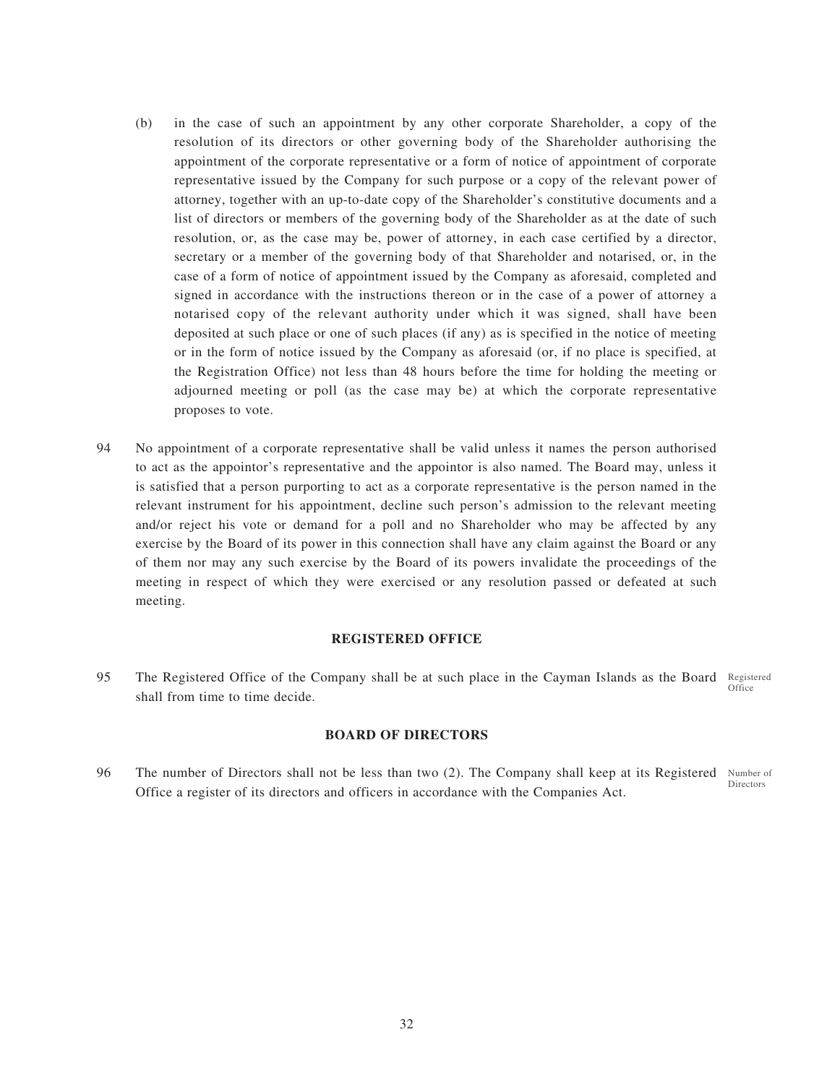- (b) in the case of such an appointment by any other corporate Shareholder, a copy of the resolution of its directors or other governing body of the Shareholder authorising the appointment of the corporate representative or a form of notice of appointment of corporate representative issued by the Company for such purpose or a copy of the relevant power of attorney, together with an up-to-date copy of the Shareholder's constitutive documents and a list of directors or members of the governing body of the Shareholder as at the date of such resolution, or, as the case may be, power of attorney, in each case certified by a director, secretary or a member of the governing body of that Shareholder and notarised, or, in the case of a form of notice of appointment issued by the Company as aforesaid, completed and signed in accordance with the instructions thereon or in the case of a power of attorney a notarised copy of the relevant authority under which it was signed, shall have been deposited at such place or one of such places (if any) as is specified in the notice of meeting or in the form of notice issued by the Company as aforesaid (or, if no place is specified, at the Registration Office) not less than 48 hours before the time for holding the meeting or adjourned meeting or poll (as the case may be) at which the corporate representative proposes to vote.
- 94 No appointment of a corporate representative shall be valid unless it names the person authorised to act as the appointor's representative and the appointor is also named. The Board may, unless it is satisfied that a person purporting to act as a corporate representative is the person named in the relevant instrument for his appointment, decline such person's admission to the relevant meeting and/or reject his vote or demand for a poll and no Shareholder who may be affected by any exercise by the Board of its power in this connection shall have any claim against the Board or any of them nor may any such exercise by the Board of its powers invalidate the proceedings of the meeting in respect of which they were exercised or any resolution passed or defeated at such meeting.

#### **REGISTERED OFFICE**

95 The Registered Office of the Company shall be at such place in the Cayman Islands as the Board Registered shall from time to time decide. **Office** 

### **BOARD OF DIRECTORS**

96 The number of Directors shall not be less than two (2). The Company shall keep at its Registered Number of Office a register of its directors and officers in accordance with the Companies Act. Directors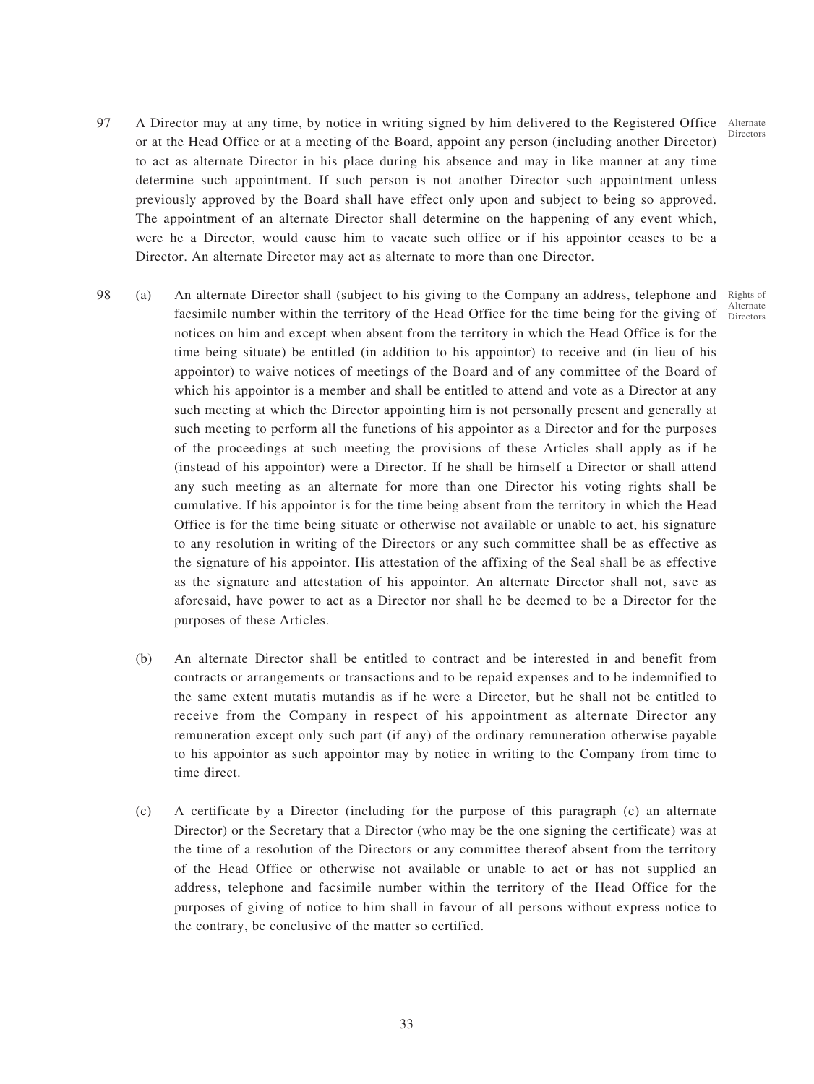Directors

- 97 A Director may at any time, by notice in writing signed by him delivered to the Registered Office Alternate or at the Head Office or at a meeting of the Board, appoint any person (including another Director) to act as alternate Director in his place during his absence and may in like manner at any time determine such appointment. If such person is not another Director such appointment unless previously approved by the Board shall have effect only upon and subject to being so approved. The appointment of an alternate Director shall determine on the happening of any event which, were he a Director, would cause him to vacate such office or if his appointor ceases to be a Director. An alternate Director may act as alternate to more than one Director.
- 98 (a) An alternate Director shall (subject to his giving to the Company an address, telephone and facsimile number within the territory of the Head Office for the time being for the giving of notices on him and except when absent from the territory in which the Head Office is for the time being situate) be entitled (in addition to his appointor) to receive and (in lieu of his appointor) to waive notices of meetings of the Board and of any committee of the Board of which his appointor is a member and shall be entitled to attend and vote as a Director at any such meeting at which the Director appointing him is not personally present and generally at such meeting to perform all the functions of his appointor as a Director and for the purposes of the proceedings at such meeting the provisions of these Articles shall apply as if he (instead of his appointor) were a Director. If he shall be himself a Director or shall attend any such meeting as an alternate for more than one Director his voting rights shall be cumulative. If his appointor is for the time being absent from the territory in which the Head Office is for the time being situate or otherwise not available or unable to act, his signature to any resolution in writing of the Directors or any such committee shall be as effective as the signature of his appointor. His attestation of the affixing of the Seal shall be as effective as the signature and attestation of his appointor. An alternate Director shall not, save as aforesaid, have power to act as a Director nor shall he be deemed to be a Director for the purposes of these Articles. Rights of Alternate Directors
	- (b) An alternate Director shall be entitled to contract and be interested in and benefit from contracts or arrangements or transactions and to be repaid expenses and to be indemnified to the same extent mutatis mutandis as if he were a Director, but he shall not be entitled to receive from the Company in respect of his appointment as alternate Director any remuneration except only such part (if any) of the ordinary remuneration otherwise payable to his appointor as such appointor may by notice in writing to the Company from time to time direct.
	- (c) A certificate by a Director (including for the purpose of this paragraph (c) an alternate Director) or the Secretary that a Director (who may be the one signing the certificate) was at the time of a resolution of the Directors or any committee thereof absent from the territory of the Head Office or otherwise not available or unable to act or has not supplied an address, telephone and facsimile number within the territory of the Head Office for the purposes of giving of notice to him shall in favour of all persons without express notice to the contrary, be conclusive of the matter so certified.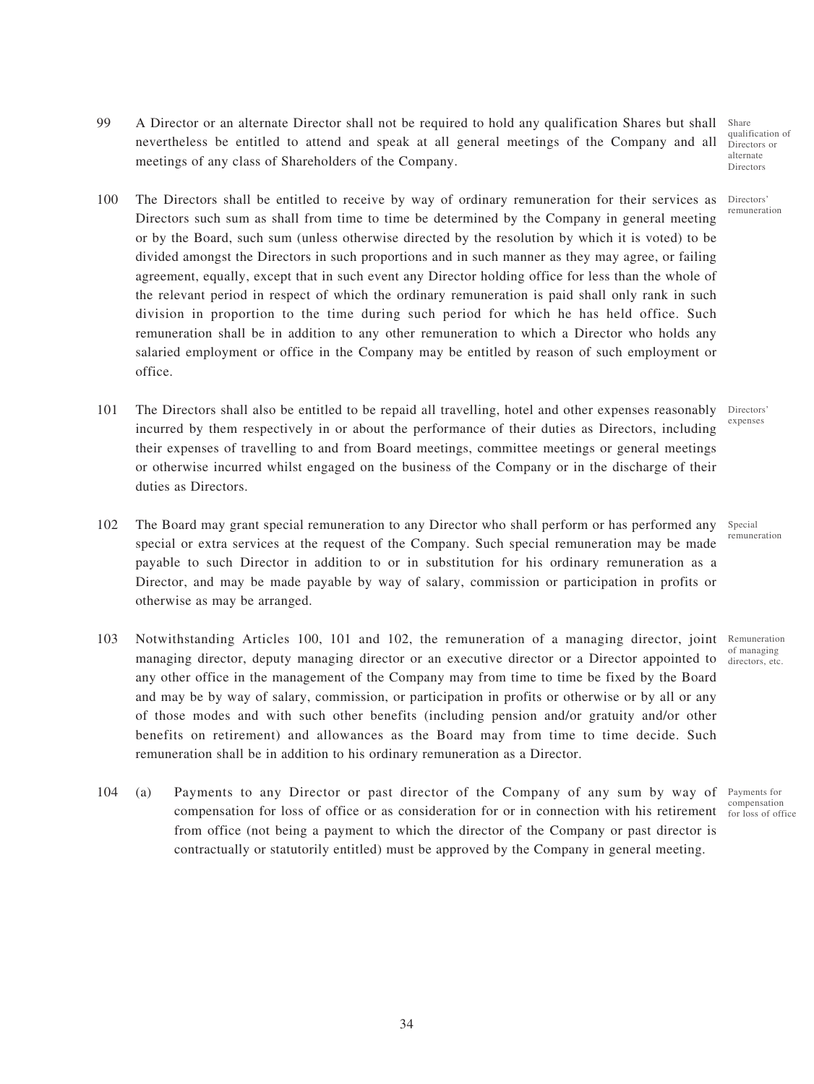- 99 A Director or an alternate Director shall not be required to hold any qualification Shares but shall nevertheless be entitled to attend and speak at all general meetings of the Company and all meetings of any class of Shareholders of the Company.
- 100 The Directors shall be entitled to receive by way of ordinary remuneration for their services as Directors' Directors such sum as shall from time to time be determined by the Company in general meeting or by the Board, such sum (unless otherwise directed by the resolution by which it is voted) to be divided amongst the Directors in such proportions and in such manner as they may agree, or failing agreement, equally, except that in such event any Director holding office for less than the whole of the relevant period in respect of which the ordinary remuneration is paid shall only rank in such division in proportion to the time during such period for which he has held office. Such remuneration shall be in addition to any other remuneration to which a Director who holds any salaried employment or office in the Company may be entitled by reason of such employment or office.
- 101 The Directors shall also be entitled to be repaid all travelling, hotel and other expenses reasonably Directors' incurred by them respectively in or about the performance of their duties as Directors, including their expenses of travelling to and from Board meetings, committee meetings or general meetings or otherwise incurred whilst engaged on the business of the Company or in the discharge of their duties as Directors.
- 102 The Board may grant special remuneration to any Director who shall perform or has performed any Special special or extra services at the request of the Company. Such special remuneration may be made payable to such Director in addition to or in substitution for his ordinary remuneration as a Director, and may be made payable by way of salary, commission or participation in profits or otherwise as may be arranged. remuneration
- 103 Notwithstanding Articles 100, 101 and 102, the remuneration of a managing director, joint managing director, deputy managing director or an executive director or a Director appointed to any other office in the management of the Company may from time to time be fixed by the Board and may be by way of salary, commission, or participation in profits or otherwise or by all or any of those modes and with such other benefits (including pension and/or gratuity and/or other benefits on retirement) and allowances as the Board may from time to time decide. Such remuneration shall be in addition to his ordinary remuneration as a Director.
- 104 (a) Payments to any Director or past director of the Company of any sum by way of compensation for loss of office or as consideration for or in connection with his retirement  $\frac{1}{100}$  loss of office from office (not being a payment to which the director of the Company or past director is contractually or statutorily entitled) must be approved by the Company in general meeting.

Remuneration of managing directors, etc.

alternate Directors

Share qualification of Directors or

remuneration

expenses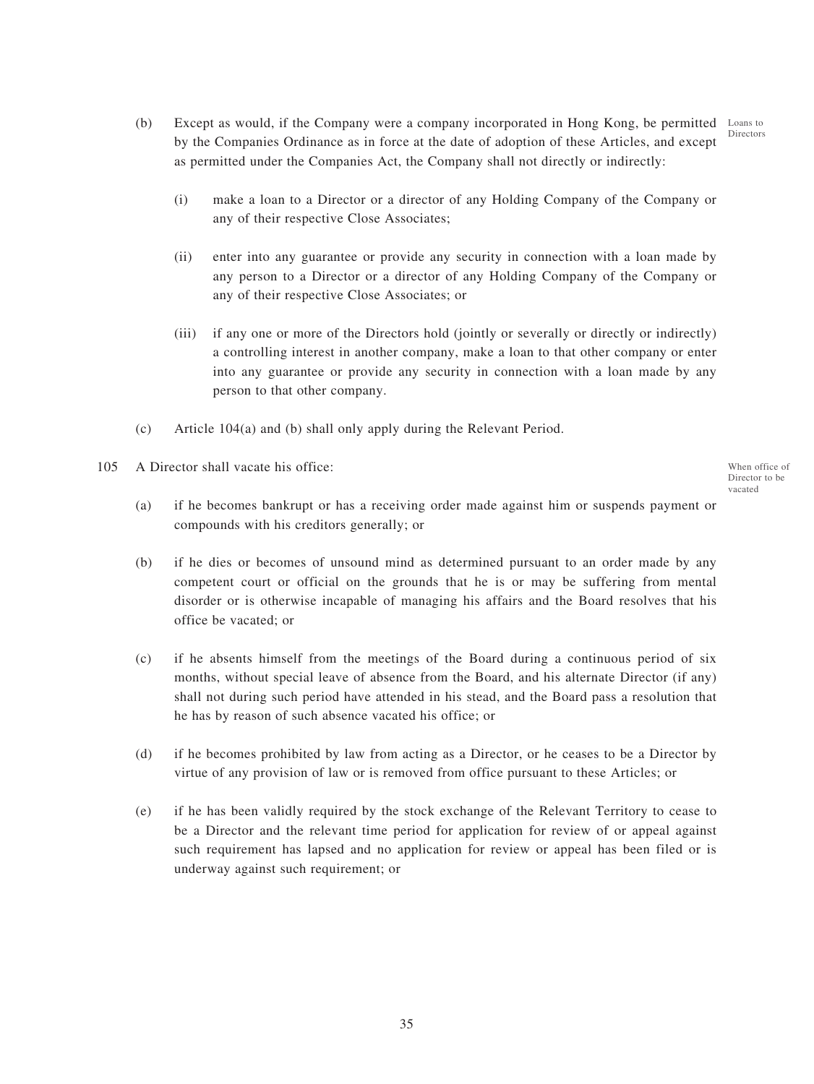- (b) Except as would, if the Company were a company incorporated in Hong Kong, be permitted by the Companies Ordinance as in force at the date of adoption of these Articles, and except as permitted under the Companies Act, the Company shall not directly or indirectly: Loans to Directors
	- (i) make a loan to a Director or a director of any Holding Company of the Company or any of their respective Close Associates;
	- (ii) enter into any guarantee or provide any security in connection with a loan made by any person to a Director or a director of any Holding Company of the Company or any of their respective Close Associates; or
	- (iii) if any one or more of the Directors hold (jointly or severally or directly or indirectly) a controlling interest in another company, make a loan to that other company or enter into any guarantee or provide any security in connection with a loan made by any person to that other company.
- (c) Article 104(a) and (b) shall only apply during the Relevant Period.
- 105 A Director shall vacate his office:

When office of Director to be vacated

- (a) if he becomes bankrupt or has a receiving order made against him or suspends payment or compounds with his creditors generally; or
- (b) if he dies or becomes of unsound mind as determined pursuant to an order made by any competent court or official on the grounds that he is or may be suffering from mental disorder or is otherwise incapable of managing his affairs and the Board resolves that his office be vacated; or
- (c) if he absents himself from the meetings of the Board during a continuous period of six months, without special leave of absence from the Board, and his alternate Director (if any) shall not during such period have attended in his stead, and the Board pass a resolution that he has by reason of such absence vacated his office; or
- (d) if he becomes prohibited by law from acting as a Director, or he ceases to be a Director by virtue of any provision of law or is removed from office pursuant to these Articles; or
- (e) if he has been validly required by the stock exchange of the Relevant Territory to cease to be a Director and the relevant time period for application for review of or appeal against such requirement has lapsed and no application for review or appeal has been filed or is underway against such requirement; or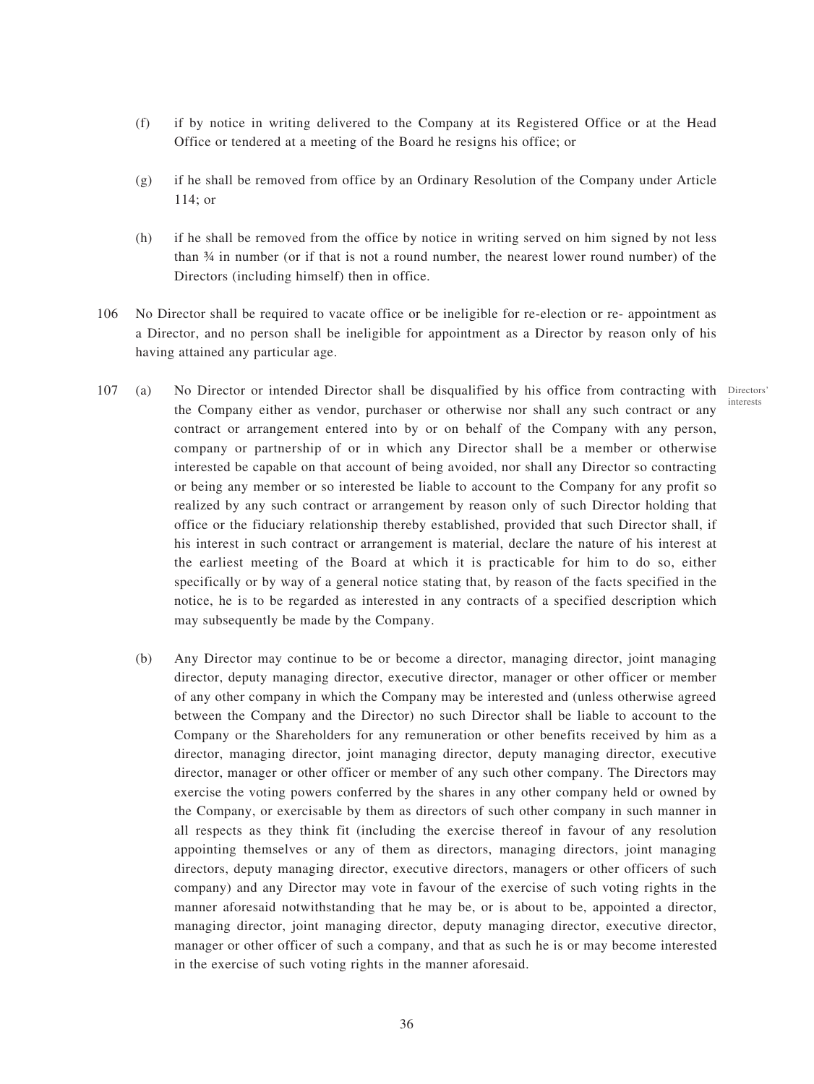- (f) if by notice in writing delivered to the Company at its Registered Office or at the Head Office or tendered at a meeting of the Board he resigns his office; or
- (g) if he shall be removed from office by an Ordinary Resolution of the Company under Article 114; or
- (h) if he shall be removed from the office by notice in writing served on him signed by not less than ¾ in number (or if that is not a round number, the nearest lower round number) of the Directors (including himself) then in office.
- 106 No Director shall be required to vacate office or be ineligible for re-election or re- appointment as a Director, and no person shall be ineligible for appointment as a Director by reason only of his having attained any particular age.
- 107 (a) No Director or intended Director shall be disqualified by his office from contracting with Directors' the Company either as vendor, purchaser or otherwise nor shall any such contract or any contract or arrangement entered into by or on behalf of the Company with any person, company or partnership of or in which any Director shall be a member or otherwise interested be capable on that account of being avoided, nor shall any Director so contracting or being any member or so interested be liable to account to the Company for any profit so realized by any such contract or arrangement by reason only of such Director holding that office or the fiduciary relationship thereby established, provided that such Director shall, if his interest in such contract or arrangement is material, declare the nature of his interest at the earliest meeting of the Board at which it is practicable for him to do so, either specifically or by way of a general notice stating that, by reason of the facts specified in the notice, he is to be regarded as interested in any contracts of a specified description which may subsequently be made by the Company. interests
	- (b) Any Director may continue to be or become a director, managing director, joint managing director, deputy managing director, executive director, manager or other officer or member of any other company in which the Company may be interested and (unless otherwise agreed between the Company and the Director) no such Director shall be liable to account to the Company or the Shareholders for any remuneration or other benefits received by him as a director, managing director, joint managing director, deputy managing director, executive director, manager or other officer or member of any such other company. The Directors may exercise the voting powers conferred by the shares in any other company held or owned by the Company, or exercisable by them as directors of such other company in such manner in all respects as they think fit (including the exercise thereof in favour of any resolution appointing themselves or any of them as directors, managing directors, joint managing directors, deputy managing director, executive directors, managers or other officers of such company) and any Director may vote in favour of the exercise of such voting rights in the manner aforesaid notwithstanding that he may be, or is about to be, appointed a director, managing director, joint managing director, deputy managing director, executive director, manager or other officer of such a company, and that as such he is or may become interested in the exercise of such voting rights in the manner aforesaid.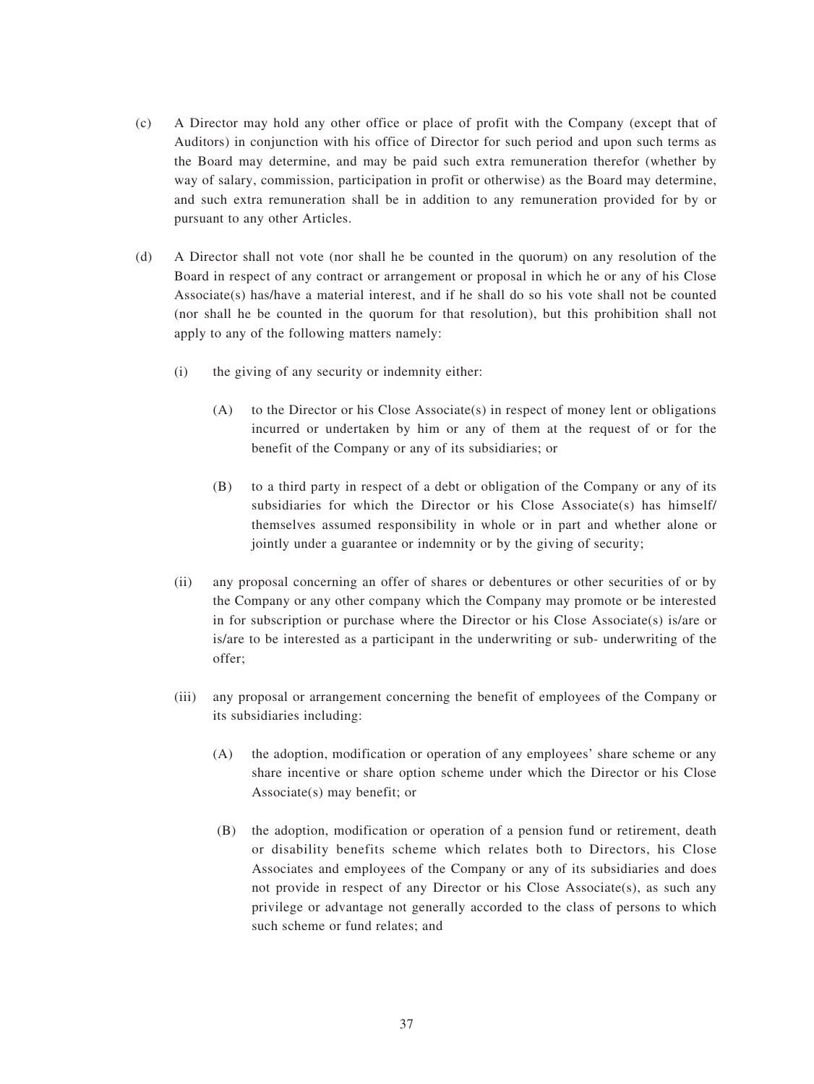- (c) A Director may hold any other office or place of profit with the Company (except that of Auditors) in conjunction with his office of Director for such period and upon such terms as the Board may determine, and may be paid such extra remuneration therefor (whether by way of salary, commission, participation in profit or otherwise) as the Board may determine, and such extra remuneration shall be in addition to any remuneration provided for by or pursuant to any other Articles.
- (d) A Director shall not vote (nor shall he be counted in the quorum) on any resolution of the Board in respect of any contract or arrangement or proposal in which he or any of his Close Associate(s) has/have a material interest, and if he shall do so his vote shall not be counted (nor shall he be counted in the quorum for that resolution), but this prohibition shall not apply to any of the following matters namely:
	- (i) the giving of any security or indemnity either:
		- (A) to the Director or his Close Associate(s) in respect of money lent or obligations incurred or undertaken by him or any of them at the request of or for the benefit of the Company or any of its subsidiaries; or
		- (B) to a third party in respect of a debt or obligation of the Company or any of its subsidiaries for which the Director or his Close Associate(s) has himself/ themselves assumed responsibility in whole or in part and whether alone or jointly under a guarantee or indemnity or by the giving of security;
	- (ii) any proposal concerning an offer of shares or debentures or other securities of or by the Company or any other company which the Company may promote or be interested in for subscription or purchase where the Director or his Close Associate(s) is/are or is/are to be interested as a participant in the underwriting or sub- underwriting of the offer;
	- (iii) any proposal or arrangement concerning the benefit of employees of the Company or its subsidiaries including:
		- (A) the adoption, modification or operation of any employees' share scheme or any share incentive or share option scheme under which the Director or his Close Associate(s) may benefit; or
		- (B) the adoption, modification or operation of a pension fund or retirement, death or disability benefits scheme which relates both to Directors, his Close Associates and employees of the Company or any of its subsidiaries and does not provide in respect of any Director or his Close Associate $(s)$ , as such any privilege or advantage not generally accorded to the class of persons to which such scheme or fund relates; and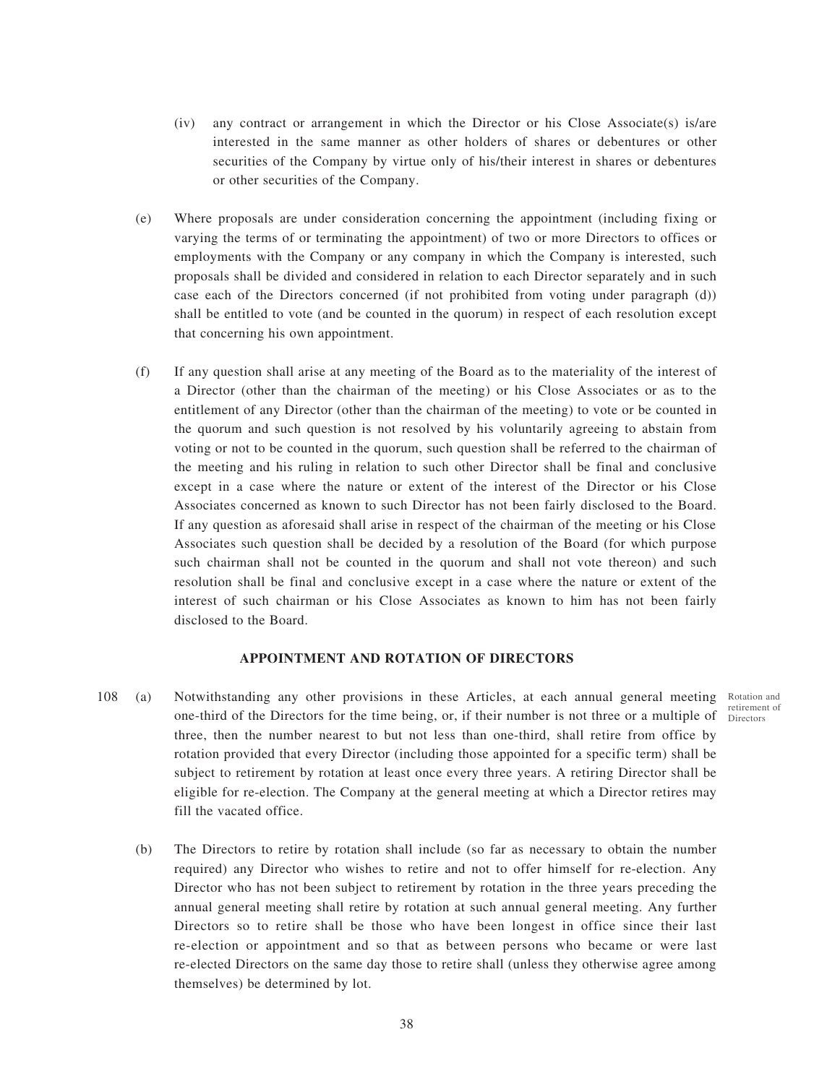- (iv) any contract or arrangement in which the Director or his Close Associate(s) is/are interested in the same manner as other holders of shares or debentures or other securities of the Company by virtue only of his/their interest in shares or debentures or other securities of the Company.
- (e) Where proposals are under consideration concerning the appointment (including fixing or varying the terms of or terminating the appointment) of two or more Directors to offices or employments with the Company or any company in which the Company is interested, such proposals shall be divided and considered in relation to each Director separately and in such case each of the Directors concerned (if not prohibited from voting under paragraph (d)) shall be entitled to vote (and be counted in the quorum) in respect of each resolution except that concerning his own appointment.
- (f) If any question shall arise at any meeting of the Board as to the materiality of the interest of a Director (other than the chairman of the meeting) or his Close Associates or as to the entitlement of any Director (other than the chairman of the meeting) to vote or be counted in the quorum and such question is not resolved by his voluntarily agreeing to abstain from voting or not to be counted in the quorum, such question shall be referred to the chairman of the meeting and his ruling in relation to such other Director shall be final and conclusive except in a case where the nature or extent of the interest of the Director or his Close Associates concerned as known to such Director has not been fairly disclosed to the Board. If any question as aforesaid shall arise in respect of the chairman of the meeting or his Close Associates such question shall be decided by a resolution of the Board (for which purpose such chairman shall not be counted in the quorum and shall not vote thereon) and such resolution shall be final and conclusive except in a case where the nature or extent of the interest of such chairman or his Close Associates as known to him has not been fairly disclosed to the Board.

#### **APPOINTMENT AND ROTATION OF DIRECTORS**

- 108 (a) Notwithstanding any other provisions in these Articles, at each annual general meeting one-third of the Directors for the time being, or, if their number is not three or a multiple of Directorsthree, then the number nearest to but not less than one-third, shall retire from office by rotation provided that every Director (including those appointed for a specific term) shall be subject to retirement by rotation at least once every three years. A retiring Director shall be eligible for re-election. The Company at the general meeting at which a Director retires may fill the vacated office.
	- (b) The Directors to retire by rotation shall include (so far as necessary to obtain the number required) any Director who wishes to retire and not to offer himself for re-election. Any Director who has not been subject to retirement by rotation in the three years preceding the annual general meeting shall retire by rotation at such annual general meeting. Any further Directors so to retire shall be those who have been longest in office since their last re-election or appointment and so that as between persons who became or were last re-elected Directors on the same day those to retire shall (unless they otherwise agree among themselves) be determined by lot.

Rotation and retirement of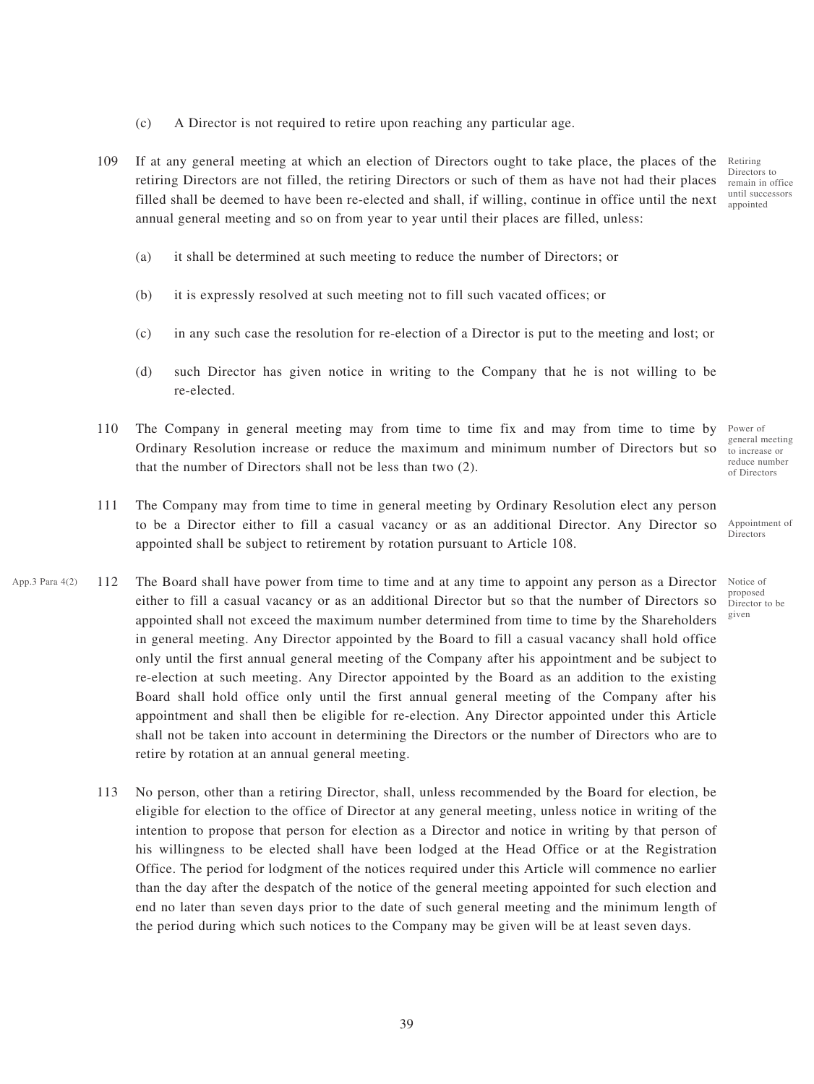- (c) A Director is not required to retire upon reaching any particular age.
- 109 If at any general meeting at which an election of Directors ought to take place, the places of the retiring Directors are not filled, the retiring Directors or such of them as have not had their places filled shall be deemed to have been re-elected and shall, if willing, continue in office until the next annual general meeting and so on from year to year until their places are filled, unless: Retiring Directors to remain in office until successors appointed
	- (a) it shall be determined at such meeting to reduce the number of Directors; or
	- (b) it is expressly resolved at such meeting not to fill such vacated offices; or
	- (c) in any such case the resolution for re-election of a Director is put to the meeting and lost; or
	- (d) such Director has given notice in writing to the Company that he is not willing to be re-elected.
- 110 The Company in general meeting may from time to time fix and may from time to time by Ordinary Resolution increase or reduce the maximum and minimum number of Directors but so that the number of Directors shall not be less than two (2).
- 111 The Company may from time to time in general meeting by Ordinary Resolution elect any person to be a Director either to fill a casual vacancy or as an additional Director. Any Director so appointed shall be subject to retirement by rotation pursuant to Article 108.
- App.3 Para  $4(2)$  112 The Board shall have power from time to time and at any time to appoint any person as a Director Notice of either to fill a casual vacancy or as an additional Director but so that the number of Directors so appointed shall not exceed the maximum number determined from time to time by the Shareholders in general meeting. Any Director appointed by the Board to fill a casual vacancy shall hold office only until the first annual general meeting of the Company after his appointment and be subject to re-election at such meeting. Any Director appointed by the Board as an addition to the existing Board shall hold office only until the first annual general meeting of the Company after his appointment and shall then be eligible for re-election. Any Director appointed under this Article shall not be taken into account in determining the Directors or the number of Directors who are to retire by rotation at an annual general meeting.
	- 113 No person, other than a retiring Director, shall, unless recommended by the Board for election, be eligible for election to the office of Director at any general meeting, unless notice in writing of the intention to propose that person for election as a Director and notice in writing by that person of his willingness to be elected shall have been lodged at the Head Office or at the Registration Office. The period for lodgment of the notices required under this Article will commence no earlier than the day after the despatch of the notice of the general meeting appointed for such election and end no later than seven days prior to the date of such general meeting and the minimum length of the period during which such notices to the Company may be given will be at least seven days.

Power of general meeting to increase or reduce number of Directors

Appointment of Directors

proposed Director to be given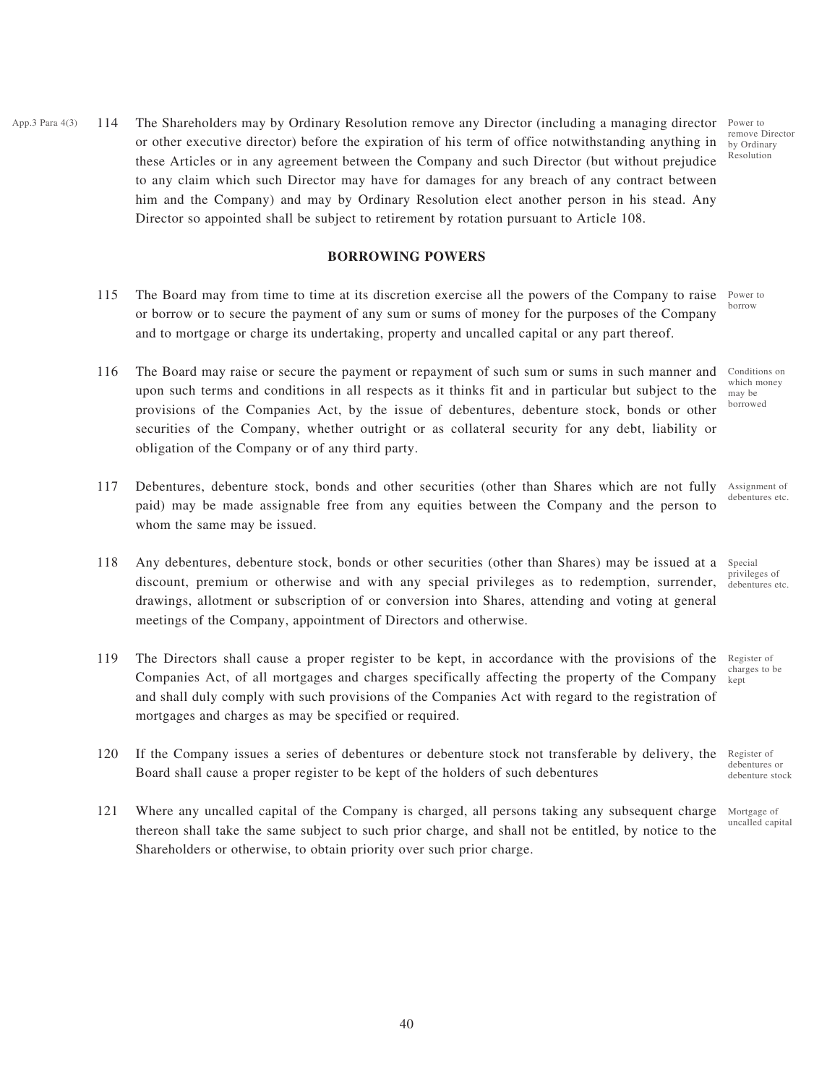App.3 Para  $4(3)$  114 The Shareholders may by Ordinary Resolution remove any Director (including a managing director Power to or other executive director) before the expiration of his term of office notwithstanding anything in these Articles or in any agreement between the Company and such Director (but without prejudice to any claim which such Director may have for damages for any breach of any contract between him and the Company) and may by Ordinary Resolution elect another person in his stead. Any Director so appointed shall be subject to retirement by rotation pursuant to Article 108.

#### **BORROWING POWERS**

- 115 The Board may from time to time at its discretion exercise all the powers of the Company to raise or borrow or to secure the payment of any sum or sums of money for the purposes of the Company and to mortgage or charge its undertaking, property and uncalled capital or any part thereof.
- 116 The Board may raise or secure the payment or repayment of such sum or sums in such manner and upon such terms and conditions in all respects as it thinks fit and in particular but subject to the provisions of the Companies Act, by the issue of debentures, debenture stock, bonds or other securities of the Company, whether outright or as collateral security for any debt, liability or obligation of the Company or of any third party.
- 117 Debentures, debenture stock, bonds and other securities (other than Shares which are not fully paid) may be made assignable free from any equities between the Company and the person to whom the same may be issued.
- 118 Any debentures, debenture stock, bonds or other securities (other than Shares) may be issued at a discount, premium or otherwise and with any special privileges as to redemption, surrender, drawings, allotment or subscription of or conversion into Shares, attending and voting at general meetings of the Company, appointment of Directors and otherwise.
- 119 The Directors shall cause a proper register to be kept, in accordance with the provisions of the Companies Act, of all mortgages and charges specifically affecting the property of the Company and shall duly comply with such provisions of the Companies Act with regard to the registration of mortgages and charges as may be specified or required.
- 120 If the Company issues a series of debentures or debenture stock not transferable by delivery, the Board shall cause a proper register to be kept of the holders of such debentures
- 121 Where any uncalled capital of the Company is charged, all persons taking any subsequent charge thereon shall take the same subject to such prior charge, and shall not be entitled, by notice to the Shareholders or otherwise, to obtain priority over such prior charge.

remove Director by Ordinary Resolution

Power to borrow

Conditions on which money may be borrowed

Assignment of debentures etc.

Special privileges of debentures etc.

Register of charges to be kept

Register of debentures or debenture stock

Mortgage of uncalled capital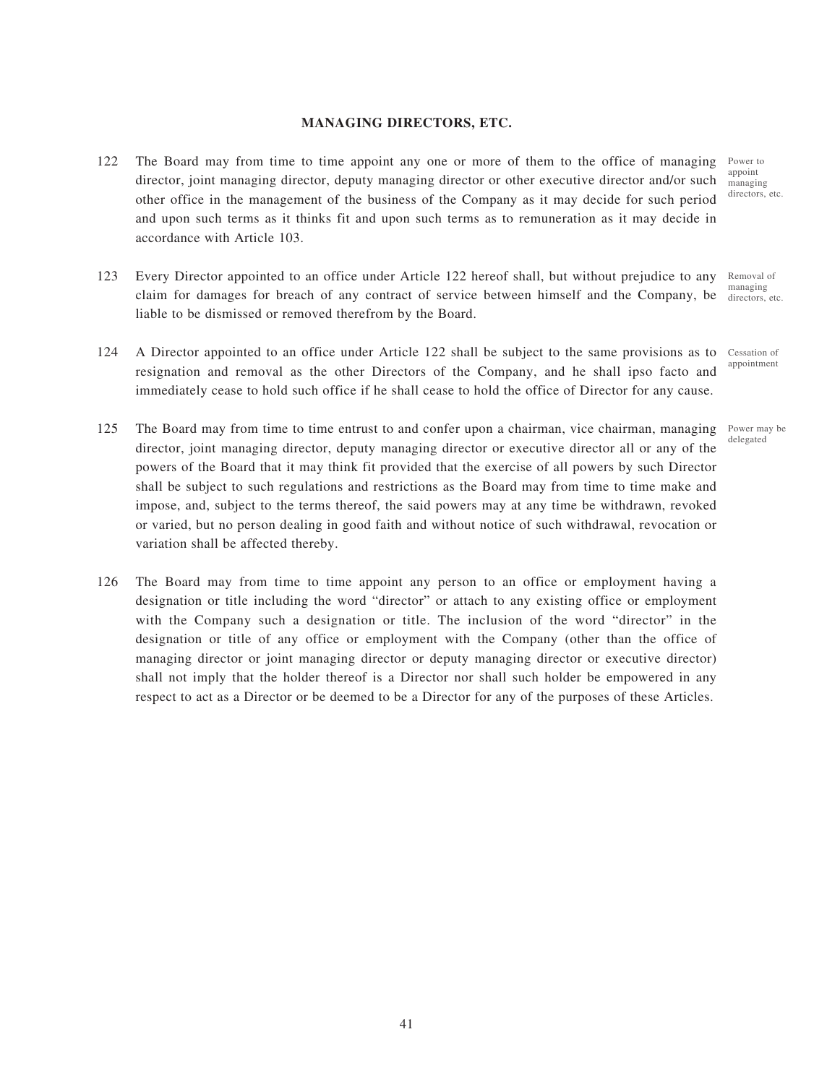## **MANAGING DIRECTORS, ETC.**

- 122 The Board may from time to time appoint any one or more of them to the office of managing Power to director, joint managing director, deputy managing director or other executive director and/or such other office in the management of the business of the Company as it may decide for such period and upon such terms as it thinks fit and upon such terms as to remuneration as it may decide in accordance with Article 103.
- 123 Every Director appointed to an office under Article 122 hereof shall, but without prejudice to any claim for damages for breach of any contract of service between himself and the Company, be liable to be dismissed or removed therefrom by the Board. Removal of managing
- 124 A Director appointed to an office under Article 122 shall be subject to the same provisions as to resignation and removal as the other Directors of the Company, and he shall ipso facto and immediately cease to hold such office if he shall cease to hold the office of Director for any cause. Cessation of
- 125 The Board may from time to time entrust to and confer upon a chairman, vice chairman, managing director, joint managing director, deputy managing director or executive director all or any of the powers of the Board that it may think fit provided that the exercise of all powers by such Director shall be subject to such regulations and restrictions as the Board may from time to time make and impose, and, subject to the terms thereof, the said powers may at any time be withdrawn, revoked or varied, but no person dealing in good faith and without notice of such withdrawal, revocation or variation shall be affected thereby.
- 126 The Board may from time to time appoint any person to an office or employment having a designation or title including the word "director" or attach to any existing office or employment with the Company such a designation or title. The inclusion of the word "director" in the designation or title of any office or employment with the Company (other than the office of managing director or joint managing director or deputy managing director or executive director) shall not imply that the holder thereof is a Director nor shall such holder be empowered in any respect to act as a Director or be deemed to be a Director for any of the purposes of these Articles.

appoint managing directors, etc.

directors, etc.

appointment

Power may be delegated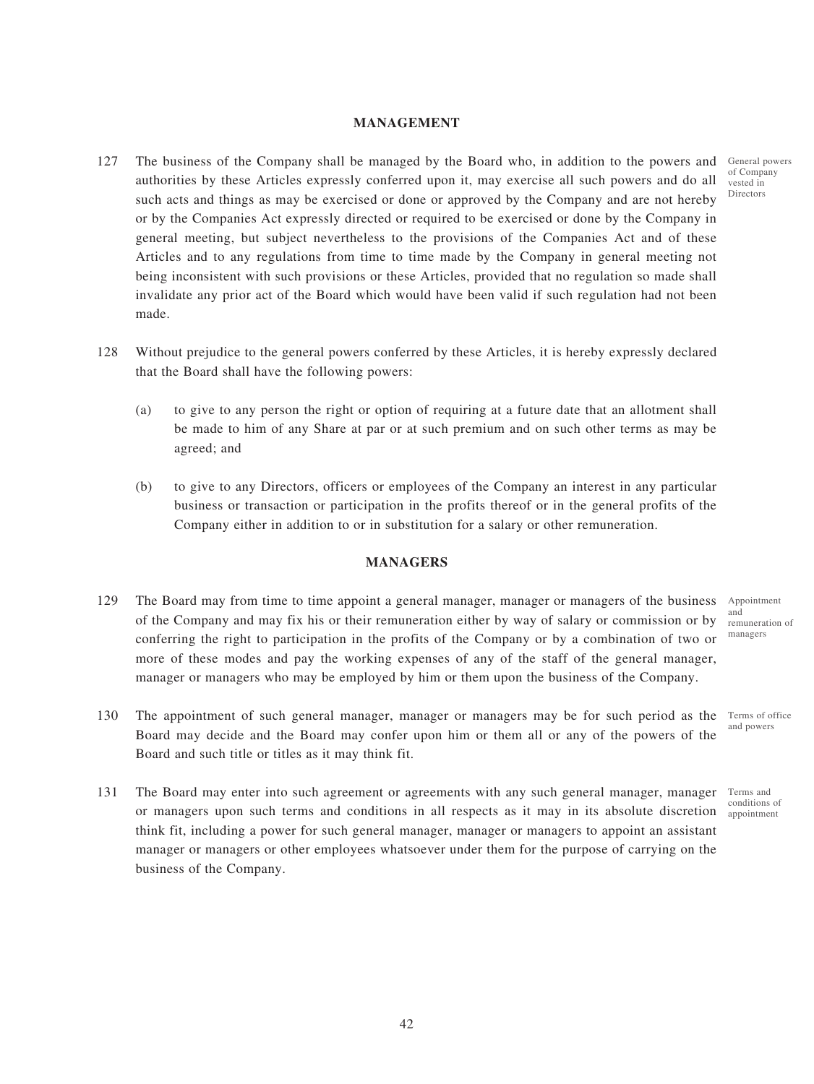## **MANAGEMENT**

- 127 The business of the Company shall be managed by the Board who, in addition to the powers and General powers authorities by these Articles expressly conferred upon it, may exercise all such powers and do all such acts and things as may be exercised or done or approved by the Company and are not hereby or by the Companies Act expressly directed or required to be exercised or done by the Company in general meeting, but subject nevertheless to the provisions of the Companies Act and of these Articles and to any regulations from time to time made by the Company in general meeting not being inconsistent with such provisions or these Articles, provided that no regulation so made shall invalidate any prior act of the Board which would have been valid if such regulation had not been made.
- 128 Without prejudice to the general powers conferred by these Articles, it is hereby expressly declared that the Board shall have the following powers:
	- (a) to give to any person the right or option of requiring at a future date that an allotment shall be made to him of any Share at par or at such premium and on such other terms as may be agreed; and
	- (b) to give to any Directors, officers or employees of the Company an interest in any particular business or transaction or participation in the profits thereof or in the general profits of the Company either in addition to or in substitution for a salary or other remuneration.

### **MANAGERS**

- 129 The Board may from time to time appoint a general manager, manager or managers of the business of the Company and may fix his or their remuneration either by way of salary or commission or by conferring the right to participation in the profits of the Company or by a combination of two or more of these modes and pay the working expenses of any of the staff of the general manager, manager or managers who may be employed by him or them upon the business of the Company.
- 130 The appointment of such general manager, manager or managers may be for such period as the Board may decide and the Board may confer upon him or them all or any of the powers of the Board and such title or titles as it may think fit.
- 131 The Board may enter into such agreement or agreements with any such general manager, manager or managers upon such terms and conditions in all respects as it may in its absolute discretion appointment think fit, including a power for such general manager, manager or managers to appoint an assistant manager or managers or other employees whatsoever under them for the purpose of carrying on the business of the Company.

of Company vested in Directors

Appointment and remuneration of managers

Terms of office and powers

Terms and conditions of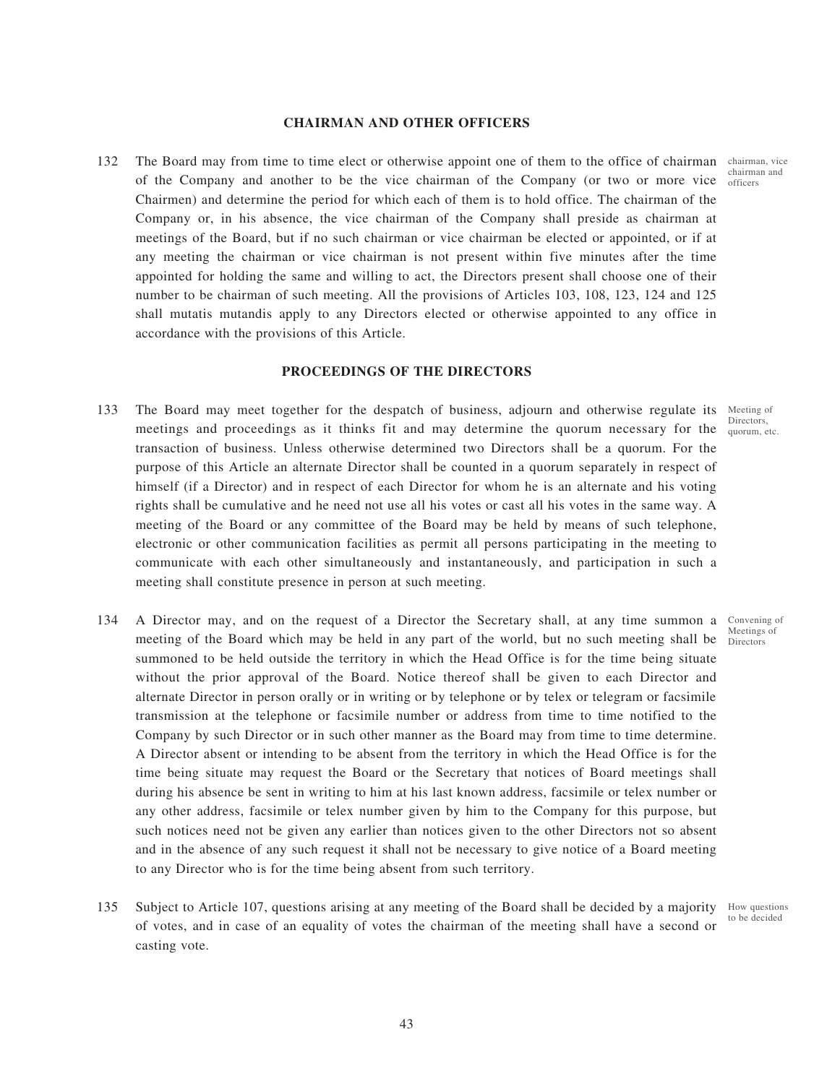### **CHAIRMAN AND OTHER OFFICERS**

132 The Board may from time to time elect or otherwise appoint one of them to the office of chairman chairman, vice of the Company and another to be the vice chairman of the Company (or two or more vice officers Chairmen) and determine the period for which each of them is to hold office. The chairman of the Company or, in his absence, the vice chairman of the Company shall preside as chairman at meetings of the Board, but if no such chairman or vice chairman be elected or appointed, or if at any meeting the chairman or vice chairman is not present within five minutes after the time appointed for holding the same and willing to act, the Directors present shall choose one of their number to be chairman of such meeting. All the provisions of Articles 103, 108, 123, 124 and 125 shall mutatis mutandis apply to any Directors elected or otherwise appointed to any office in accordance with the provisions of this Article.

### **PROCEEDINGS OF THE DIRECTORS**

- 133 The Board may meet together for the despatch of business, adjourn and otherwise regulate its Meeting of meetings and proceedings as it thinks fit and may determine the quorum necessary for the *Quorum*, e transaction of business. Unless otherwise determined two Directors shall be a quorum. For the purpose of this Article an alternate Director shall be counted in a quorum separately in respect of himself (if a Director) and in respect of each Director for whom he is an alternate and his voting rights shall be cumulative and he need not use all his votes or cast all his votes in the same way. A meeting of the Board or any committee of the Board may be held by means of such telephone, electronic or other communication facilities as permit all persons participating in the meeting to communicate with each other simultaneously and instantaneously, and participation in such a meeting shall constitute presence in person at such meeting.
- 134 A Director may, and on the request of a Director the Secretary shall, at any time summon a Convening of meeting of the Board which may be held in any part of the world, but no such meeting shall be  $\frac{1}{\text{Directions}}$ summoned to be held outside the territory in which the Head Office is for the time being situate without the prior approval of the Board. Notice thereof shall be given to each Director and alternate Director in person orally or in writing or by telephone or by telex or telegram or facsimile transmission at the telephone or facsimile number or address from time to time notified to the Company by such Director or in such other manner as the Board may from time to time determine. A Director absent or intending to be absent from the territory in which the Head Office is for the time being situate may request the Board or the Secretary that notices of Board meetings shall during his absence be sent in writing to him at his last known address, facsimile or telex number or any other address, facsimile or telex number given by him to the Company for this purpose, but such notices need not be given any earlier than notices given to the other Directors not so absent and in the absence of any such request it shall not be necessary to give notice of a Board meeting to any Director who is for the time being absent from such territory.
- 135 Subject to Article 107, questions arising at any meeting of the Board shall be decided by a majority of votes, and in case of an equality of votes the chairman of the meeting shall have a second or casting vote. How questions to be decided

chairman and

quorum, etc.

Meetings of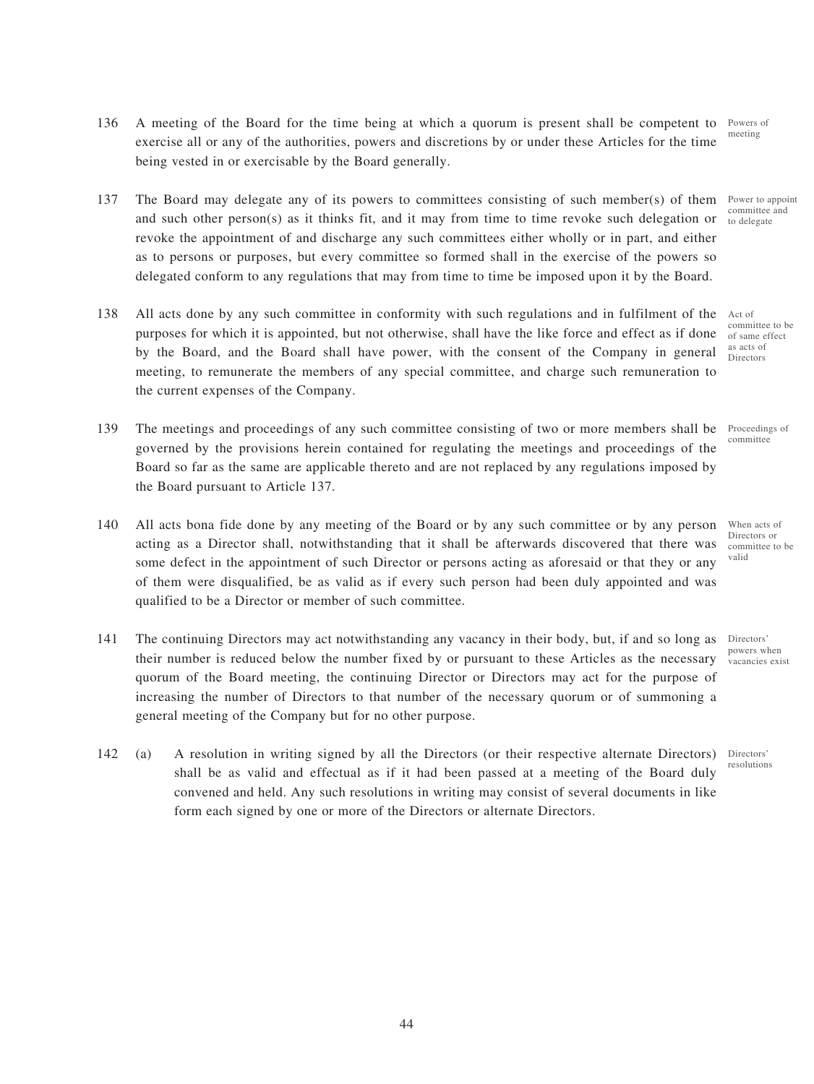- 136 A meeting of the Board for the time being at which a quorum is present shall be competent to exercise all or any of the authorities, powers and discretions by or under these Articles for the time being vested in or exercisable by the Board generally.
- 137 The Board may delegate any of its powers to committees consisting of such member(s) of them and such other person(s) as it thinks fit, and it may from time to time revoke such delegation or revoke the appointment of and discharge any such committees either wholly or in part, and either as to persons or purposes, but every committee so formed shall in the exercise of the powers so delegated conform to any regulations that may from time to time be imposed upon it by the Board.
- 138 All acts done by any such committee in conformity with such regulations and in fulfilment of the purposes for which it is appointed, but not otherwise, shall have the like force and effect as if done by the Board, and the Board shall have power, with the consent of the Company in general meeting, to remunerate the members of any special committee, and charge such remuneration to the current expenses of the Company.
- 139 The meetings and proceedings of any such committee consisting of two or more members shall be governed by the provisions herein contained for regulating the meetings and proceedings of the Board so far as the same are applicable thereto and are not replaced by any regulations imposed by the Board pursuant to Article 137.
- 140 All acts bona fide done by any meeting of the Board or by any such committee or by any person acting as a Director shall, notwithstanding that it shall be afterwards discovered that there was some defect in the appointment of such Director or persons acting as aforesaid or that they or any of them were disqualified, be as valid as if every such person had been duly appointed and was qualified to be a Director or member of such committee.
- 141 The continuing Directors may act notwithstanding any vacancy in their body, but, if and so long as their number is reduced below the number fixed by or pursuant to these Articles as the necessary quorum of the Board meeting, the continuing Director or Directors may act for the purpose of increasing the number of Directors to that number of the necessary quorum or of summoning a general meeting of the Company but for no other purpose.
- 142 (a) A resolution in writing signed by all the Directors (or their respective alternate Directors) shall be as valid and effectual as if it had been passed at a meeting of the Board duly convened and held. Any such resolutions in writing may consist of several documents in like form each signed by one or more of the Directors or alternate Directors.

Powers of meeting

> Power to appoint committee and to delegate

Act of committee to be of same effect as acts of Directors

Proceedings of committee

When acts of Directors or committee to be valid

Directors' powers when vacancies exist

Directors' resolutions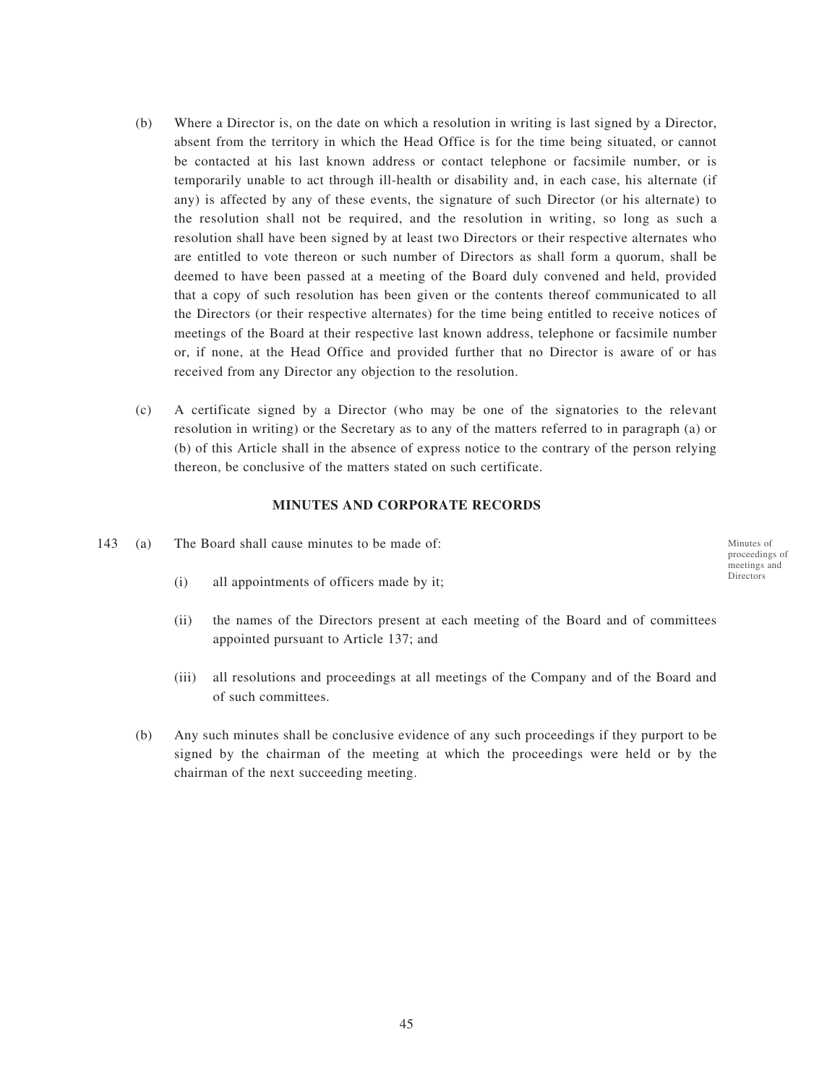- (b) Where a Director is, on the date on which a resolution in writing is last signed by a Director, absent from the territory in which the Head Office is for the time being situated, or cannot be contacted at his last known address or contact telephone or facsimile number, or is temporarily unable to act through ill-health or disability and, in each case, his alternate (if any) is affected by any of these events, the signature of such Director (or his alternate) to the resolution shall not be required, and the resolution in writing, so long as such a resolution shall have been signed by at least two Directors or their respective alternates who are entitled to vote thereon or such number of Directors as shall form a quorum, shall be deemed to have been passed at a meeting of the Board duly convened and held, provided that a copy of such resolution has been given or the contents thereof communicated to all the Directors (or their respective alternates) for the time being entitled to receive notices of meetings of the Board at their respective last known address, telephone or facsimile number or, if none, at the Head Office and provided further that no Director is aware of or has received from any Director any objection to the resolution.
- (c) A certificate signed by a Director (who may be one of the signatories to the relevant resolution in writing) or the Secretary as to any of the matters referred to in paragraph (a) or (b) of this Article shall in the absence of express notice to the contrary of the person relying thereon, be conclusive of the matters stated on such certificate.

### **MINUTES AND CORPORATE RECORDS**

- 143 (a) The Board shall cause minutes to be made of:
	- (i) all appointments of officers made by it;
	- (ii) the names of the Directors present at each meeting of the Board and of committees appointed pursuant to Article 137; and
	- (iii) all resolutions and proceedings at all meetings of the Company and of the Board and of such committees.
	- (b) Any such minutes shall be conclusive evidence of any such proceedings if they purport to be signed by the chairman of the meeting at which the proceedings were held or by the chairman of the next succeeding meeting.

Minutes of proceedings of meetings and Directors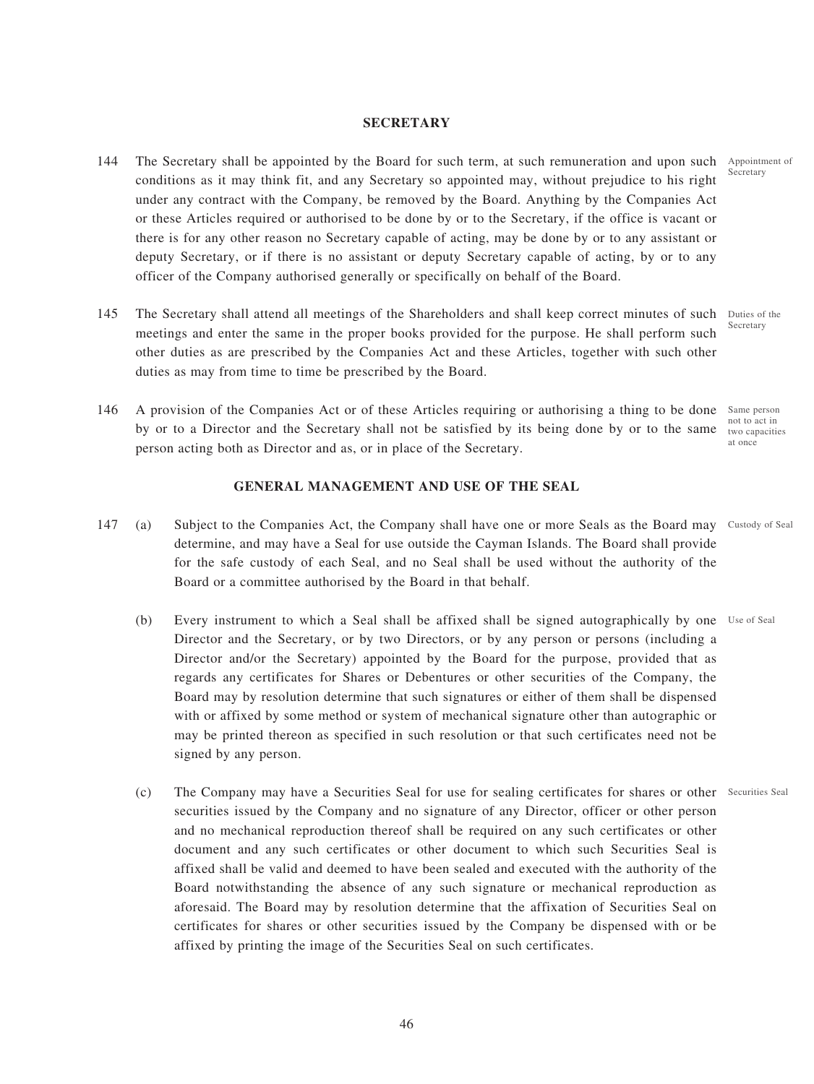## **SECRETARY**

- 144 The Secretary shall be appointed by the Board for such term, at such remuneration and upon such Appointment of conditions as it may think fit, and any Secretary so appointed may, without prejudice to his right under any contract with the Company, be removed by the Board. Anything by the Companies Act or these Articles required or authorised to be done by or to the Secretary, if the office is vacant or there is for any other reason no Secretary capable of acting, may be done by or to any assistant or deputy Secretary, or if there is no assistant or deputy Secretary capable of acting, by or to any officer of the Company authorised generally or specifically on behalf of the Board.
- 145 The Secretary shall attend all meetings of the Shareholders and shall keep correct minutes of such Duties of the meetings and enter the same in the proper books provided for the purpose. He shall perform such other duties as are prescribed by the Companies Act and these Articles, together with such other duties as may from time to time be prescribed by the Board.
- 146 A provision of the Companies Act or of these Articles requiring or authorising a thing to be done Same person by or to a Director and the Secretary shall not be satisfied by its being done by or to the same two capacities person acting both as Director and as, or in place of the Secretary. not to act in

#### **GENERAL MANAGEMENT AND USE OF THE SEAL**

- 147 (a) Subject to the Companies Act, the Company shall have one or more Seals as the Board may Custody of Seal determine, and may have a Seal for use outside the Cayman Islands. The Board shall provide for the safe custody of each Seal, and no Seal shall be used without the authority of the Board or a committee authorised by the Board in that behalf.
	- (b) Every instrument to which a Seal shall be affixed shall be signed autographically by one Use of Seal Director and the Secretary, or by two Directors, or by any person or persons (including a Director and/or the Secretary) appointed by the Board for the purpose, provided that as regards any certificates for Shares or Debentures or other securities of the Company, the Board may by resolution determine that such signatures or either of them shall be dispensed with or affixed by some method or system of mechanical signature other than autographic or may be printed thereon as specified in such resolution or that such certificates need not be signed by any person.
	- (c) The Company may have a Securities Seal for use for sealing certificates for shares or other Securities Sealsecurities issued by the Company and no signature of any Director, officer or other person and no mechanical reproduction thereof shall be required on any such certificates or other document and any such certificates or other document to which such Securities Seal is affixed shall be valid and deemed to have been sealed and executed with the authority of the Board notwithstanding the absence of any such signature or mechanical reproduction as aforesaid. The Board may by resolution determine that the affixation of Securities Seal on certificates for shares or other securities issued by the Company be dispensed with or be affixed by printing the image of the Securities Seal on such certificates.

Secretary

at once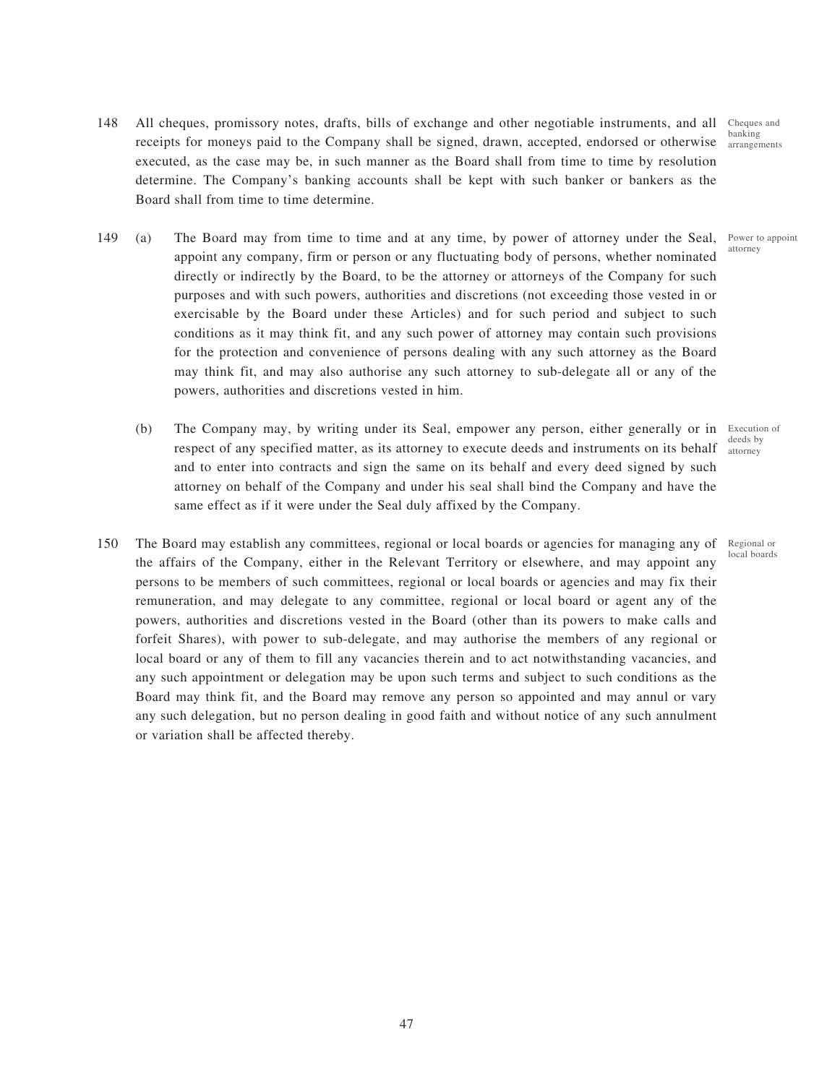- 148 All cheques, promissory notes, drafts, bills of exchange and other negotiable instruments, and all receipts for moneys paid to the Company shall be signed, drawn, accepted, endorsed or otherwise executed, as the case may be, in such manner as the Board shall from time to time by resolution determine. The Company's banking accounts shall be kept with such banker or bankers as the Board shall from time to time determine. Cheques and banking
- 149 (a) The Board may from time to time and at any time, by power of attorney under the Seal, Power to appoint appoint any company, firm or person or any fluctuating body of persons, whether nominated directly or indirectly by the Board, to be the attorney or attorneys of the Company for such purposes and with such powers, authorities and discretions (not exceeding those vested in or exercisable by the Board under these Articles) and for such period and subject to such conditions as it may think fit, and any such power of attorney may contain such provisions for the protection and convenience of persons dealing with any such attorney as the Board may think fit, and may also authorise any such attorney to sub-delegate all or any of the powers, authorities and discretions vested in him.
	- (b) The Company may, by writing under its Seal, empower any person, either generally or in Execution of respect of any specified matter, as its attorney to execute deeds and instruments on its behalf and to enter into contracts and sign the same on its behalf and every deed signed by such attorney on behalf of the Company and under his seal shall bind the Company and have the same effect as if it were under the Seal duly affixed by the Company.
- 150 The Board may establish any committees, regional or local boards or agencies for managing any of Regional or the affairs of the Company, either in the Relevant Territory or elsewhere, and may appoint any persons to be members of such committees, regional or local boards or agencies and may fix their remuneration, and may delegate to any committee, regional or local board or agent any of the powers, authorities and discretions vested in the Board (other than its powers to make calls and forfeit Shares), with power to sub-delegate, and may authorise the members of any regional or local board or any of them to fill any vacancies therein and to act notwithstanding vacancies, and any such appointment or delegation may be upon such terms and subject to such conditions as the Board may think fit, and the Board may remove any person so appointed and may annul or vary any such delegation, but no person dealing in good faith and without notice of any such annulment or variation shall be affected thereby.

arrangements

attorney

deeds by attorney

local boards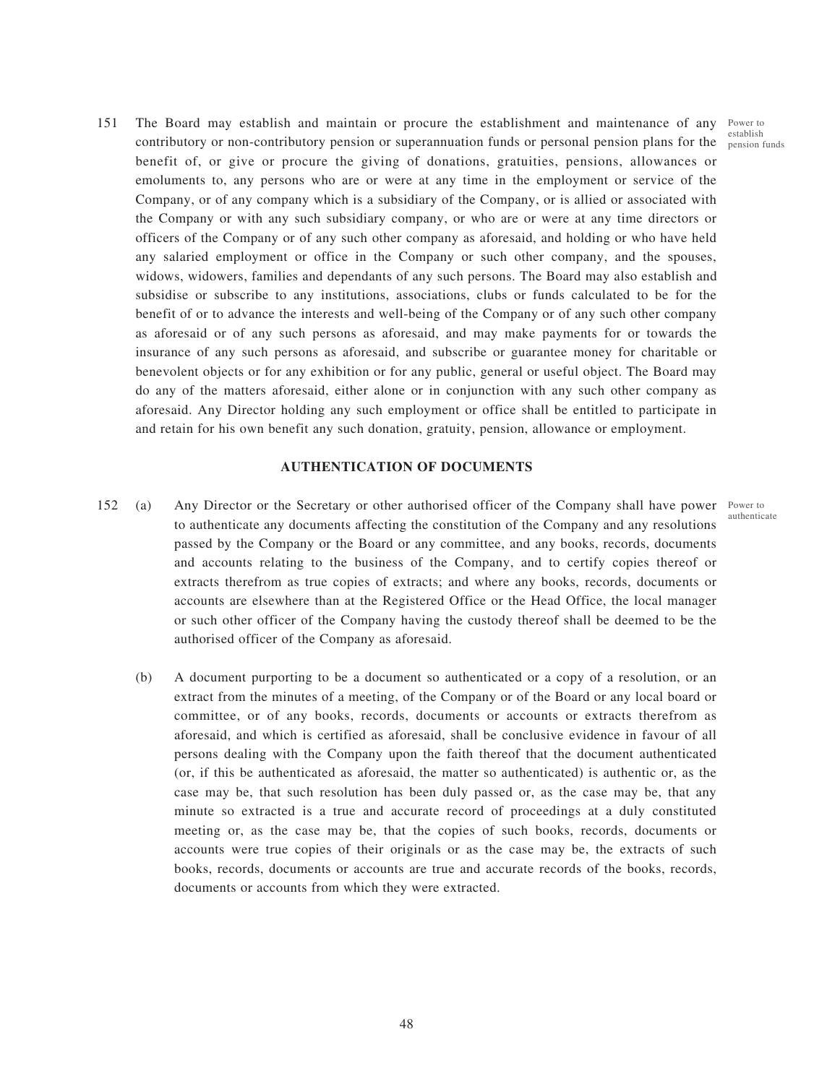establish

authenticate

151 The Board may establish and maintain or procure the establishment and maintenance of any Power to contributory or non-contributory pension or superannuation funds or personal pension plans for the  $\frac{1}{\text{pension}}$  funds benefit of, or give or procure the giving of donations, gratuities, pensions, allowances or emoluments to, any persons who are or were at any time in the employment or service of the Company, or of any company which is a subsidiary of the Company, or is allied or associated with the Company or with any such subsidiary company, or who are or were at any time directors or officers of the Company or of any such other company as aforesaid, and holding or who have held any salaried employment or office in the Company or such other company, and the spouses, widows, widowers, families and dependants of any such persons. The Board may also establish and subsidise or subscribe to any institutions, associations, clubs or funds calculated to be for the benefit of or to advance the interests and well-being of the Company or of any such other company as aforesaid or of any such persons as aforesaid, and may make payments for or towards the insurance of any such persons as aforesaid, and subscribe or guarantee money for charitable or benevolent objects or for any exhibition or for any public, general or useful object. The Board may do any of the matters aforesaid, either alone or in conjunction with any such other company as aforesaid. Any Director holding any such employment or office shall be entitled to participate in and retain for his own benefit any such donation, gratuity, pension, allowance or employment.

### **AUTHENTICATION OF DOCUMENTS**

- 152 (a) Any Director or the Secretary or other authorised officer of the Company shall have power Power to to authenticate any documents affecting the constitution of the Company and any resolutions passed by the Company or the Board or any committee, and any books, records, documents and accounts relating to the business of the Company, and to certify copies thereof or extracts therefrom as true copies of extracts; and where any books, records, documents or accounts are elsewhere than at the Registered Office or the Head Office, the local manager or such other officer of the Company having the custody thereof shall be deemed to be the authorised officer of the Company as aforesaid.
	- (b) A document purporting to be a document so authenticated or a copy of a resolution, or an extract from the minutes of a meeting, of the Company or of the Board or any local board or committee, or of any books, records, documents or accounts or extracts therefrom as aforesaid, and which is certified as aforesaid, shall be conclusive evidence in favour of all persons dealing with the Company upon the faith thereof that the document authenticated (or, if this be authenticated as aforesaid, the matter so authenticated) is authentic or, as the case may be, that such resolution has been duly passed or, as the case may be, that any minute so extracted is a true and accurate record of proceedings at a duly constituted meeting or, as the case may be, that the copies of such books, records, documents or accounts were true copies of their originals or as the case may be, the extracts of such books, records, documents or accounts are true and accurate records of the books, records, documents or accounts from which they were extracted.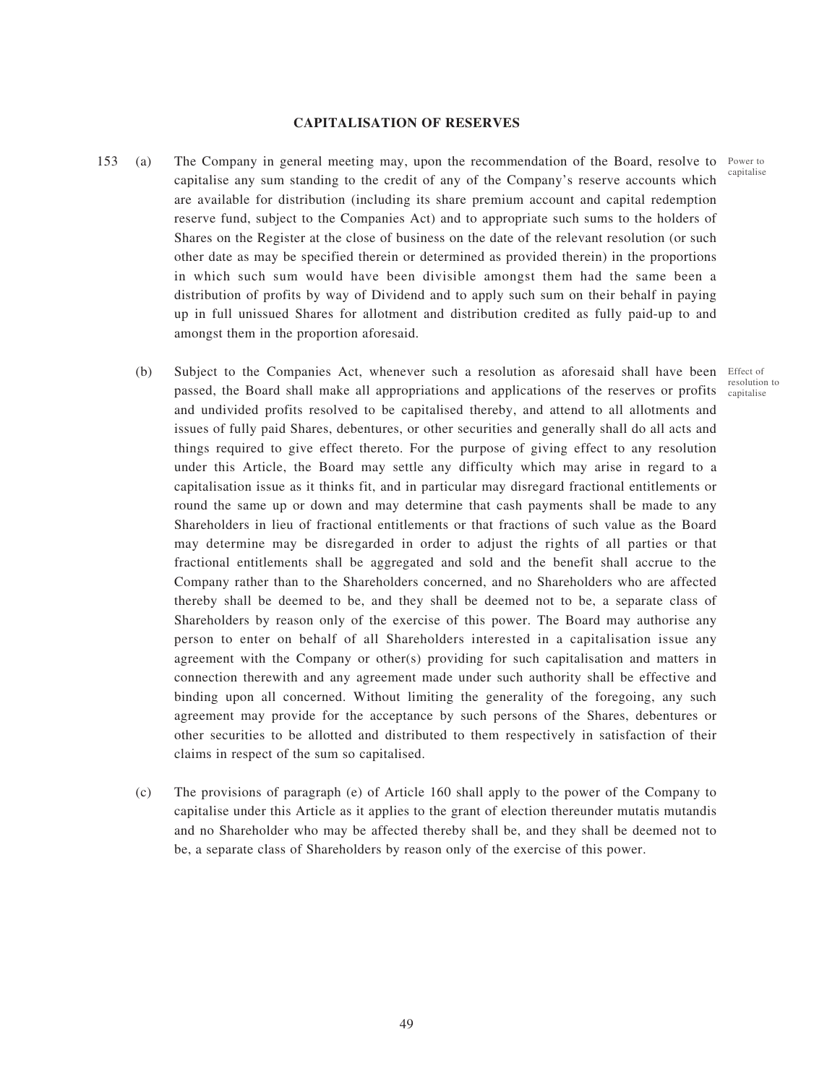## **CAPITALISATION OF RESERVES**

- 153 (a) The Company in general meeting may, upon the recommendation of the Board, resolve to Power to capitalise any sum standing to the credit of any of the Company's reserve accounts which are available for distribution (including its share premium account and capital redemption reserve fund, subject to the Companies Act) and to appropriate such sums to the holders of Shares on the Register at the close of business on the date of the relevant resolution (or such other date as may be specified therein or determined as provided therein) in the proportions in which such sum would have been divisible amongst them had the same been a distribution of profits by way of Dividend and to apply such sum on their behalf in paying up in full unissued Shares for allotment and distribution credited as fully paid-up to and amongst them in the proportion aforesaid.
	- (b) Subject to the Companies Act, whenever such a resolution as aforesaid shall have been Effect of passed, the Board shall make all appropriations and applications of the reserves or profits capitaliseand undivided profits resolved to be capitalised thereby, and attend to all allotments and issues of fully paid Shares, debentures, or other securities and generally shall do all acts and things required to give effect thereto. For the purpose of giving effect to any resolution under this Article, the Board may settle any difficulty which may arise in regard to a capitalisation issue as it thinks fit, and in particular may disregard fractional entitlements or round the same up or down and may determine that cash payments shall be made to any Shareholders in lieu of fractional entitlements or that fractions of such value as the Board may determine may be disregarded in order to adjust the rights of all parties or that fractional entitlements shall be aggregated and sold and the benefit shall accrue to the Company rather than to the Shareholders concerned, and no Shareholders who are affected thereby shall be deemed to be, and they shall be deemed not to be, a separate class of Shareholders by reason only of the exercise of this power. The Board may authorise any person to enter on behalf of all Shareholders interested in a capitalisation issue any agreement with the Company or other(s) providing for such capitalisation and matters in connection therewith and any agreement made under such authority shall be effective and binding upon all concerned. Without limiting the generality of the foregoing, any such agreement may provide for the acceptance by such persons of the Shares, debentures or other securities to be allotted and distributed to them respectively in satisfaction of their claims in respect of the sum so capitalised.
	- (c) The provisions of paragraph (e) of Article 160 shall apply to the power of the Company to capitalise under this Article as it applies to the grant of election thereunder mutatis mutandis and no Shareholder who may be affected thereby shall be, and they shall be deemed not to be, a separate class of Shareholders by reason only of the exercise of this power.

capitalise

resolution to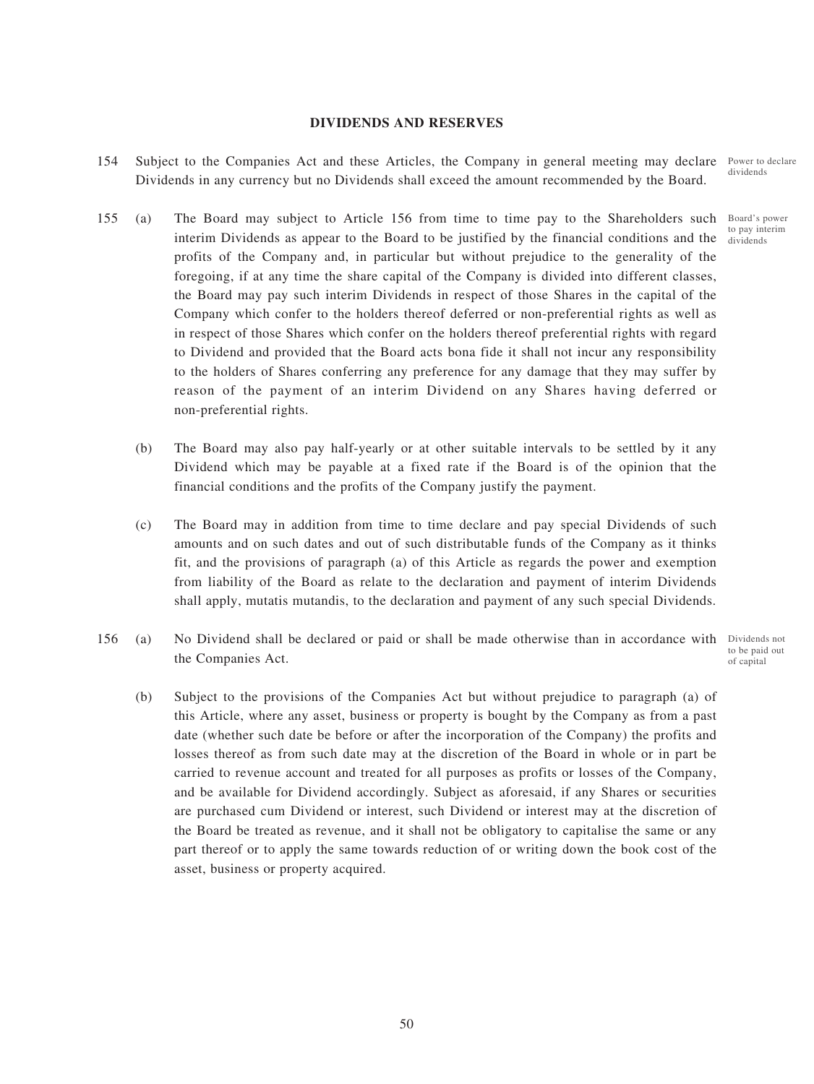## **DIVIDENDS AND RESERVES**

- 154 Subject to the Companies Act and these Articles, the Company in general meeting may declare Dividends in any currency but no Dividends shall exceed the amount recommended by the Board.
- 155 (a) The Board may subject to Article 156 from time to time pay to the Shareholders such interim Dividends as appear to the Board to be justified by the financial conditions and the profits of the Company and, in particular but without prejudice to the generality of the foregoing, if at any time the share capital of the Company is divided into different classes, the Board may pay such interim Dividends in respect of those Shares in the capital of the Company which confer to the holders thereof deferred or non-preferential rights as well as in respect of those Shares which confer on the holders thereof preferential rights with regard to Dividend and provided that the Board acts bona fide it shall not incur any responsibility to the holders of Shares conferring any preference for any damage that they may suffer by reason of the payment of an interim Dividend on any Shares having deferred or non-preferential rights.
	- (b) The Board may also pay half-yearly or at other suitable intervals to be settled by it any Dividend which may be payable at a fixed rate if the Board is of the opinion that the financial conditions and the profits of the Company justify the payment.
	- (c) The Board may in addition from time to time declare and pay special Dividends of such amounts and on such dates and out of such distributable funds of the Company as it thinks fit, and the provisions of paragraph (a) of this Article as regards the power and exemption from liability of the Board as relate to the declaration and payment of interim Dividends shall apply, mutatis mutandis, to the declaration and payment of any such special Dividends.
- 156 (a) No Dividend shall be declared or paid or shall be made otherwise than in accordance with Dividends not the Companies Act. to be paid out of capital
	- (b) Subject to the provisions of the Companies Act but without prejudice to paragraph (a) of this Article, where any asset, business or property is bought by the Company as from a past date (whether such date be before or after the incorporation of the Company) the profits and losses thereof as from such date may at the discretion of the Board in whole or in part be carried to revenue account and treated for all purposes as profits or losses of the Company, and be available for Dividend accordingly. Subject as aforesaid, if any Shares or securities are purchased cum Dividend or interest, such Dividend or interest may at the discretion of the Board be treated as revenue, and it shall not be obligatory to capitalise the same or any part thereof or to apply the same towards reduction of or writing down the book cost of the asset, business or property acquired.

Power to declare dividends

Board's power to pay interim dividends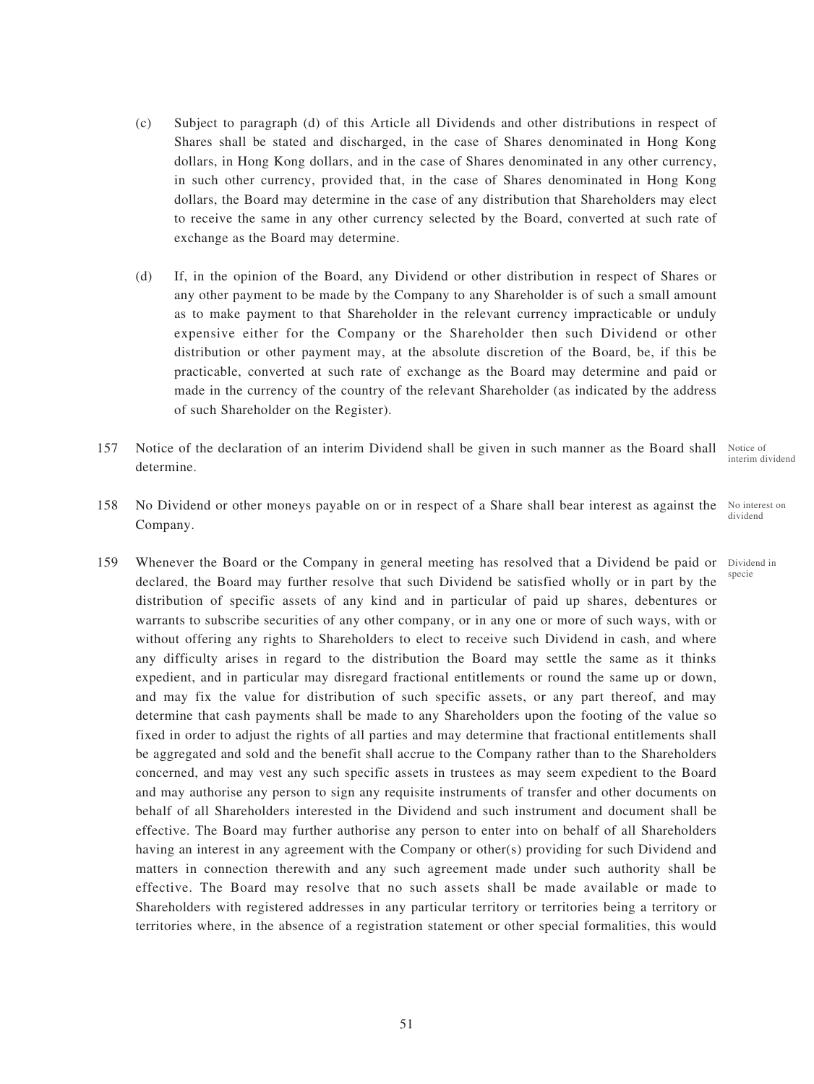- (c) Subject to paragraph (d) of this Article all Dividends and other distributions in respect of Shares shall be stated and discharged, in the case of Shares denominated in Hong Kong dollars, in Hong Kong dollars, and in the case of Shares denominated in any other currency, in such other currency, provided that, in the case of Shares denominated in Hong Kong dollars, the Board may determine in the case of any distribution that Shareholders may elect to receive the same in any other currency selected by the Board, converted at such rate of exchange as the Board may determine.
- (d) If, in the opinion of the Board, any Dividend or other distribution in respect of Shares or any other payment to be made by the Company to any Shareholder is of such a small amount as to make payment to that Shareholder in the relevant currency impracticable or unduly expensive either for the Company or the Shareholder then such Dividend or other distribution or other payment may, at the absolute discretion of the Board, be, if this be practicable, converted at such rate of exchange as the Board may determine and paid or made in the currency of the country of the relevant Shareholder (as indicated by the address of such Shareholder on the Register).
- 157 Notice of the declaration of an interim Dividend shall be given in such manner as the Board shall determine. Notice of
- 158 No Dividend or other moneys payable on or in respect of a Share shall bear interest as against the Company.
- 159 Whenever the Board or the Company in general meeting has resolved that a Dividend be paid or Dividend in declared, the Board may further resolve that such Dividend be satisfied wholly or in part by the distribution of specific assets of any kind and in particular of paid up shares, debentures or warrants to subscribe securities of any other company, or in any one or more of such ways, with or without offering any rights to Shareholders to elect to receive such Dividend in cash, and where any difficulty arises in regard to the distribution the Board may settle the same as it thinks expedient, and in particular may disregard fractional entitlements or round the same up or down, and may fix the value for distribution of such specific assets, or any part thereof, and may determine that cash payments shall be made to any Shareholders upon the footing of the value so fixed in order to adjust the rights of all parties and may determine that fractional entitlements shall be aggregated and sold and the benefit shall accrue to the Company rather than to the Shareholders concerned, and may vest any such specific assets in trustees as may seem expedient to the Board and may authorise any person to sign any requisite instruments of transfer and other documents on behalf of all Shareholders interested in the Dividend and such instrument and document shall be effective. The Board may further authorise any person to enter into on behalf of all Shareholders having an interest in any agreement with the Company or other(s) providing for such Dividend and matters in connection therewith and any such agreement made under such authority shall be effective. The Board may resolve that no such assets shall be made available or made to Shareholders with registered addresses in any particular territory or territories being a territory or territories where, in the absence of a registration statement or other special formalities, this would

interim dividend

No interest on dividend

specie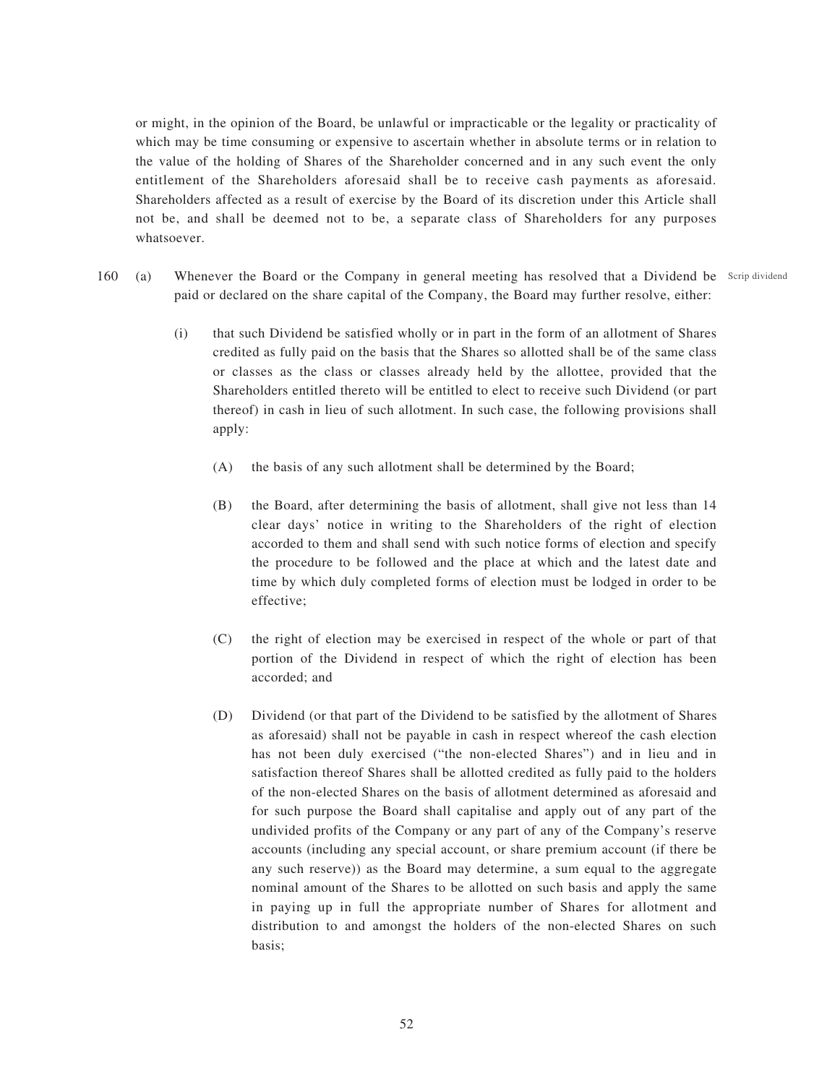or might, in the opinion of the Board, be unlawful or impracticable or the legality or practicality of which may be time consuming or expensive to ascertain whether in absolute terms or in relation to the value of the holding of Shares of the Shareholder concerned and in any such event the only entitlement of the Shareholders aforesaid shall be to receive cash payments as aforesaid. Shareholders affected as a result of exercise by the Board of its discretion under this Article shall not be, and shall be deemed not to be, a separate class of Shareholders for any purposes whatsoever.

- 160 (a) Whenever the Board or the Company in general meeting has resolved that a Dividend be Scrip dividend paid or declared on the share capital of the Company, the Board may further resolve, either:
	- (i) that such Dividend be satisfied wholly or in part in the form of an allotment of Shares credited as fully paid on the basis that the Shares so allotted shall be of the same class or classes as the class or classes already held by the allottee, provided that the Shareholders entitled thereto will be entitled to elect to receive such Dividend (or part thereof) in cash in lieu of such allotment. In such case, the following provisions shall apply:
		- (A) the basis of any such allotment shall be determined by the Board;
		- (B) the Board, after determining the basis of allotment, shall give not less than 14 clear days' notice in writing to the Shareholders of the right of election accorded to them and shall send with such notice forms of election and specify the procedure to be followed and the place at which and the latest date and time by which duly completed forms of election must be lodged in order to be effective;
		- (C) the right of election may be exercised in respect of the whole or part of that portion of the Dividend in respect of which the right of election has been accorded; and
		- (D) Dividend (or that part of the Dividend to be satisfied by the allotment of Shares as aforesaid) shall not be payable in cash in respect whereof the cash election has not been duly exercised ("the non-elected Shares") and in lieu and in satisfaction thereof Shares shall be allotted credited as fully paid to the holders of the non-elected Shares on the basis of allotment determined as aforesaid and for such purpose the Board shall capitalise and apply out of any part of the undivided profits of the Company or any part of any of the Company's reserve accounts (including any special account, or share premium account (if there be any such reserve)) as the Board may determine, a sum equal to the aggregate nominal amount of the Shares to be allotted on such basis and apply the same in paying up in full the appropriate number of Shares for allotment and distribution to and amongst the holders of the non-elected Shares on such basis;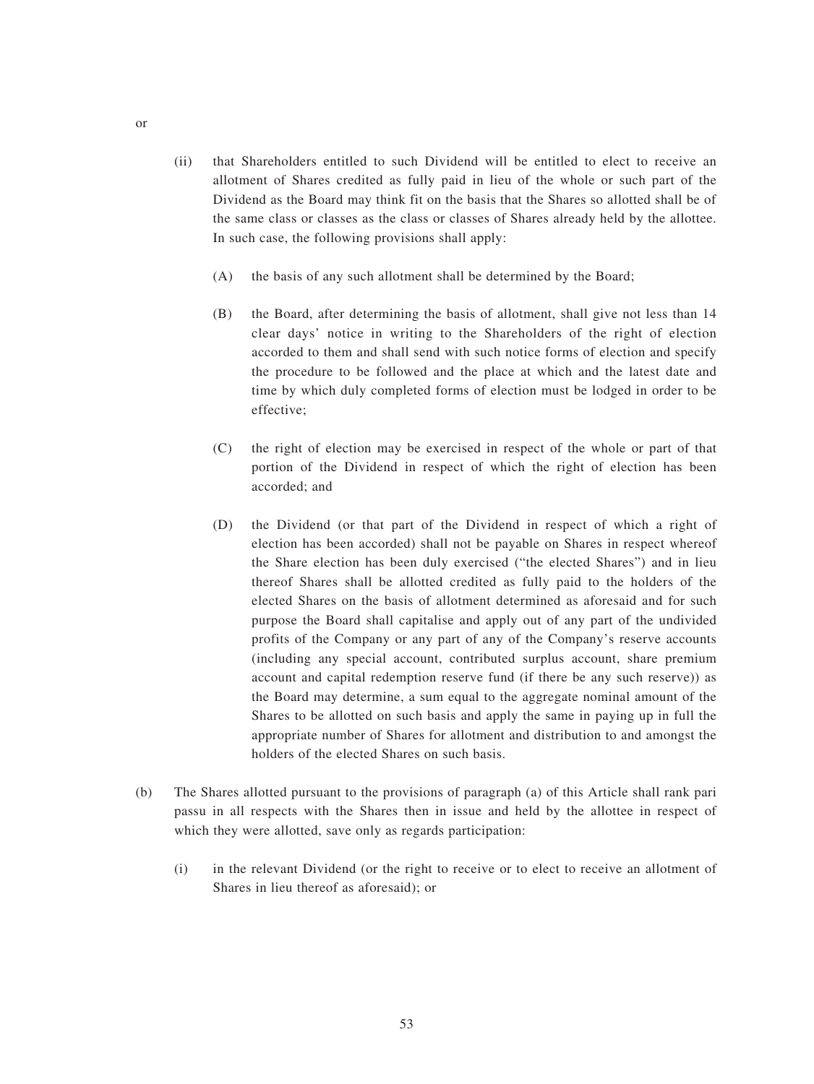- (ii) that Shareholders entitled to such Dividend will be entitled to elect to receive an allotment of Shares credited as fully paid in lieu of the whole or such part of the Dividend as the Board may think fit on the basis that the Shares so allotted shall be of the same class or classes as the class or classes of Shares already held by the allottee. In such case, the following provisions shall apply:
	- (A) the basis of any such allotment shall be determined by the Board;
	- (B) the Board, after determining the basis of allotment, shall give not less than 14 clear days' notice in writing to the Shareholders of the right of election accorded to them and shall send with such notice forms of election and specify the procedure to be followed and the place at which and the latest date and time by which duly completed forms of election must be lodged in order to be effective;
	- (C) the right of election may be exercised in respect of the whole or part of that portion of the Dividend in respect of which the right of election has been accorded; and
	- (D) the Dividend (or that part of the Dividend in respect of which a right of election has been accorded) shall not be payable on Shares in respect whereof the Share election has been duly exercised ("the elected Shares") and in lieu thereof Shares shall be allotted credited as fully paid to the holders of the elected Shares on the basis of allotment determined as aforesaid and for such purpose the Board shall capitalise and apply out of any part of the undivided profits of the Company or any part of any of the Company's reserve accounts (including any special account, contributed surplus account, share premium account and capital redemption reserve fund (if there be any such reserve)) as the Board may determine, a sum equal to the aggregate nominal amount of the Shares to be allotted on such basis and apply the same in paying up in full the appropriate number of Shares for allotment and distribution to and amongst the holders of the elected Shares on such basis.
- (b) The Shares allotted pursuant to the provisions of paragraph (a) of this Article shall rank pari passu in all respects with the Shares then in issue and held by the allottee in respect of which they were allotted, save only as regards participation:
	- (i) in the relevant Dividend (or the right to receive or to elect to receive an allotment of Shares in lieu thereof as aforesaid); or

or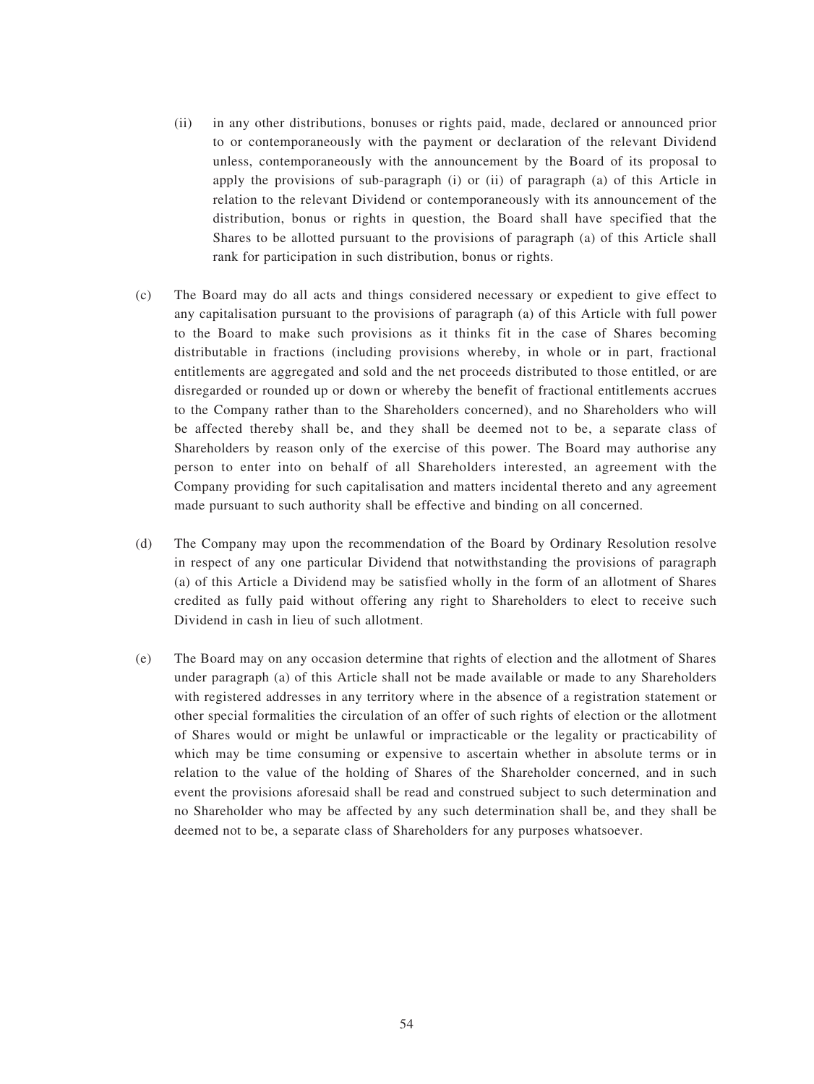- (ii) in any other distributions, bonuses or rights paid, made, declared or announced prior to or contemporaneously with the payment or declaration of the relevant Dividend unless, contemporaneously with the announcement by the Board of its proposal to apply the provisions of sub-paragraph (i) or (ii) of paragraph (a) of this Article in relation to the relevant Dividend or contemporaneously with its announcement of the distribution, bonus or rights in question, the Board shall have specified that the Shares to be allotted pursuant to the provisions of paragraph (a) of this Article shall rank for participation in such distribution, bonus or rights.
- (c) The Board may do all acts and things considered necessary or expedient to give effect to any capitalisation pursuant to the provisions of paragraph (a) of this Article with full power to the Board to make such provisions as it thinks fit in the case of Shares becoming distributable in fractions (including provisions whereby, in whole or in part, fractional entitlements are aggregated and sold and the net proceeds distributed to those entitled, or are disregarded or rounded up or down or whereby the benefit of fractional entitlements accrues to the Company rather than to the Shareholders concerned), and no Shareholders who will be affected thereby shall be, and they shall be deemed not to be, a separate class of Shareholders by reason only of the exercise of this power. The Board may authorise any person to enter into on behalf of all Shareholders interested, an agreement with the Company providing for such capitalisation and matters incidental thereto and any agreement made pursuant to such authority shall be effective and binding on all concerned.
- (d) The Company may upon the recommendation of the Board by Ordinary Resolution resolve in respect of any one particular Dividend that notwithstanding the provisions of paragraph (a) of this Article a Dividend may be satisfied wholly in the form of an allotment of Shares credited as fully paid without offering any right to Shareholders to elect to receive such Dividend in cash in lieu of such allotment.
- (e) The Board may on any occasion determine that rights of election and the allotment of Shares under paragraph (a) of this Article shall not be made available or made to any Shareholders with registered addresses in any territory where in the absence of a registration statement or other special formalities the circulation of an offer of such rights of election or the allotment of Shares would or might be unlawful or impracticable or the legality or practicability of which may be time consuming or expensive to ascertain whether in absolute terms or in relation to the value of the holding of Shares of the Shareholder concerned, and in such event the provisions aforesaid shall be read and construed subject to such determination and no Shareholder who may be affected by any such determination shall be, and they shall be deemed not to be, a separate class of Shareholders for any purposes whatsoever.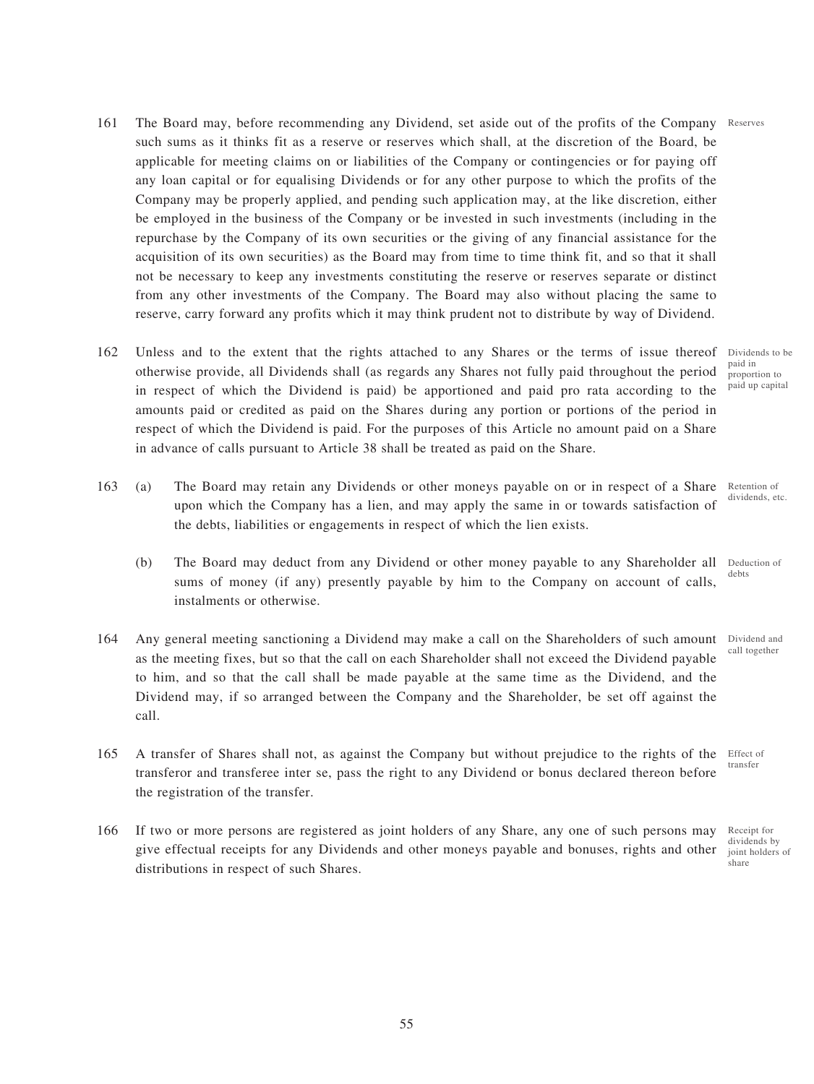- 161 The Board may, before recommending any Dividend, set aside out of the profits of the Company Reserves such sums as it thinks fit as a reserve or reserves which shall, at the discretion of the Board, be applicable for meeting claims on or liabilities of the Company or contingencies or for paying off any loan capital or for equalising Dividends or for any other purpose to which the profits of the Company may be properly applied, and pending such application may, at the like discretion, either be employed in the business of the Company or be invested in such investments (including in the repurchase by the Company of its own securities or the giving of any financial assistance for the acquisition of its own securities) as the Board may from time to time think fit, and so that it shall not be necessary to keep any investments constituting the reserve or reserves separate or distinct from any other investments of the Company. The Board may also without placing the same to reserve, carry forward any profits which it may think prudent not to distribute by way of Dividend.
- 162 Unless and to the extent that the rights attached to any Shares or the terms of issue thereof otherwise provide, all Dividends shall (as regards any Shares not fully paid throughout the period in respect of which the Dividend is paid) be apportioned and paid pro rata according to the amounts paid or credited as paid on the Shares during any portion or portions of the period in respect of which the Dividend is paid. For the purposes of this Article no amount paid on a Share in advance of calls pursuant to Article 38 shall be treated as paid on the Share.
- 163 (a) The Board may retain any Dividends or other moneys payable on or in respect of a Share upon which the Company has a lien, and may apply the same in or towards satisfaction of the debts, liabilities or engagements in respect of which the lien exists.
	- (b) The Board may deduct from any Dividend or other money payable to any Shareholder all sums of money (if any) presently payable by him to the Company on account of calls, instalments or otherwise. Deduction of debts
- 164 Any general meeting sanctioning a Dividend may make a call on the Shareholders of such amount as the meeting fixes, but so that the call on each Shareholder shall not exceed the Dividend payable to him, and so that the call shall be made payable at the same time as the Dividend, and the Dividend may, if so arranged between the Company and the Shareholder, be set off against the call.
- 165 A transfer of Shares shall not, as against the Company but without prejudice to the rights of the transferor and transferee inter se, pass the right to any Dividend or bonus declared thereon before the registration of the transfer. Effect of
- 166 If two or more persons are registered as joint holders of any Share, any one of such persons may give effectual receipts for any Dividends and other moneys payable and bonuses, rights and other distributions in respect of such Shares.

Dividends to be paid in proportion to paid up capital

Retention of dividends, etc.

Dividend and call together

transfer

Receipt for dividends by joint holders of share

55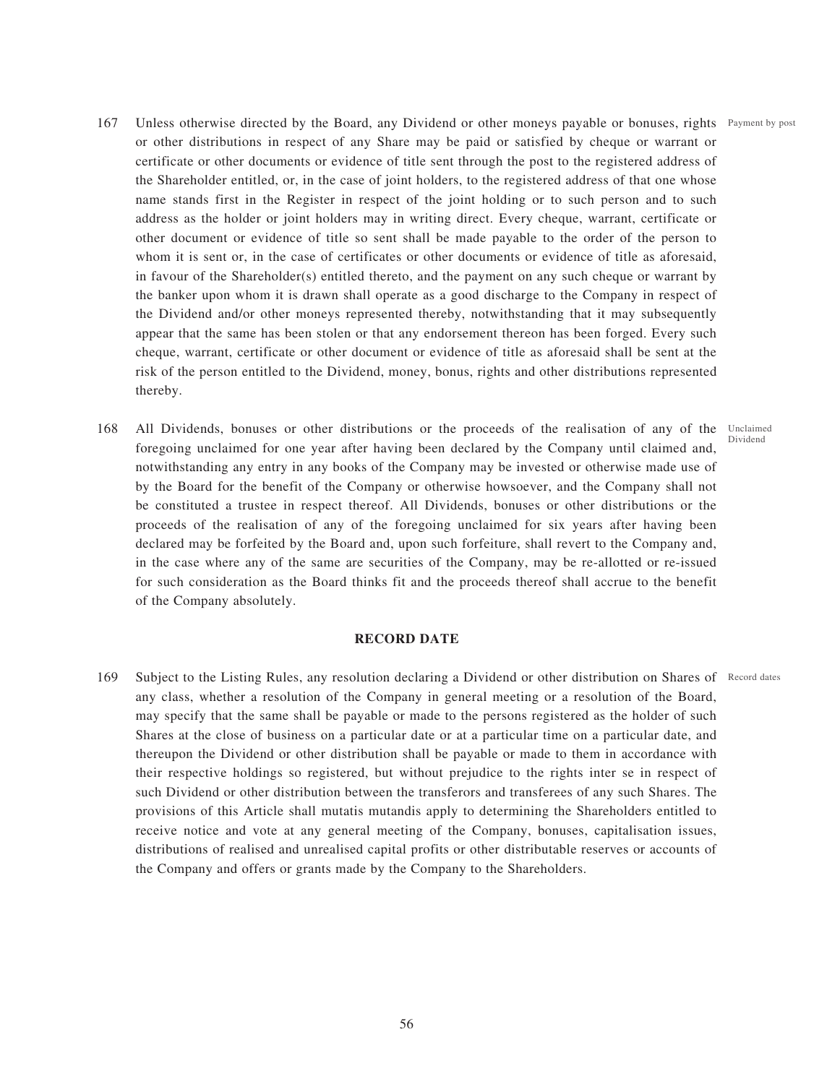- 167 Unless otherwise directed by the Board, any Dividend or other moneys payable or bonuses, rights Payment by post or other distributions in respect of any Share may be paid or satisfied by cheque or warrant or certificate or other documents or evidence of title sent through the post to the registered address of the Shareholder entitled, or, in the case of joint holders, to the registered address of that one whose name stands first in the Register in respect of the joint holding or to such person and to such address as the holder or joint holders may in writing direct. Every cheque, warrant, certificate or other document or evidence of title so sent shall be made payable to the order of the person to whom it is sent or, in the case of certificates or other documents or evidence of title as aforesaid, in favour of the Shareholder(s) entitled thereto, and the payment on any such cheque or warrant by the banker upon whom it is drawn shall operate as a good discharge to the Company in respect of the Dividend and/or other moneys represented thereby, notwithstanding that it may subsequently appear that the same has been stolen or that any endorsement thereon has been forged. Every such cheque, warrant, certificate or other document or evidence of title as aforesaid shall be sent at the risk of the person entitled to the Dividend, money, bonus, rights and other distributions represented thereby.
- 168 All Dividends, bonuses or other distributions or the proceeds of the realisation of any of the Unclaimed foregoing unclaimed for one year after having been declared by the Company until claimed and, notwithstanding any entry in any books of the Company may be invested or otherwise made use of by the Board for the benefit of the Company or otherwise howsoever, and the Company shall not be constituted a trustee in respect thereof. All Dividends, bonuses or other distributions or the proceeds of the realisation of any of the foregoing unclaimed for six years after having been declared may be forfeited by the Board and, upon such forfeiture, shall revert to the Company and, in the case where any of the same are securities of the Company, may be re-allotted or re-issued for such consideration as the Board thinks fit and the proceeds thereof shall accrue to the benefit of the Company absolutely. Dividend

## **RECORD DATE**

169 Subject to the Listing Rules, any resolution declaring a Dividend or other distribution on Shares of Record dates any class, whether a resolution of the Company in general meeting or a resolution of the Board, may specify that the same shall be payable or made to the persons registered as the holder of such Shares at the close of business on a particular date or at a particular time on a particular date, and thereupon the Dividend or other distribution shall be payable or made to them in accordance with their respective holdings so registered, but without prejudice to the rights inter se in respect of such Dividend or other distribution between the transferors and transferees of any such Shares. The provisions of this Article shall mutatis mutandis apply to determining the Shareholders entitled to receive notice and vote at any general meeting of the Company, bonuses, capitalisation issues, distributions of realised and unrealised capital profits or other distributable reserves or accounts of the Company and offers or grants made by the Company to the Shareholders.

56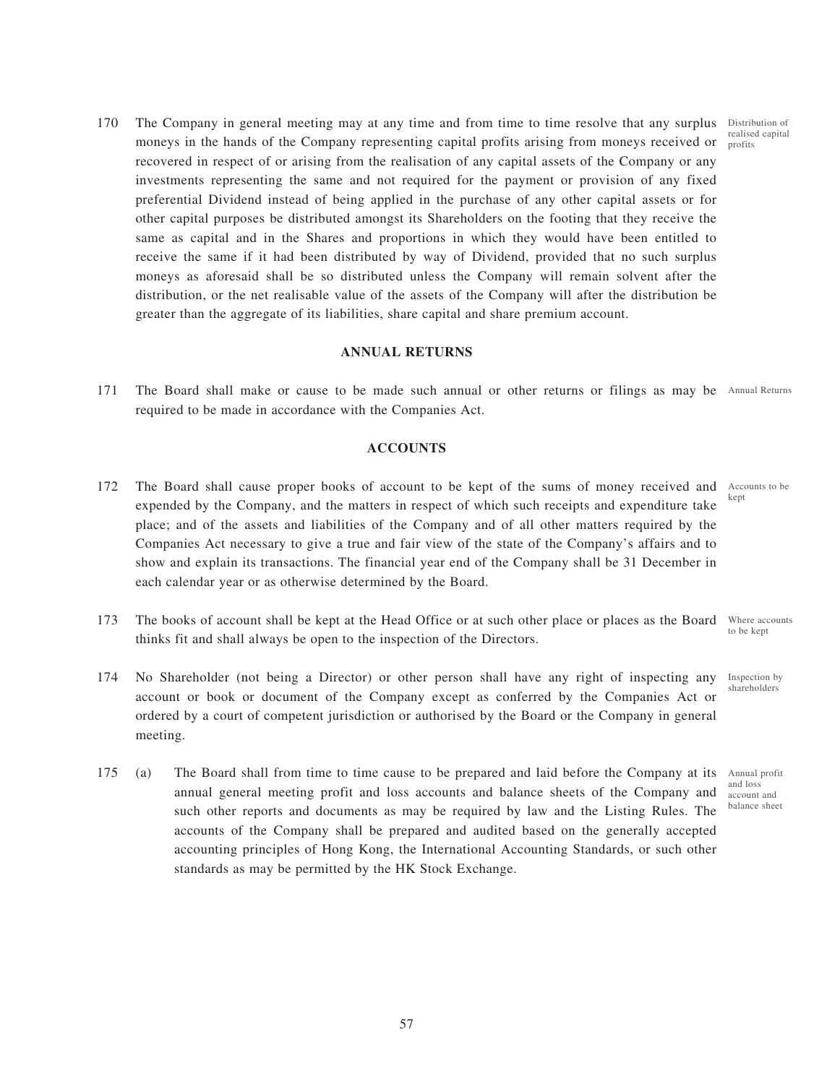170 The Company in general meeting may at any time and from time to time resolve that any surplus Distribution of moneys in the hands of the Company representing capital profits arising from moneys received or recovered in respect of or arising from the realisation of any capital assets of the Company or any investments representing the same and not required for the payment or provision of any fixed preferential Dividend instead of being applied in the purchase of any other capital assets or for other capital purposes be distributed amongst its Shareholders on the footing that they receive the same as capital and in the Shares and proportions in which they would have been entitled to receive the same if it had been distributed by way of Dividend, provided that no such surplus moneys as aforesaid shall be so distributed unless the Company will remain solvent after the distribution, or the net realisable value of the assets of the Company will after the distribution be greater than the aggregate of its liabilities, share capital and share premium account.

## **ANNUAL RETURNS**

171 The Board shall make or cause to be made such annual or other returns or filings as may be Annual Returns required to be made in accordance with the Companies Act.

## **ACCOUNTS**

- 172 The Board shall cause proper books of account to be kept of the sums of money received and Accounts to be expended by the Company, and the matters in respect of which such receipts and expenditure take place; and of the assets and liabilities of the Company and of all other matters required by the Companies Act necessary to give a true and fair view of the state of the Company's affairs and to show and explain its transactions. The financial year end of the Company shall be 31 December in each calendar year or as otherwise determined by the Board.
- 173 The books of account shall be kept at the Head Office or at such other place or places as the Board thinks fit and shall always be open to the inspection of the Directors. Where accounts to be kept
- 174 No Shareholder (not being a Director) or other person shall have any right of inspecting any account or book or document of the Company except as conferred by the Companies Act or ordered by a court of competent jurisdiction or authorised by the Board or the Company in general meeting. Inspection by shareholders
- 175 (a) The Board shall from time to time cause to be prepared and laid before the Company at its annual general meeting profit and loss accounts and balance sheets of the Company and such other reports and documents as may be required by law and the Listing Rules. The accounts of the Company shall be prepared and audited based on the generally accepted accounting principles of Hong Kong, the International Accounting Standards, or such other standards as may be permitted by the HK Stock Exchange.

kept

Annual profit and loss account and balance sheet

realised capital profits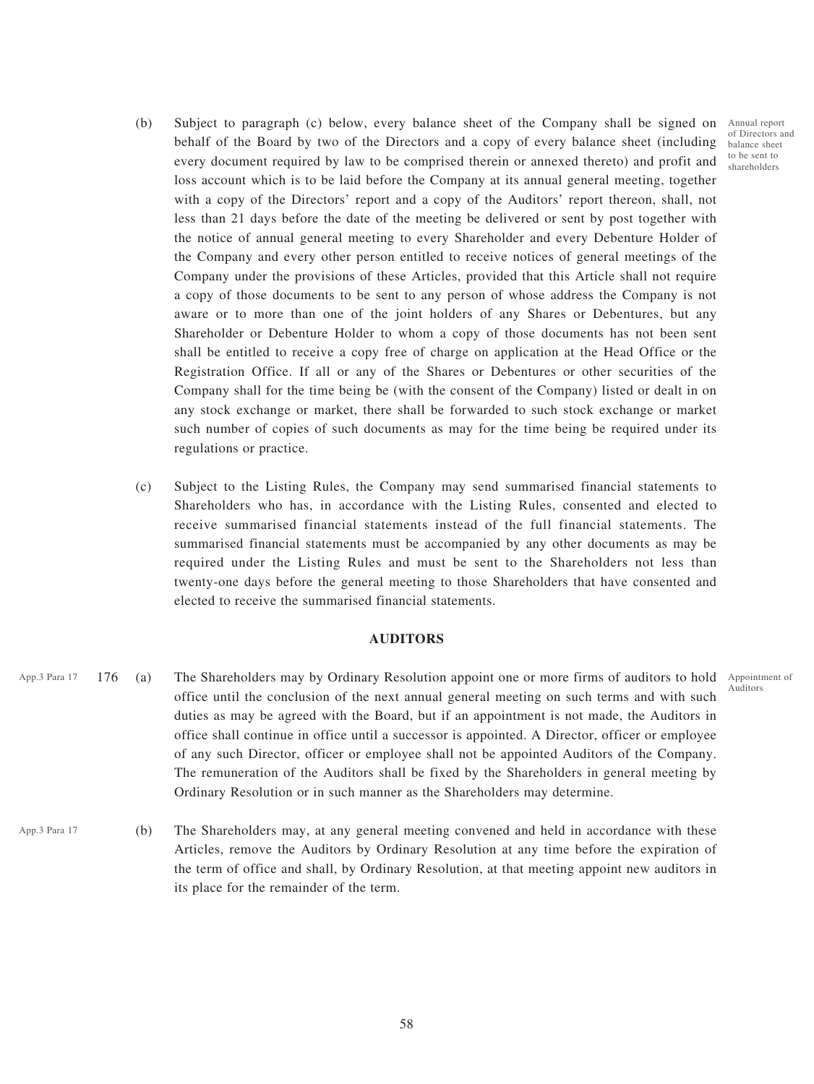- (b) Subject to paragraph (c) below, every balance sheet of the Company shall be signed on Annual report behalf of the Board by two of the Directors and a copy of every balance sheet (including every document required by law to be comprised therein or annexed thereto) and profit and loss account which is to be laid before the Company at its annual general meeting, together with a copy of the Directors' report and a copy of the Auditors' report thereon, shall, not less than 21 days before the date of the meeting be delivered or sent by post together with the notice of annual general meeting to every Shareholder and every Debenture Holder of the Company and every other person entitled to receive notices of general meetings of the Company under the provisions of these Articles, provided that this Article shall not require a copy of those documents to be sent to any person of whose address the Company is not aware or to more than one of the joint holders of any Shares or Debentures, but any Shareholder or Debenture Holder to whom a copy of those documents has not been sent shall be entitled to receive a copy free of charge on application at the Head Office or the Registration Office. If all or any of the Shares or Debentures or other securities of the Company shall for the time being be (with the consent of the Company) listed or dealt in on any stock exchange or market, there shall be forwarded to such stock exchange or market such number of copies of such documents as may for the time being be required under its regulations or practice.
- (c) Subject to the Listing Rules, the Company may send summarised financial statements to Shareholders who has, in accordance with the Listing Rules, consented and elected to receive summarised financial statements instead of the full financial statements. The summarised financial statements must be accompanied by any other documents as may be required under the Listing Rules and must be sent to the Shareholders not less than twenty-one days before the general meeting to those Shareholders that have consented and elected to receive the summarised financial statements.

## **AUDITORS**

- App.3 Para 17 176 (a) The Shareholders may by Ordinary Resolution appoint one or more firms of auditors to hold Appointment of office until the conclusion of the next annual general meeting on such terms and with such duties as may be agreed with the Board, but if an appointment is not made, the Auditors in office shall continue in office until a successor is appointed. A Director, officer or employee of any such Director, officer or employee shall not be appointed Auditors of the Company. The remuneration of the Auditors shall be fixed by the Shareholders in general meeting by Ordinary Resolution or in such manner as the Shareholders may determine.
- (b) The Shareholders may, at any general meeting convened and held in accordance with these Articles, remove the Auditors by Ordinary Resolution at any time before the expiration of the term of office and shall, by Ordinary Resolution, at that meeting appoint new auditors in its place for the remainder of the term. App.3 Para 17

Auditors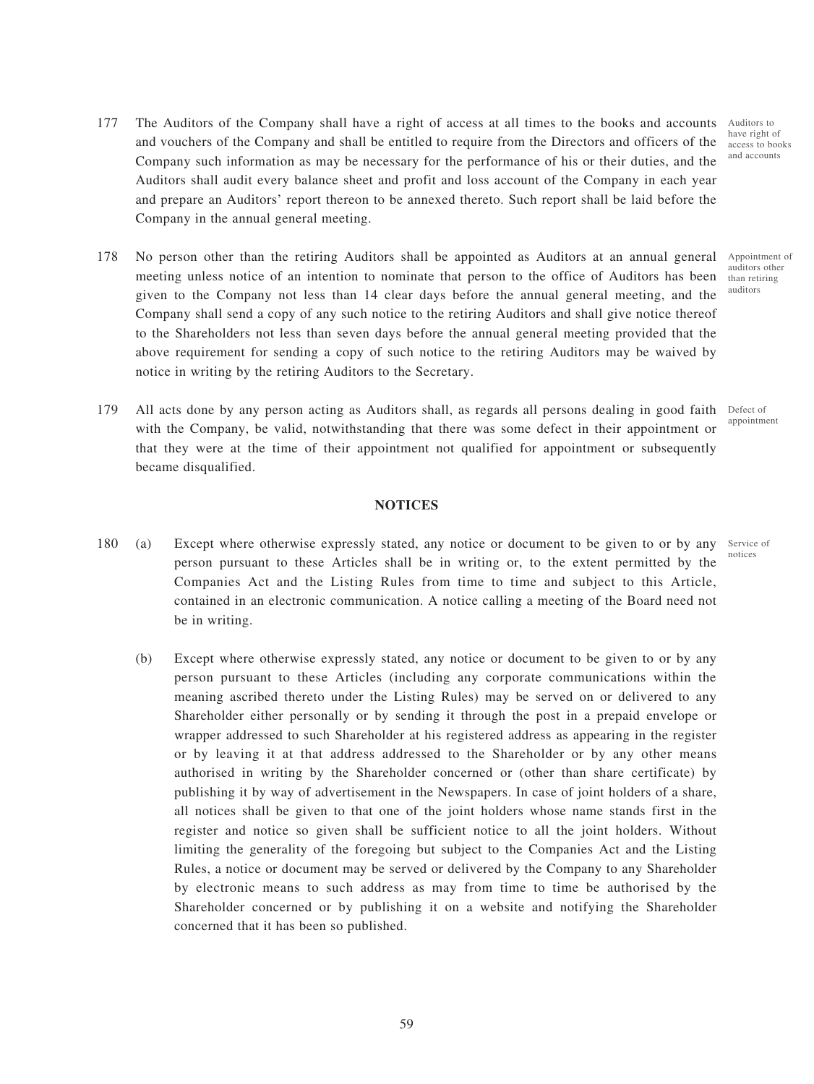- 177 The Auditors of the Company shall have a right of access at all times to the books and accounts and vouchers of the Company and shall be entitled to require from the Directors and officers of the Company such information as may be necessary for the performance of his or their duties, and the Auditors shall audit every balance sheet and profit and loss account of the Company in each year and prepare an Auditors' report thereon to be annexed thereto. Such report shall be laid before the Company in the annual general meeting.
- 178 No person other than the retiring Auditors shall be appointed as Auditors at an annual general meeting unless notice of an intention to nominate that person to the office of Auditors has been given to the Company not less than 14 clear days before the annual general meeting, and the Company shall send a copy of any such notice to the retiring Auditors and shall give notice thereof to the Shareholders not less than seven days before the annual general meeting provided that the above requirement for sending a copy of such notice to the retiring Auditors may be waived by notice in writing by the retiring Auditors to the Secretary.
- 179 All acts done by any person acting as Auditors shall, as regards all persons dealing in good faith Defect of with the Company, be valid, notwithstanding that there was some defect in their appointment or that they were at the time of their appointment not qualified for appointment or subsequently became disqualified.

#### **NOTICES**

- 180 (a) Except where otherwise expressly stated, any notice or document to be given to or by any person pursuant to these Articles shall be in writing or, to the extent permitted by the Companies Act and the Listing Rules from time to time and subject to this Article, contained in an electronic communication. A notice calling a meeting of the Board need not be in writing.
	- (b) Except where otherwise expressly stated, any notice or document to be given to or by any person pursuant to these Articles (including any corporate communications within the meaning ascribed thereto under the Listing Rules) may be served on or delivered to any Shareholder either personally or by sending it through the post in a prepaid envelope or wrapper addressed to such Shareholder at his registered address as appearing in the register or by leaving it at that address addressed to the Shareholder or by any other means authorised in writing by the Shareholder concerned or (other than share certificate) by publishing it by way of advertisement in the Newspapers. In case of joint holders of a share, all notices shall be given to that one of the joint holders whose name stands first in the register and notice so given shall be sufficient notice to all the joint holders. Without limiting the generality of the foregoing but subject to the Companies Act and the Listing Rules, a notice or document may be served or delivered by the Company to any Shareholder by electronic means to such address as may from time to time be authorised by the Shareholder concerned or by publishing it on a website and notifying the Shareholder concerned that it has been so published.

Auditors to have right of access to books and accounts

Appointment of auditors other than retiring auditors

appointment

Service of notices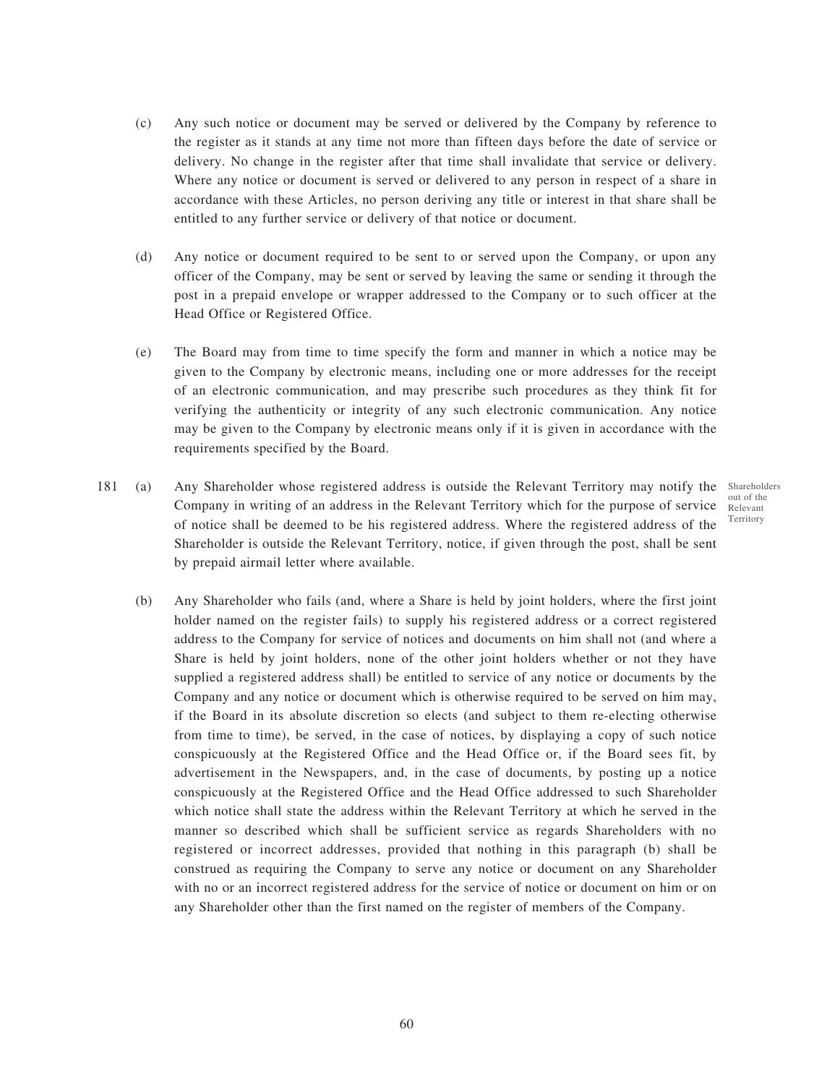- (c) Any such notice or document may be served or delivered by the Company by reference to the register as it stands at any time not more than fifteen days before the date of service or delivery. No change in the register after that time shall invalidate that service or delivery. Where any notice or document is served or delivered to any person in respect of a share in accordance with these Articles, no person deriving any title or interest in that share shall be entitled to any further service or delivery of that notice or document.
- (d) Any notice or document required to be sent to or served upon the Company, or upon any officer of the Company, may be sent or served by leaving the same or sending it through the post in a prepaid envelope or wrapper addressed to the Company or to such officer at the Head Office or Registered Office.
- (e) The Board may from time to time specify the form and manner in which a notice may be given to the Company by electronic means, including one or more addresses for the receipt of an electronic communication, and may prescribe such procedures as they think fit for verifying the authenticity or integrity of any such electronic communication. Any notice may be given to the Company by electronic means only if it is given in accordance with the requirements specified by the Board.
- 181 (a) Any Shareholder whose registered address is outside the Relevant Territory may notify the Shareholders Company in writing of an address in the Relevant Territory which for the purpose of service of notice shall be deemed to be his registered address. Where the registered address of the Shareholder is outside the Relevant Territory, notice, if given through the post, shall be sent by prepaid airmail letter where available.
	- out of the Relevant Territory
	- (b) Any Shareholder who fails (and, where a Share is held by joint holders, where the first joint holder named on the register fails) to supply his registered address or a correct registered address to the Company for service of notices and documents on him shall not (and where a Share is held by joint holders, none of the other joint holders whether or not they have supplied a registered address shall) be entitled to service of any notice or documents by the Company and any notice or document which is otherwise required to be served on him may, if the Board in its absolute discretion so elects (and subject to them re-electing otherwise from time to time), be served, in the case of notices, by displaying a copy of such notice conspicuously at the Registered Office and the Head Office or, if the Board sees fit, by advertisement in the Newspapers, and, in the case of documents, by posting up a notice conspicuously at the Registered Office and the Head Office addressed to such Shareholder which notice shall state the address within the Relevant Territory at which he served in the manner so described which shall be sufficient service as regards Shareholders with no registered or incorrect addresses, provided that nothing in this paragraph (b) shall be construed as requiring the Company to serve any notice or document on any Shareholder with no or an incorrect registered address for the service of notice or document on him or on any Shareholder other than the first named on the register of members of the Company.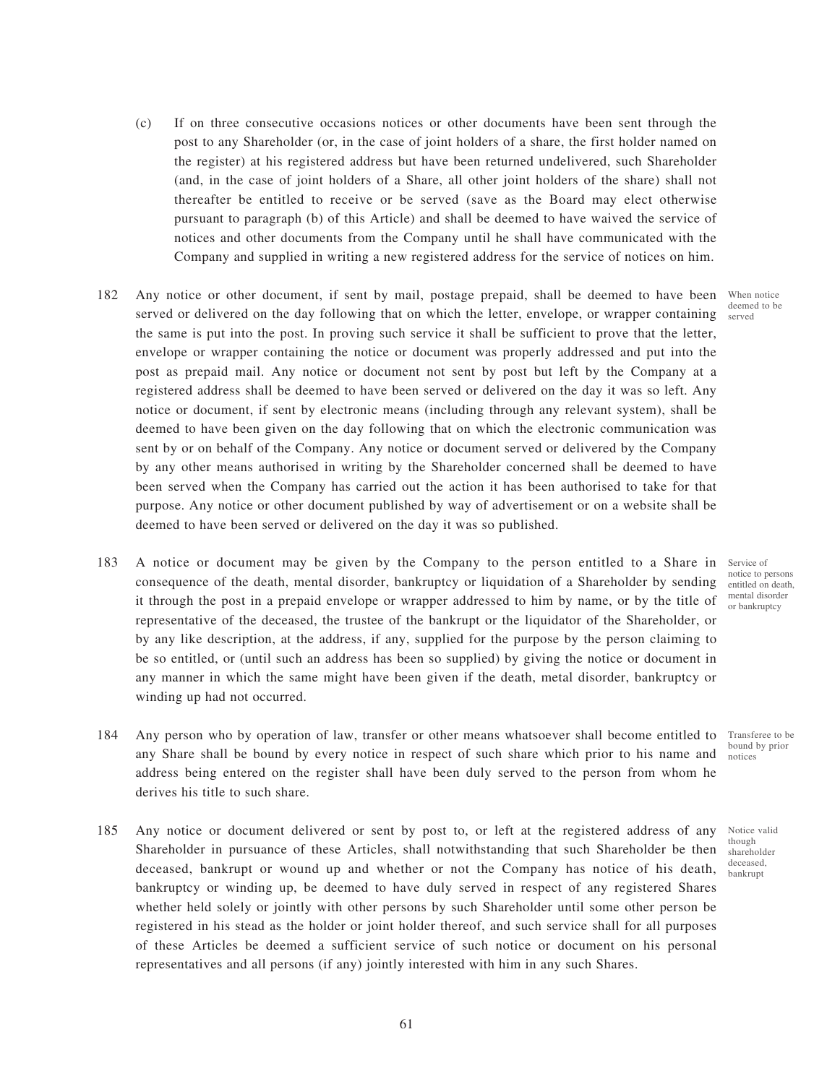- (c) If on three consecutive occasions notices or other documents have been sent through the post to any Shareholder (or, in the case of joint holders of a share, the first holder named on the register) at his registered address but have been returned undelivered, such Shareholder (and, in the case of joint holders of a Share, all other joint holders of the share) shall not thereafter be entitled to receive or be served (save as the Board may elect otherwise pursuant to paragraph (b) of this Article) and shall be deemed to have waived the service of notices and other documents from the Company until he shall have communicated with the Company and supplied in writing a new registered address for the service of notices on him.
- 182 Any notice or other document, if sent by mail, postage prepaid, shall be deemed to have been When notice served or delivered on the day following that on which the letter, envelope, or wrapper containing  $\frac{\text{corrected}}{\text{sorted}}$ the same is put into the post. In proving such service it shall be sufficient to prove that the letter, envelope or wrapper containing the notice or document was properly addressed and put into the post as prepaid mail. Any notice or document not sent by post but left by the Company at a registered address shall be deemed to have been served or delivered on the day it was so left. Any notice or document, if sent by electronic means (including through any relevant system), shall be deemed to have been given on the day following that on which the electronic communication was sent by or on behalf of the Company. Any notice or document served or delivered by the Company by any other means authorised in writing by the Shareholder concerned shall be deemed to have been served when the Company has carried out the action it has been authorised to take for that purpose. Any notice or other document published by way of advertisement or on a website shall be deemed to have been served or delivered on the day it was so published.
- 183 A notice or document may be given by the Company to the person entitled to a Share in consequence of the death, mental disorder, bankruptcy or liquidation of a Shareholder by sending it through the post in a prepaid envelope or wrapper addressed to him by name, or by the title of representative of the deceased, the trustee of the bankrupt or the liquidator of the Shareholder, or by any like description, at the address, if any, supplied for the purpose by the person claiming to be so entitled, or (until such an address has been so supplied) by giving the notice or document in any manner in which the same might have been given if the death, metal disorder, bankruptcy or winding up had not occurred.
- 184 Any person who by operation of law, transfer or other means whatsoever shall become entitled to Transferee to be any Share shall be bound by every notice in respect of such share which prior to his name and notices address being entered on the register shall have been duly served to the person from whom he derives his title to such share. bound by prior
- 185 Any notice or document delivered or sent by post to, or left at the registered address of any Shareholder in pursuance of these Articles, shall notwithstanding that such Shareholder be then deceased, bankrupt or wound up and whether or not the Company has notice of his death, bankruptcy or winding up, be deemed to have duly served in respect of any registered Shares whether held solely or jointly with other persons by such Shareholder until some other person be registered in his stead as the holder or joint holder thereof, and such service shall for all purposes of these Articles be deemed a sufficient service of such notice or document on his personal representatives and all persons (if any) jointly interested with him in any such Shares.

deemed to be

Service of notice to persons entitled on death, mental disorder or bankruptcy

Notice valid

though shareholder deceased, bankrupt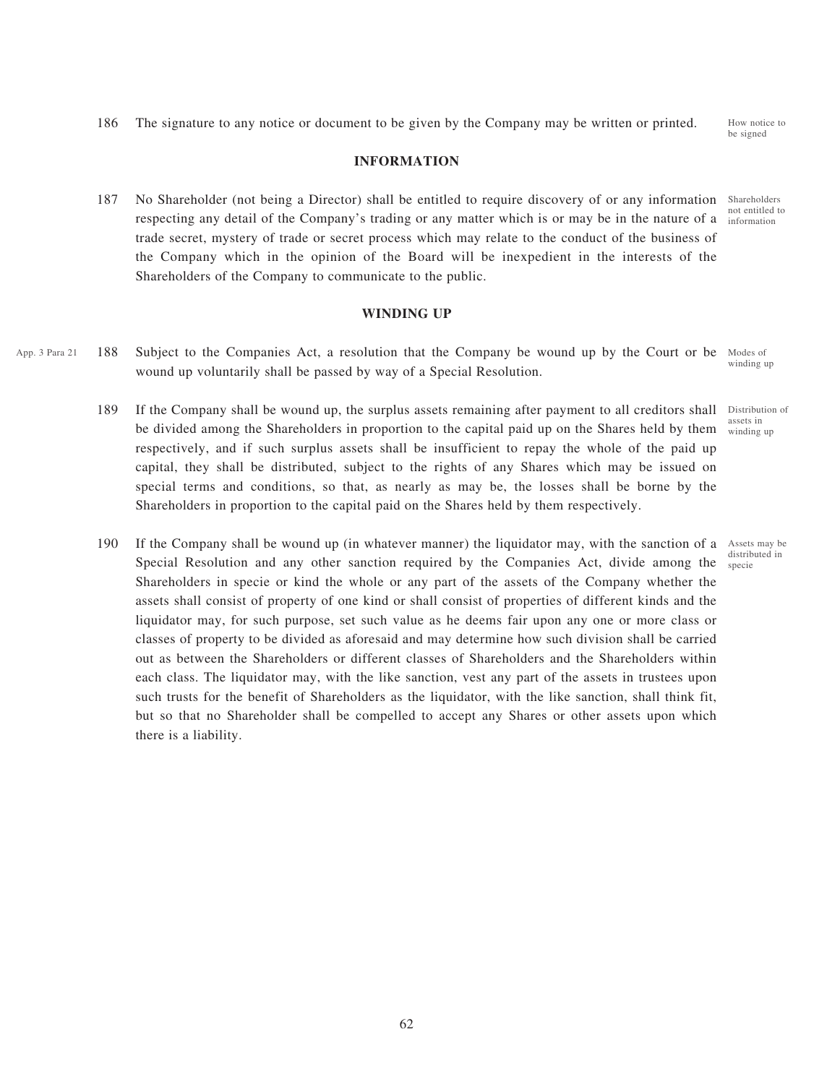assets in winding up

> Assets may be distributed in specie

Distribution of

186 The signature to any notice or document to be given by the Company may be written or printed.

### **INFORMATION**

187 No Shareholder (not being a Director) shall be entitled to require discovery of or any information respecting any detail of the Company's trading or any matter which is or may be in the nature of a trade secret, mystery of trade or secret process which may relate to the conduct of the business of the Company which in the opinion of the Board will be inexpedient in the interests of the Shareholders of the Company to communicate to the public. Shareholders not entitled to information

#### **WINDING UP**

- App. 3 Para 21 188 Subject to the Companies Act, a resolution that the Company be wound up by the Court or be Modes of wound up voluntarily shall be passed by way of a Special Resolution. winding up
	- 189 If the Company shall be wound up, the surplus assets remaining after payment to all creditors shall be divided among the Shareholders in proportion to the capital paid up on the Shares held by them respectively, and if such surplus assets shall be insufficient to repay the whole of the paid up capital, they shall be distributed, subject to the rights of any Shares which may be issued on special terms and conditions, so that, as nearly as may be, the losses shall be borne by the Shareholders in proportion to the capital paid on the Shares held by them respectively.
	- 190 If the Company shall be wound up (in whatever manner) the liquidator may, with the sanction of a Special Resolution and any other sanction required by the Companies Act, divide among the Shareholders in specie or kind the whole or any part of the assets of the Company whether the assets shall consist of property of one kind or shall consist of properties of different kinds and the liquidator may, for such purpose, set such value as he deems fair upon any one or more class or classes of property to be divided as aforesaid and may determine how such division shall be carried out as between the Shareholders or different classes of Shareholders and the Shareholders within each class. The liquidator may, with the like sanction, vest any part of the assets in trustees upon such trusts for the benefit of Shareholders as the liquidator, with the like sanction, shall think fit, but so that no Shareholder shall be compelled to accept any Shares or other assets upon which there is a liability.

How notice to be signed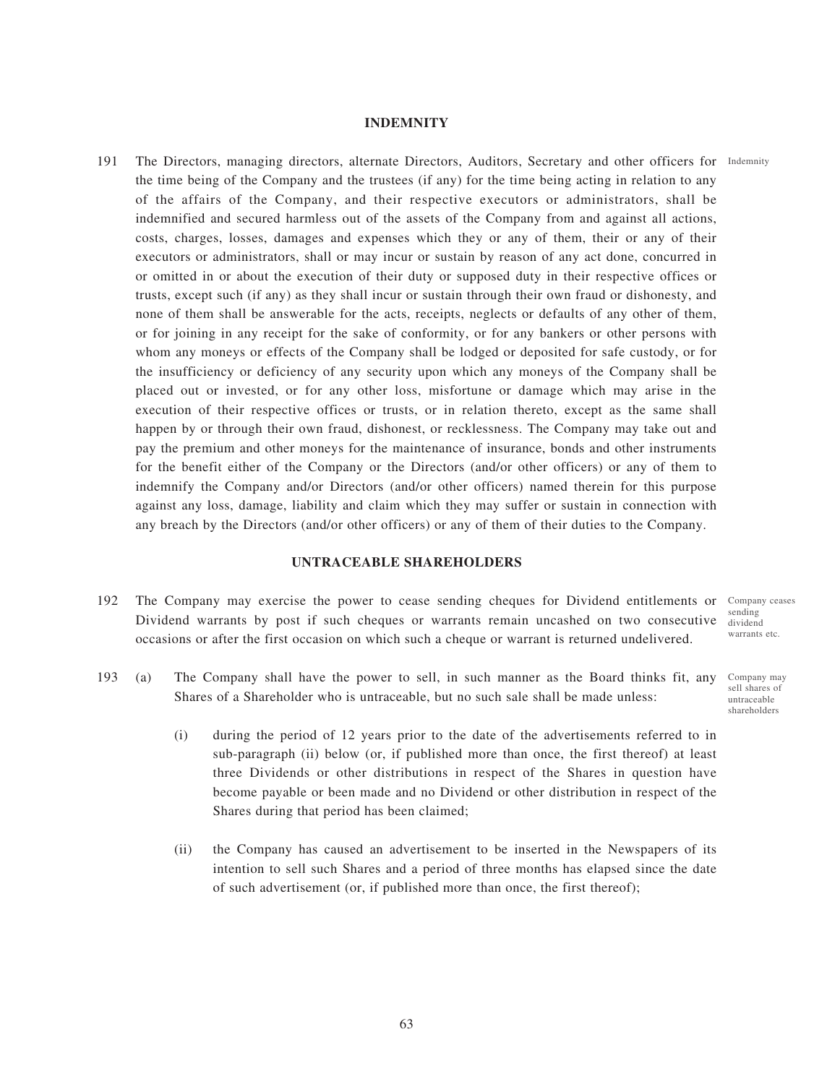## **INDEMNITY**

191 The Directors, managing directors, alternate Directors, Auditors, Secretary and other officers for Indemnity the time being of the Company and the trustees (if any) for the time being acting in relation to any of the affairs of the Company, and their respective executors or administrators, shall be indemnified and secured harmless out of the assets of the Company from and against all actions, costs, charges, losses, damages and expenses which they or any of them, their or any of their executors or administrators, shall or may incur or sustain by reason of any act done, concurred in or omitted in or about the execution of their duty or supposed duty in their respective offices or trusts, except such (if any) as they shall incur or sustain through their own fraud or dishonesty, and none of them shall be answerable for the acts, receipts, neglects or defaults of any other of them, or for joining in any receipt for the sake of conformity, or for any bankers or other persons with whom any moneys or effects of the Company shall be lodged or deposited for safe custody, or for the insufficiency or deficiency of any security upon which any moneys of the Company shall be placed out or invested, or for any other loss, misfortune or damage which may arise in the execution of their respective offices or trusts, or in relation thereto, except as the same shall happen by or through their own fraud, dishonest, or recklessness. The Company may take out and pay the premium and other moneys for the maintenance of insurance, bonds and other instruments for the benefit either of the Company or the Directors (and/or other officers) or any of them to indemnify the Company and/or Directors (and/or other officers) named therein for this purpose against any loss, damage, liability and claim which they may suffer or sustain in connection with any breach by the Directors (and/or other officers) or any of them of their duties to the Company.

### **UNTRACEABLE SHAREHOLDERS**

- 192 The Company may exercise the power to cease sending cheques for Dividend entitlements or Dividend warrants by post if such cheques or warrants remain uncashed on two consecutive occasions or after the first occasion on which such a cheque or warrant is returned undelivered.
- 193 (a) The Company shall have the power to sell, in such manner as the Board thinks fit, any Shares of a Shareholder who is untraceable, but no such sale shall be made unless:
	- (i) during the period of 12 years prior to the date of the advertisements referred to in sub-paragraph (ii) below (or, if published more than once, the first thereof) at least three Dividends or other distributions in respect of the Shares in question have become payable or been made and no Dividend or other distribution in respect of the Shares during that period has been claimed;
	- (ii) the Company has caused an advertisement to be inserted in the Newspapers of its intention to sell such Shares and a period of three months has elapsed since the date of such advertisement (or, if published more than once, the first thereof);

Company ceases sending dividend warrants etc.

Company may sell shares of untraceable shareholders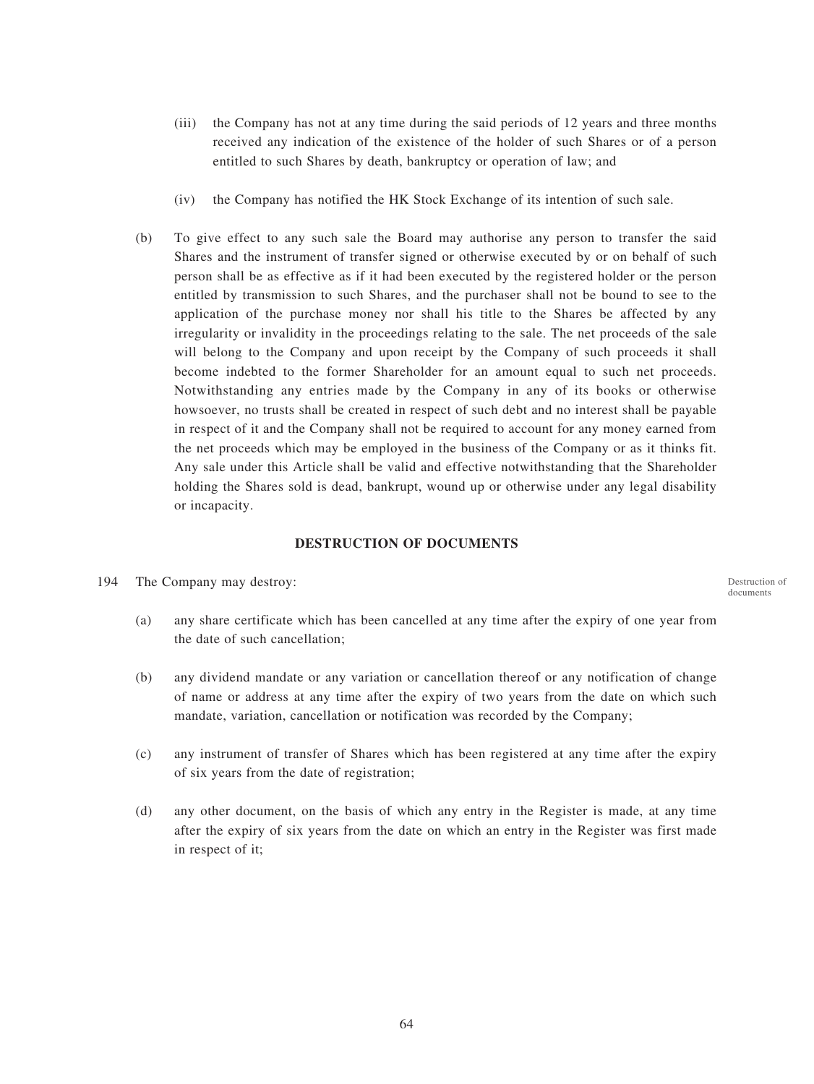- (iii) the Company has not at any time during the said periods of 12 years and three months received any indication of the existence of the holder of such Shares or of a person entitled to such Shares by death, bankruptcy or operation of law; and
- (iv) the Company has notified the HK Stock Exchange of its intention of such sale.
- (b) To give effect to any such sale the Board may authorise any person to transfer the said Shares and the instrument of transfer signed or otherwise executed by or on behalf of such person shall be as effective as if it had been executed by the registered holder or the person entitled by transmission to such Shares, and the purchaser shall not be bound to see to the application of the purchase money nor shall his title to the Shares be affected by any irregularity or invalidity in the proceedings relating to the sale. The net proceeds of the sale will belong to the Company and upon receipt by the Company of such proceeds it shall become indebted to the former Shareholder for an amount equal to such net proceeds. Notwithstanding any entries made by the Company in any of its books or otherwise howsoever, no trusts shall be created in respect of such debt and no interest shall be payable in respect of it and the Company shall not be required to account for any money earned from the net proceeds which may be employed in the business of the Company or as it thinks fit. Any sale under this Article shall be valid and effective notwithstanding that the Shareholder holding the Shares sold is dead, bankrupt, wound up or otherwise under any legal disability or incapacity.

#### **DESTRUCTION OF DOCUMENTS**

194 The Company may destroy:

(a) any share certificate which has been cancelled at any time after the expiry of one year from the date of such cancellation;

- (b) any dividend mandate or any variation or cancellation thereof or any notification of change of name or address at any time after the expiry of two years from the date on which such mandate, variation, cancellation or notification was recorded by the Company;
- (c) any instrument of transfer of Shares which has been registered at any time after the expiry of six years from the date of registration;
- (d) any other document, on the basis of which any entry in the Register is made, at any time after the expiry of six years from the date on which an entry in the Register was first made in respect of it;

Destruction of documents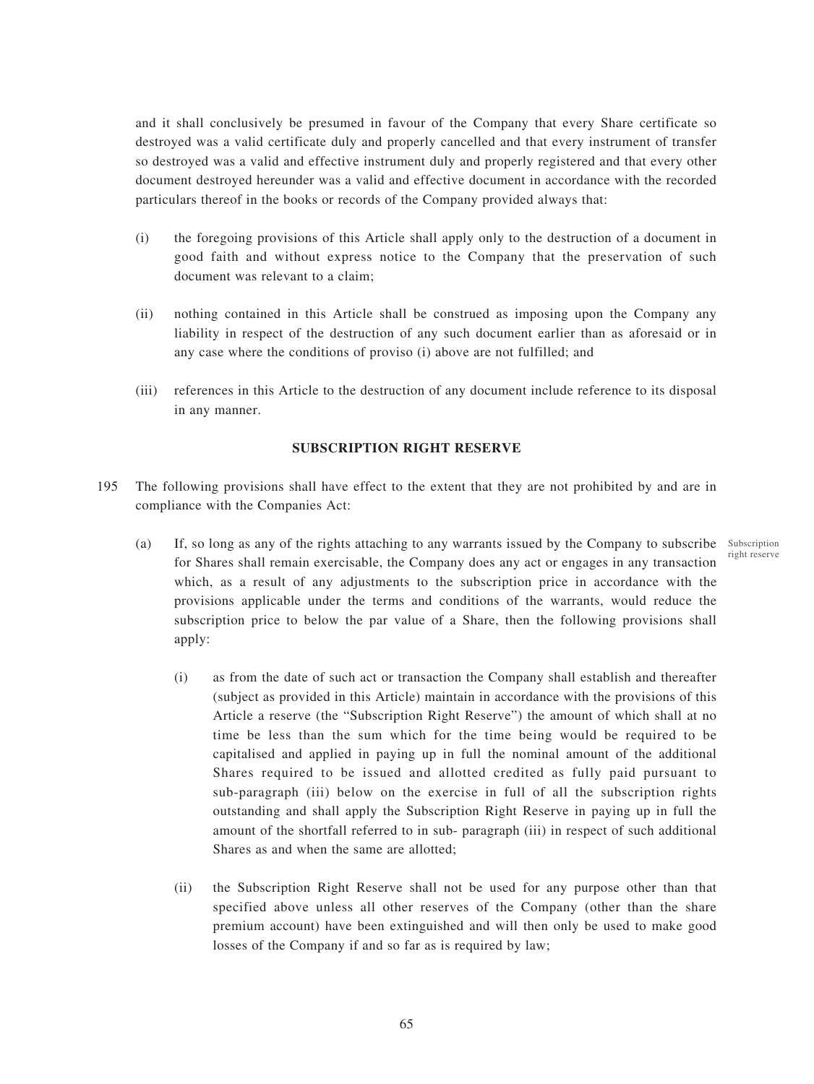and it shall conclusively be presumed in favour of the Company that every Share certificate so destroyed was a valid certificate duly and properly cancelled and that every instrument of transfer so destroyed was a valid and effective instrument duly and properly registered and that every other document destroyed hereunder was a valid and effective document in accordance with the recorded particulars thereof in the books or records of the Company provided always that:

- (i) the foregoing provisions of this Article shall apply only to the destruction of a document in good faith and without express notice to the Company that the preservation of such document was relevant to a claim;
- (ii) nothing contained in this Article shall be construed as imposing upon the Company any liability in respect of the destruction of any such document earlier than as aforesaid or in any case where the conditions of proviso (i) above are not fulfilled; and
- (iii) references in this Article to the destruction of any document include reference to its disposal in any manner.

## **SUBSCRIPTION RIGHT RESERVE**

- 195 The following provisions shall have effect to the extent that they are not prohibited by and are in compliance with the Companies Act:
	- (a) If, so long as any of the rights attaching to any warrants issued by the Company to subscribe Subscription for Shares shall remain exercisable, the Company does any act or engages in any transaction which, as a result of any adjustments to the subscription price in accordance with the provisions applicable under the terms and conditions of the warrants, would reduce the subscription price to below the par value of a Share, then the following provisions shall apply:

right reserve

- (i) as from the date of such act or transaction the Company shall establish and thereafter (subject as provided in this Article) maintain in accordance with the provisions of this Article a reserve (the "Subscription Right Reserve") the amount of which shall at no time be less than the sum which for the time being would be required to be capitalised and applied in paying up in full the nominal amount of the additional Shares required to be issued and allotted credited as fully paid pursuant to sub-paragraph (iii) below on the exercise in full of all the subscription rights outstanding and shall apply the Subscription Right Reserve in paying up in full the amount of the shortfall referred to in sub- paragraph (iii) in respect of such additional Shares as and when the same are allotted;
- (ii) the Subscription Right Reserve shall not be used for any purpose other than that specified above unless all other reserves of the Company (other than the share premium account) have been extinguished and will then only be used to make good losses of the Company if and so far as is required by law;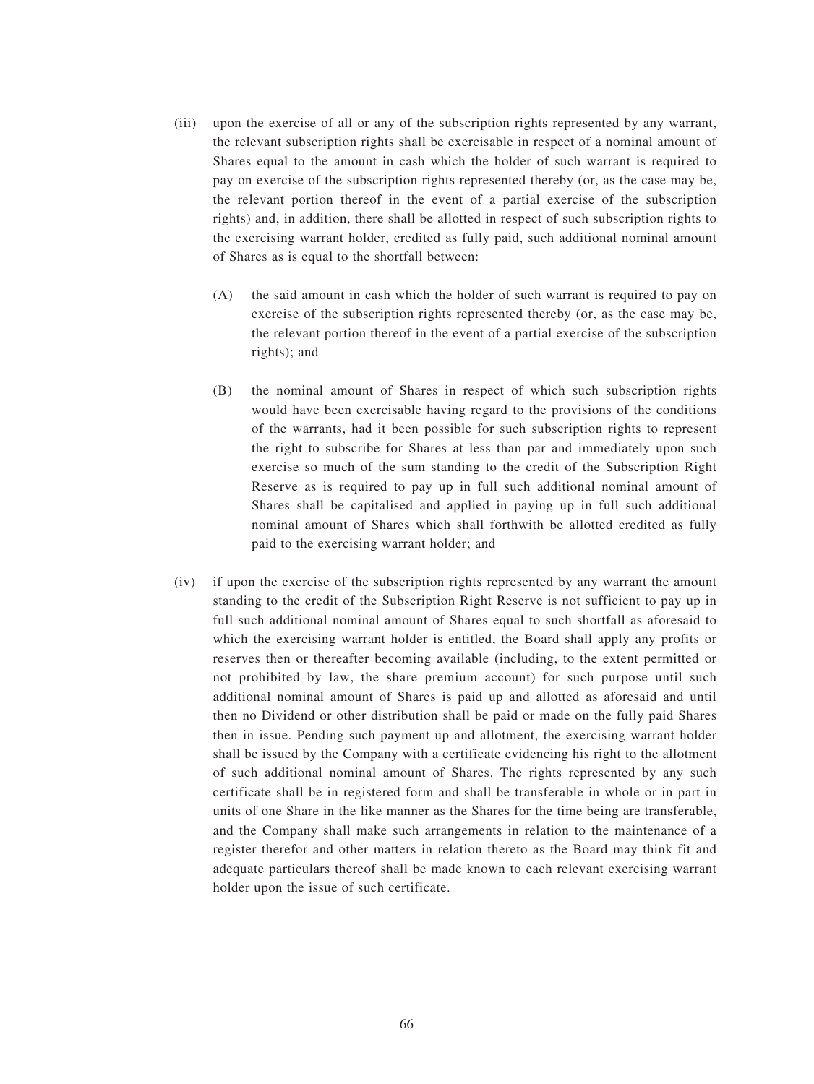- (iii) upon the exercise of all or any of the subscription rights represented by any warrant, the relevant subscription rights shall be exercisable in respect of a nominal amount of Shares equal to the amount in cash which the holder of such warrant is required to pay on exercise of the subscription rights represented thereby (or, as the case may be, the relevant portion thereof in the event of a partial exercise of the subscription rights) and, in addition, there shall be allotted in respect of such subscription rights to the exercising warrant holder, credited as fully paid, such additional nominal amount of Shares as is equal to the shortfall between:
	- (A) the said amount in cash which the holder of such warrant is required to pay on exercise of the subscription rights represented thereby (or, as the case may be, the relevant portion thereof in the event of a partial exercise of the subscription rights); and
	- (B) the nominal amount of Shares in respect of which such subscription rights would have been exercisable having regard to the provisions of the conditions of the warrants, had it been possible for such subscription rights to represent the right to subscribe for Shares at less than par and immediately upon such exercise so much of the sum standing to the credit of the Subscription Right Reserve as is required to pay up in full such additional nominal amount of Shares shall be capitalised and applied in paying up in full such additional nominal amount of Shares which shall forthwith be allotted credited as fully paid to the exercising warrant holder; and
- (iv) if upon the exercise of the subscription rights represented by any warrant the amount standing to the credit of the Subscription Right Reserve is not sufficient to pay up in full such additional nominal amount of Shares equal to such shortfall as aforesaid to which the exercising warrant holder is entitled, the Board shall apply any profits or reserves then or thereafter becoming available (including, to the extent permitted or not prohibited by law, the share premium account) for such purpose until such additional nominal amount of Shares is paid up and allotted as aforesaid and until then no Dividend or other distribution shall be paid or made on the fully paid Shares then in issue. Pending such payment up and allotment, the exercising warrant holder shall be issued by the Company with a certificate evidencing his right to the allotment of such additional nominal amount of Shares. The rights represented by any such certificate shall be in registered form and shall be transferable in whole or in part in units of one Share in the like manner as the Shares for the time being are transferable, and the Company shall make such arrangements in relation to the maintenance of a register therefor and other matters in relation thereto as the Board may think fit and adequate particulars thereof shall be made known to each relevant exercising warrant holder upon the issue of such certificate.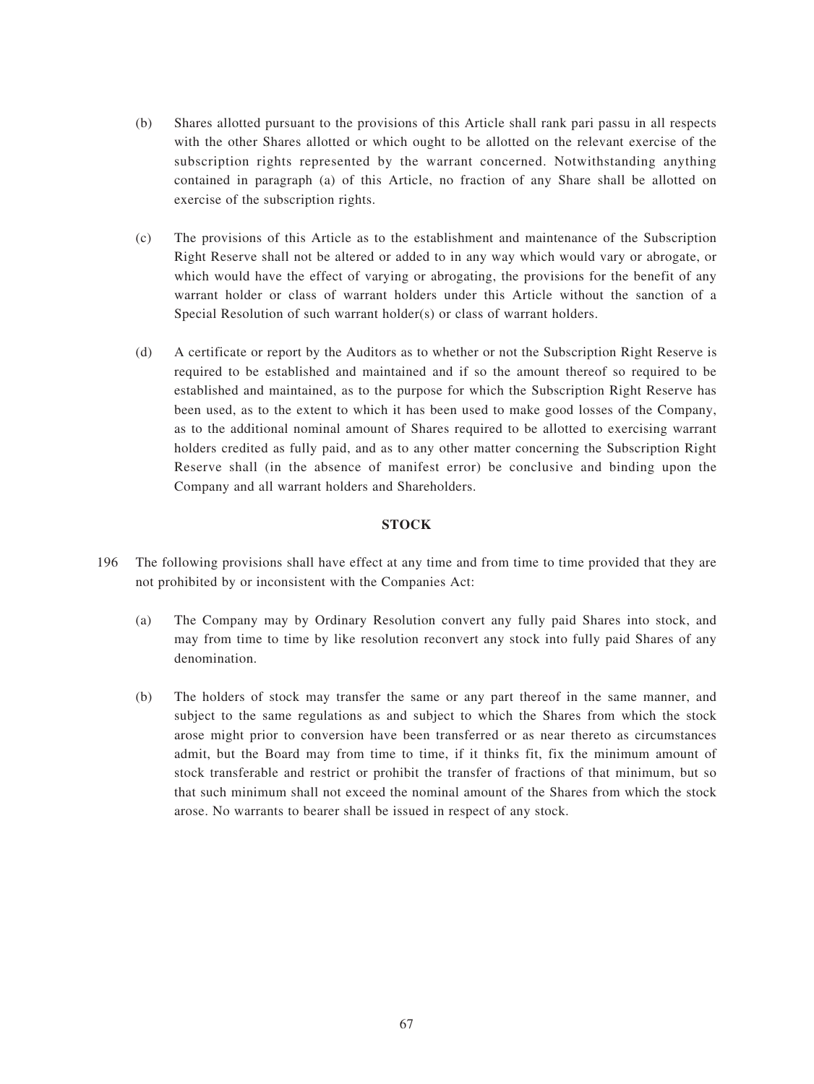- (b) Shares allotted pursuant to the provisions of this Article shall rank pari passu in all respects with the other Shares allotted or which ought to be allotted on the relevant exercise of the subscription rights represented by the warrant concerned. Notwithstanding anything contained in paragraph (a) of this Article, no fraction of any Share shall be allotted on exercise of the subscription rights.
- (c) The provisions of this Article as to the establishment and maintenance of the Subscription Right Reserve shall not be altered or added to in any way which would vary or abrogate, or which would have the effect of varying or abrogating, the provisions for the benefit of any warrant holder or class of warrant holders under this Article without the sanction of a Special Resolution of such warrant holder(s) or class of warrant holders.
- (d) A certificate or report by the Auditors as to whether or not the Subscription Right Reserve is required to be established and maintained and if so the amount thereof so required to be established and maintained, as to the purpose for which the Subscription Right Reserve has been used, as to the extent to which it has been used to make good losses of the Company, as to the additional nominal amount of Shares required to be allotted to exercising warrant holders credited as fully paid, and as to any other matter concerning the Subscription Right Reserve shall (in the absence of manifest error) be conclusive and binding upon the Company and all warrant holders and Shareholders.

## **STOCK**

- 196 The following provisions shall have effect at any time and from time to time provided that they are not prohibited by or inconsistent with the Companies Act:
	- (a) The Company may by Ordinary Resolution convert any fully paid Shares into stock, and may from time to time by like resolution reconvert any stock into fully paid Shares of any denomination.
	- (b) The holders of stock may transfer the same or any part thereof in the same manner, and subject to the same regulations as and subject to which the Shares from which the stock arose might prior to conversion have been transferred or as near thereto as circumstances admit, but the Board may from time to time, if it thinks fit, fix the minimum amount of stock transferable and restrict or prohibit the transfer of fractions of that minimum, but so that such minimum shall not exceed the nominal amount of the Shares from which the stock arose. No warrants to bearer shall be issued in respect of any stock.